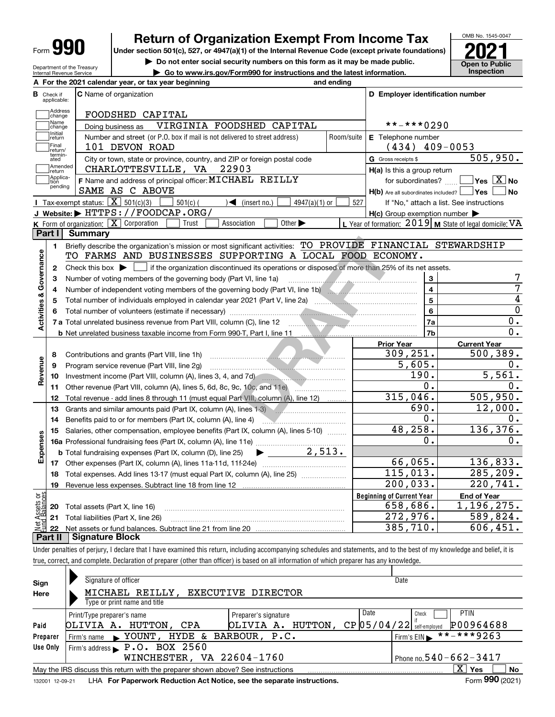| Form | т |
|------|---|
|------|---|

# **Return of Organization Exempt From Income Tax**

Under section 501(c), 527, or 4947(a)(1) of the Internal Revenue Code (except private foundations) **2021** 

**| Do not enter social security numbers on this form as it may be made public.**

**| Go to www.irs.gov/Form990 for instructions and the latest information. Inspection**



Department of the Treasury Internal Revenue Service

|                         |                         | A For the 2021 calendar year, or tax year beginning                                                                                                                   | and ending                |                                                     |                                                           |
|-------------------------|-------------------------|-----------------------------------------------------------------------------------------------------------------------------------------------------------------------|---------------------------|-----------------------------------------------------|-----------------------------------------------------------|
| В                       | Check if<br>applicable: | <b>C</b> Name of organization                                                                                                                                         |                           | D Employer identification number                    |                                                           |
|                         | Address<br>change       | FOODSHED CAPITAL                                                                                                                                                      |                           |                                                     |                                                           |
|                         | Name<br>change          | VIRGINIA FOODSHED CAPITAL<br>Doing business as                                                                                                                        | **-***0290                |                                                     |                                                           |
|                         | Initial<br>return       | Number and street (or P.O. box if mail is not delivered to street address)                                                                                            | <b>E</b> Telephone number |                                                     |                                                           |
|                         | Final<br>return/        | 101 DEVON ROAD                                                                                                                                                        | Room/suite                | $(434)$ 409-0053                                    |                                                           |
|                         | termin-<br>ated         | City or town, state or province, country, and ZIP or foreign postal code                                                                                              |                           | G Gross receipts \$                                 | 505,950.                                                  |
|                         | Amended<br>return       | CHARLOTTESVILLE, VA<br>22903                                                                                                                                          |                           | H(a) Is this a group return                         |                                                           |
|                         | Applica-<br>tion        | F Name and address of principal officer: MICHAEL REILLY                                                                                                               |                           | for subordinates?                                   | $\overline{\mathsf{Yes} \mathbb{X}}$ No                   |
|                         | pending                 | SAME AS C ABOVE                                                                                                                                                       |                           | $H(b)$ Are all subordinates included?               | ∣Yes<br>N <sub>o</sub>                                    |
|                         |                         | <b>I</b> Tax-exempt status: $\boxed{\mathbf{X}}$ 501(c)(3)<br>$\frac{1}{2}$ 501(c) (<br>$\sqrt{\bullet}$ (insert no.)<br>4947(a)(1) or                                | 527                       |                                                     | If "No," attach a list. See instructions                  |
|                         |                         | J Website: FITTPS: //FOODCAP.ORG/                                                                                                                                     |                           | $H(c)$ Group exemption number $\blacktriangleright$ |                                                           |
|                         |                         | K Form of organization: $X$ Corporation<br>Other $\blacktriangleright$<br>Trust<br>Association                                                                        |                           |                                                     | L Year of formation: $2019$ M State of legal domicile: VA |
|                         | Part I                  | <b>Summary</b>                                                                                                                                                        |                           |                                                     |                                                           |
|                         | 1.                      | Briefly describe the organization's mission or most significant activities: TO PROVIDE FINANCIAL STEWARDSHIP                                                          |                           |                                                     |                                                           |
|                         |                         | TO FARMS AND BUSINESSES SUPPORTING A LOCAL FOOD ECONOMY.                                                                                                              |                           |                                                     |                                                           |
|                         | 2                       | Check this box $\blacktriangleright \Box$ if the organization discontinued its operations or disposed of more than 25% of its net assets.                             |                           |                                                     |                                                           |
|                         | 3                       | Number of voting members of the governing body (Part VI, line 1a)                                                                                                     |                           | 3                                                   | 7                                                         |
|                         | 4                       | Number of independent voting members of the governing body (Part VI, line 1b) [19] [19] Number of independent voting members of the governing body (Part VI, line 1b) |                           | $\overline{\mathbf{4}}$                             | 7                                                         |
|                         | 5                       |                                                                                                                                                                       | $\overline{\phantom{0}}$  | 4                                                   |                                                           |
|                         | 6                       |                                                                                                                                                                       |                           | 6                                                   | $\overline{0}$                                            |
| Activities & Governance |                         |                                                                                                                                                                       |                           | 7a                                                  | 0.                                                        |
|                         |                         |                                                                                                                                                                       |                           | 7b                                                  | $\overline{0}$ .                                          |
|                         |                         |                                                                                                                                                                       |                           | <b>Prior Year</b>                                   | <b>Current Year</b>                                       |
|                         | 8                       | Contributions and grants (Part VIII, line 1h)                                                                                                                         |                           | 309, 251.                                           | 500,389.                                                  |
| Revenue                 | 9                       | Program service revenue (Part VIII, line 2g)                                                                                                                          |                           | 5,605.                                              | 0.                                                        |
|                         | 10                      | Investment income (Part VIII, column (A), lines 3, 4, and 7d)                                                                                                         |                           | 190.                                                | 5,561.                                                    |
|                         | 11                      | Other revenue (Part VIII, column (A), lines 5, 6d, 8c, 9c, 10c, and 11e)                                                                                              |                           | $0$ .                                               | 0.                                                        |
|                         | 12                      | Total revenue - add lines 8 through 11 (must equal Part VIII, column (A), line 12)                                                                                    |                           | 315,046.                                            | 505,950.                                                  |
|                         | 13                      | Grants and similar amounts paid (Part IX, column (A), lines 1-3)                                                                                                      |                           | 690.                                                | 12,000.                                                   |
|                         | 14                      | Benefits paid to or for members (Part IX, column (A), line 4) <b>Conserverse Contains and Seneri Exercise</b>                                                         |                           | 0.                                                  | О.                                                        |
|                         | 15                      | Salaries, other compensation, employee benefits (Part IX, column (A), lines 5-10)                                                                                     |                           | 48, 258.                                            | 136,376.                                                  |
| Expenses                |                         |                                                                                                                                                                       |                           | 0.                                                  | 0.                                                        |
|                         |                         | $\blacktriangleright$ 2,513.<br><b>b</b> Total fundraising expenses (Part IX, column (D), line 25)                                                                    |                           |                                                     |                                                           |
|                         |                         |                                                                                                                                                                       |                           | 66,065.                                             | 136,833.                                                  |
|                         | 18                      | Total expenses. Add lines 13-17 (must equal Part IX, column (A), line 25)                                                                                             |                           | 115,013.                                            | 285, 209.                                                 |
|                         | 19                      |                                                                                                                                                                       |                           | 200,033.                                            | $\overline{220, 741}$ .                                   |
| ăğ                      |                         |                                                                                                                                                                       |                           | <b>Beginning of Current Year</b>                    | <b>End of Year</b>                                        |
|                         | 20                      | Total assets (Part X, line 16)                                                                                                                                        |                           | 658,686.                                            | 1, 196, 275.                                              |
|                         |                         | 21 Total liabilities (Part X, line 26)                                                                                                                                |                           | 272,976.                                            | 589,824.                                                  |
|                         | 22                      |                                                                                                                                                                       |                           | 385,710.                                            | 606,451.                                                  |
|                         | Part II                 | <b>Signature Block</b>                                                                                                                                                |                           |                                                     |                                                           |

Under penalties of perjury, I declare that I have examined this return, including accompanying schedules and statements, and to the best of my knowledge and belief, it is true, correct, and complete. Declaration of preparer (other than officer) is based on all information of which preparer has any knowledge.

| Sign     | Signature of officer                                                                                         | Date                 |                                                        |  |  |  |  |  |  |  |  |  |
|----------|--------------------------------------------------------------------------------------------------------------|----------------------|--------------------------------------------------------|--|--|--|--|--|--|--|--|--|
| Here     | MICHAEL REILLY,<br><b>EXECUTIVE DIRECTOR</b>                                                                 |                      |                                                        |  |  |  |  |  |  |  |  |  |
|          | Type or print name and title                                                                                 |                      |                                                        |  |  |  |  |  |  |  |  |  |
|          | Print/Type preparer's name                                                                                   | Preparer's signature | Date<br><b>PTIN</b><br>Check                           |  |  |  |  |  |  |  |  |  |
| Paid     | OLIVIA A. HUTTON, CPA                                                                                        | OLIVIA A. HUTTON,    | P00964688<br>$CP$ 05/04/22 $\frac{1}{2}$ self-employed |  |  |  |  |  |  |  |  |  |
| Preparer | Firm's name > YOUNT, HYDE & BARBOUR, P.C.                                                                    |                      | **-***9263<br>Firm's $EIN$                             |  |  |  |  |  |  |  |  |  |
| Use Only | Firm's address P.O. BOX 2560                                                                                 |                      |                                                        |  |  |  |  |  |  |  |  |  |
|          | WINCHESTER, VA 22604-1760<br>Phone no. $540 - 662 - 3417$                                                    |                      |                                                        |  |  |  |  |  |  |  |  |  |
|          | May the IRS discuss this return with the preparer shown above? See instructions                              |                      | $\mathbf{x}$<br><b>No</b><br>Yes                       |  |  |  |  |  |  |  |  |  |
|          | Form 990 (2021)<br>LHA For Paperwork Reduction Act Notice, see the separate instructions.<br>132001 12-09-21 |                      |                                                        |  |  |  |  |  |  |  |  |  |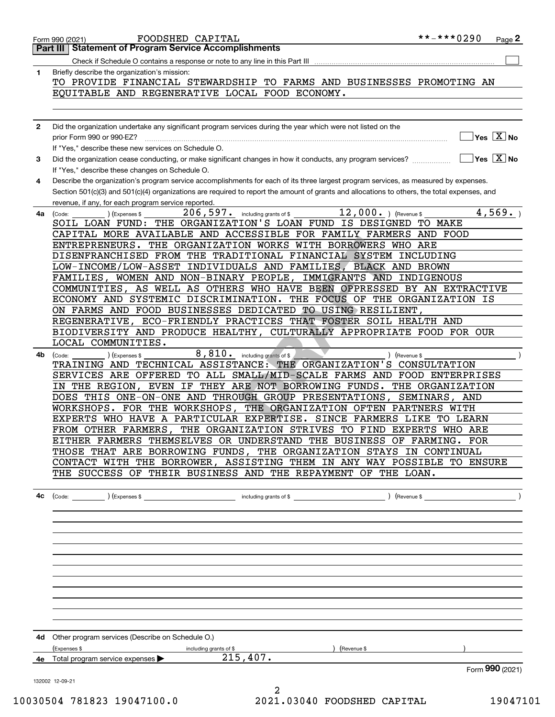|              | Check if Schedule O contains a response or note to any line in this Part III                                                                                    |                                                 |
|--------------|-----------------------------------------------------------------------------------------------------------------------------------------------------------------|-------------------------------------------------|
| 1            | Briefly describe the organization's mission:                                                                                                                    |                                                 |
|              | TO PROVIDE FINANCIAL STEWARDSHIP TO FARMS AND BUSINESSES PROMOTING AN                                                                                           |                                                 |
|              | EQUITABLE AND REGENERATIVE LOCAL FOOD ECONOMY.                                                                                                                  |                                                 |
|              |                                                                                                                                                                 |                                                 |
|              |                                                                                                                                                                 |                                                 |
| $\mathbf{2}$ | Did the organization undertake any significant program services during the year which were not listed on the                                                    |                                                 |
|              | prior Form 990 or 990-EZ? [111] The content of the content of the content of the content of the content of the                                                  | $]$ Yes $[\overline{\mathrm{X}}]$ No            |
|              | If "Yes," describe these new services on Schedule O.                                                                                                            | $\overline{\ }$ Yes $\overline{\phantom{X}}$ No |
| 3            | Did the organization cease conducting, or make significant changes in how it conducts, any program services?<br>If "Yes," describe these changes on Schedule O. |                                                 |
| 4            | Describe the organization's program service accomplishments for each of its three largest program services, as measured by expenses.                            |                                                 |
|              | Section 501(c)(3) and 501(c)(4) organizations are required to report the amount of grants and allocations to others, the total expenses, and                    |                                                 |
|              | revenue, if any, for each program service reported.                                                                                                             |                                                 |
| 4a           | 206, 597. including grants of \$<br>$\overline{12}$ , 000. $($ Revenue \$<br>(Code:<br>(Expenses \$                                                             | 4,569.                                          |
|              | SOIL LOAN FUND: THE ORGANIZATION'S LOAN FUND IS DESIGNED TO MAKE                                                                                                |                                                 |
|              | CAPITAL MORE AVAILABLE AND ACCESSIBLE FOR FAMILY FARMERS AND FOOD                                                                                               |                                                 |
|              | ENTREPRENEURS. THE ORGANIZATION WORKS WITH BORROWERS WHO ARE                                                                                                    |                                                 |
|              | DISENFRANCHISED FROM THE TRADITIONAL FINANCIAL SYSTEM INCLUDING                                                                                                 |                                                 |
|              | LOW-INCOME/LOW-ASSET INDIVIDUALS AND FAMILIES, BLACK AND BROWN                                                                                                  |                                                 |
|              | FAMILIES, WOMEN AND NON-BINARY PEOPLE, IMMIGRANTS AND INDIGENOUS                                                                                                |                                                 |
|              | COMMUNITIES, AS WELL AS OTHERS WHO HAVE BEEN OPPRESSED BY AN EXTRACTIVE                                                                                         |                                                 |
|              | ECONOMY AND SYSTEMIC DISCRIMINATION. THE FOCUS OF THE ORGANIZATION IS                                                                                           |                                                 |
|              | ON FARMS AND FOOD BUSINESSES DEDICATED TO USING RESILIENT,                                                                                                      |                                                 |
|              | REGENERATIVE, ECO-FRIENDLY PRACTICES THAT FOSTER SOIL HEALTH AND                                                                                                |                                                 |
|              | BIODIVERSITY AND PRODUCE HEALTHY, CULTURALLY APPROPRIATE FOOD FOR OUR                                                                                           |                                                 |
|              | LOCAL COMMUNITIES.                                                                                                                                              |                                                 |
| 4b           | 8,810. including grants of \$<br>(Code:<br>(Expenses \$<br>) (Revenue \$                                                                                        |                                                 |
|              | TRAINING AND TECHNICAL ASSISTANCE: THE ORGANIZATION'S CONSULTATION                                                                                              |                                                 |
|              | SERVICES ARE OFFERED TO ALL SMALL/MID-SCALE FARMS AND FOOD ENTERPRISES                                                                                          |                                                 |
|              | IN THE REGION, EVEN IF THEY ARE NOT BORROWING FUNDS. THE ORGANIZATION                                                                                           |                                                 |
|              | DOES THIS ONE-ON-ONE AND THROUGH GROUP PRESENTATIONS, SEMINARS, AND                                                                                             |                                                 |
|              | WORKSHOPS. FOR THE WORKSHOPS,<br>THE ORGANIZATION OFTEN PARTNERS WITH                                                                                           |                                                 |
|              | EXPERTS WHO HAVE A PARTICULAR EXPERTISE. SINCE FARMERS LIKE TO LEARN                                                                                            |                                                 |
|              | THE ORGANIZATION STRIVES TO FIND EXPERTS WHO ARE<br>FROM OTHER FARMERS,                                                                                         |                                                 |
|              | EITHER FARMERS THEMSELVES OR UNDERSTAND THE BUSINESS OF FARMING. FOR                                                                                            |                                                 |
|              | THOSE THAT ARE BORROWING FUNDS, THE ORGANIZATION STAYS IN CONTINUAL                                                                                             |                                                 |
|              | CONTACT WITH THE BORROWER, ASSISTING THEM IN ANY WAY POSSIBLE TO ENSURE                                                                                         |                                                 |
|              | THE SUCCESS OF THEIR BUSINESS AND THE REPAYMENT OF THE LOAN.                                                                                                    |                                                 |
|              |                                                                                                                                                                 |                                                 |
| 4c           |                                                                                                                                                                 |                                                 |
|              |                                                                                                                                                                 |                                                 |
|              |                                                                                                                                                                 |                                                 |
|              |                                                                                                                                                                 |                                                 |
|              |                                                                                                                                                                 |                                                 |
|              |                                                                                                                                                                 |                                                 |
|              |                                                                                                                                                                 |                                                 |
|              |                                                                                                                                                                 |                                                 |
|              |                                                                                                                                                                 |                                                 |
|              | 4d Other program services (Describe on Schedule O.)                                                                                                             |                                                 |
|              | ) (Revenue \$<br>(Expenses \$<br>including grants of \$<br>4e Total program service expenses 215, 407.                                                          |                                                 |
|              |                                                                                                                                                                 | Form 990 (2021)                                 |
|              |                                                                                                                                                                 |                                                 |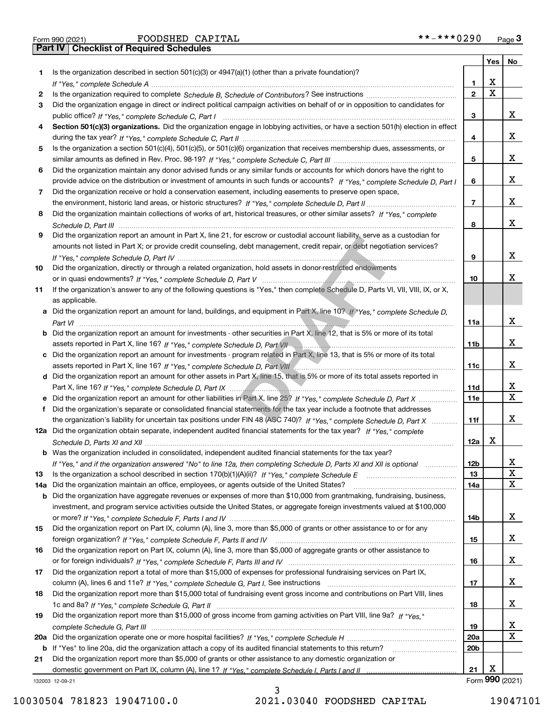|  | Form 990 (2021) |
|--|-----------------|

|     |                                                                                                                                                                                                                                |                 |             | Yes   No        |
|-----|--------------------------------------------------------------------------------------------------------------------------------------------------------------------------------------------------------------------------------|-----------------|-------------|-----------------|
| 1   | Is the organization described in section $501(c)(3)$ or $4947(a)(1)$ (other than a private foundation)?                                                                                                                        |                 |             |                 |
|     |                                                                                                                                                                                                                                | 1               | X           |                 |
| 2   |                                                                                                                                                                                                                                | $\mathbf{2}$    | $\mathbf X$ |                 |
| 3   | Did the organization engage in direct or indirect political campaign activities on behalf of or in opposition to candidates for                                                                                                |                 |             |                 |
|     |                                                                                                                                                                                                                                | 3               |             | х               |
| 4   | Section 501(c)(3) organizations. Did the organization engage in lobbying activities, or have a section 501(h) election in effect                                                                                               |                 |             |                 |
|     |                                                                                                                                                                                                                                | 4               |             | х               |
| 5   | Is the organization a section 501(c)(4), 501(c)(5), or 501(c)(6) organization that receives membership dues, assessments, or                                                                                                   |                 |             |                 |
|     |                                                                                                                                                                                                                                | 5               |             | х               |
| 6   | Did the organization maintain any donor advised funds or any similar funds or accounts for which donors have the right to                                                                                                      |                 |             |                 |
|     | provide advice on the distribution or investment of amounts in such funds or accounts? If "Yes," complete Schedule D, Part I                                                                                                   | 6               |             | х               |
| 7   | Did the organization receive or hold a conservation easement, including easements to preserve open space,                                                                                                                      |                 |             |                 |
|     |                                                                                                                                                                                                                                | $\overline{7}$  |             | х               |
| 8   | Did the organization maintain collections of works of art, historical treasures, or other similar assets? If "Yes," complete                                                                                                   |                 |             |                 |
|     |                                                                                                                                                                                                                                | 8               |             | х               |
| 9   | Did the organization report an amount in Part X, line 21, for escrow or custodial account liability, serve as a custodian for                                                                                                  |                 |             |                 |
|     | amounts not listed in Part X; or provide credit counseling, debt management, credit repair, or debt negotiation services?                                                                                                      |                 |             |                 |
|     |                                                                                                                                                                                                                                | 9               |             | х               |
|     | Did the organization, directly or through a related organization, hold assets in donor-restricted endowments                                                                                                                   |                 |             |                 |
| 10  |                                                                                                                                                                                                                                |                 |             | x.              |
|     |                                                                                                                                                                                                                                | 10              |             |                 |
| 11  | If the organization's answer to any of the following questions is "Yes," then complete Schedule D, Parts VI, VII, VIII, IX, or X,                                                                                              |                 |             |                 |
|     | as applicable.                                                                                                                                                                                                                 |                 |             |                 |
|     | a Did the organization report an amount for land, buildings, and equipment in Part X, line 10? If "Yes," complete Schedule D,                                                                                                  |                 |             |                 |
|     |                                                                                                                                                                                                                                | 11a             |             | х               |
|     | <b>b</b> Did the organization report an amount for investments - other securities in Part X, line 12, that is 5% or more of its total                                                                                          |                 |             |                 |
|     | assets reported in Part X, line 16? If "Yes," complete Schedule D, Part VII manual manuscription control in Part X, line 16? If "Yes," complete Schedule D, Part VII manual manuscription of the Schedule D, Part VII manuscri | 11 <sub>b</sub> |             | х               |
|     | c Did the organization report an amount for investments - program related in Part X, line 13, that is 5% or more of its total                                                                                                  |                 |             |                 |
|     |                                                                                                                                                                                                                                | 11c             |             | х               |
|     | d Did the organization report an amount for other assets in Part X, line 15, that is 5% or more of its total assets reported in                                                                                                |                 |             |                 |
|     |                                                                                                                                                                                                                                | 11d             |             | x               |
|     |                                                                                                                                                                                                                                | <b>11e</b>      |             | X               |
| f   | Did the organization's separate or consolidated financial statements for the tax year include a footnote that addresses                                                                                                        |                 |             |                 |
|     | the organization's liability for uncertain tax positions under FIN 48 (ASC 740)? If "Yes," complete Schedule D, Part X                                                                                                         | 11f             |             | х               |
|     | 12a Did the organization obtain separate, independent audited financial statements for the tax year? If "Yes," complete                                                                                                        |                 |             |                 |
|     |                                                                                                                                                                                                                                | 12a             | x           |                 |
|     | <b>b</b> Was the organization included in consolidated, independent audited financial statements for the tax year?                                                                                                             |                 |             |                 |
|     | If "Yes," and if the organization answered "No" to line 12a, then completing Schedule D, Parts XI and XII is optional                                                                                                          | 12 <sub>b</sub> |             | х               |
| 13  | Is the organization a school described in section 170(b)(1)(A)(ii)? If "Yes," complete Schedule E                                                                                                                              | 13              |             | $\mathbf X$     |
| 14a | Did the organization maintain an office, employees, or agents outside of the United States?                                                                                                                                    | 14a             |             | x               |
| b   | Did the organization have aggregate revenues or expenses of more than \$10,000 from grantmaking, fundraising, business,                                                                                                        |                 |             |                 |
|     | investment, and program service activities outside the United States, or aggregate foreign investments valued at \$100,000                                                                                                     |                 |             |                 |
|     |                                                                                                                                                                                                                                | 14b             |             | x               |
| 15  | Did the organization report on Part IX, column (A), line 3, more than \$5,000 of grants or other assistance to or for any                                                                                                      |                 |             |                 |
|     |                                                                                                                                                                                                                                | 15              |             | x               |
| 16  | Did the organization report on Part IX, column (A), line 3, more than \$5,000 of aggregate grants or other assistance to                                                                                                       |                 |             |                 |
|     |                                                                                                                                                                                                                                | 16              |             | x               |
| 17  | Did the organization report a total of more than \$15,000 of expenses for professional fundraising services on Part IX,                                                                                                        |                 |             |                 |
|     |                                                                                                                                                                                                                                | 17              |             | x               |
| 18  | Did the organization report more than \$15,000 total of fundraising event gross income and contributions on Part VIII, lines                                                                                                   |                 |             |                 |
|     |                                                                                                                                                                                                                                | 18              |             | x               |
|     | Did the organization report more than \$15,000 of gross income from gaming activities on Part VIII, line 9a? If "Yes."                                                                                                         |                 |             |                 |
| 19  |                                                                                                                                                                                                                                |                 |             | X               |
|     |                                                                                                                                                                                                                                | 19              |             | Χ               |
|     |                                                                                                                                                                                                                                | 20a             |             |                 |
| b   | If "Yes" to line 20a, did the organization attach a copy of its audited financial statements to this return?                                                                                                                   | 20 <sub>b</sub> |             |                 |
| 21  | Did the organization report more than \$5,000 of grants or other assistance to any domestic organization or                                                                                                                    |                 |             |                 |
|     |                                                                                                                                                                                                                                | 21              | X           |                 |
|     | 132003 12-09-21                                                                                                                                                                                                                |                 |             | Form 990 (2021) |

3 10030504 781823 19047100.0 2021.03040 FOODSHED CAPITAL 19047101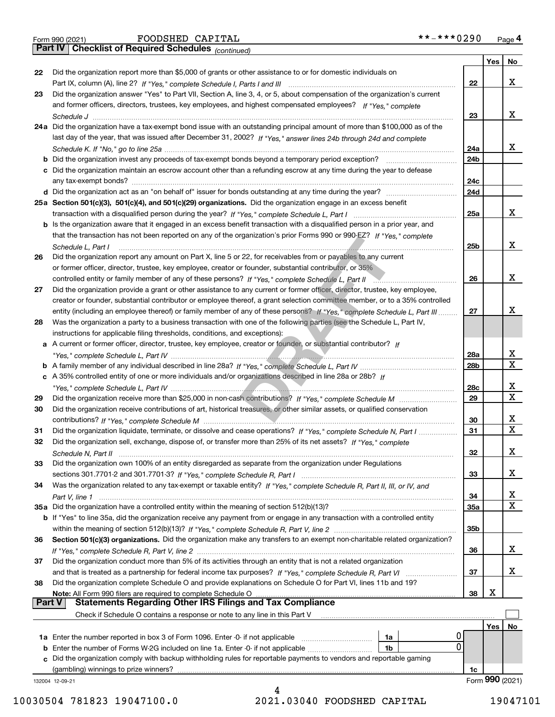|  | Form 990 (2021) |
|--|-----------------|

*(continued)*

|        |                                                                                                                              |                 | Yes | No                      |
|--------|------------------------------------------------------------------------------------------------------------------------------|-----------------|-----|-------------------------|
| 22     | Did the organization report more than \$5,000 of grants or other assistance to or for domestic individuals on                |                 |     |                         |
|        |                                                                                                                              | 22              |     | x                       |
| 23     | Did the organization answer "Yes" to Part VII, Section A, line 3, 4, or 5, about compensation of the organization's current  |                 |     |                         |
|        | and former officers, directors, trustees, key employees, and highest compensated employees? If "Yes," complete               |                 |     |                         |
|        |                                                                                                                              | 23              |     | x                       |
|        | 24a Did the organization have a tax-exempt bond issue with an outstanding principal amount of more than \$100,000 as of the  |                 |     |                         |
|        | last day of the year, that was issued after December 31, 2002? If "Yes," answer lines 24b through 24d and complete           |                 |     |                         |
|        |                                                                                                                              | 24a             |     | x                       |
|        | <b>b</b> Did the organization invest any proceeds of tax-exempt bonds beyond a temporary period exception?                   | 24 <sub>b</sub> |     |                         |
|        | c Did the organization maintain an escrow account other than a refunding escrow at any time during the year to defease       |                 |     |                         |
|        | any tax-exempt bonds?                                                                                                        | 24c             |     |                         |
|        | d Did the organization act as an "on behalf of" issuer for bonds outstanding at any time during the year?                    | 24d             |     |                         |
|        | 25a Section 501(c)(3), 501(c)(4), and 501(c)(29) organizations. Did the organization engage in an excess benefit             |                 |     |                         |
|        |                                                                                                                              | 25a             |     | x                       |
|        | b Is the organization aware that it engaged in an excess benefit transaction with a disqualified person in a prior year, and |                 |     |                         |
|        | that the transaction has not been reported on any of the organization's prior Forms 990 or 990-EZ? If "Yes," complete        |                 |     |                         |
|        | Schedule L. Part I                                                                                                           | 25b             |     | х                       |
| 26     | Did the organization report any amount on Part X, line 5 or 22, for receivables from or payables to any current              |                 |     |                         |
|        | or former officer, director, trustee, key employee, creator or founder, substantial contributor, or 35%                      |                 |     |                         |
|        | controlled entity or family member of any of these persons? If "Yes," complete Schedule L, Part II                           | 26              |     | х                       |
| 27     | Did the organization provide a grant or other assistance to any current or former officer, director, trustee, key employee,  |                 |     |                         |
|        | creator or founder, substantial contributor or employee thereof, a grant selection committee member, or to a 35% controlled  |                 |     |                         |
|        | entity (including an employee thereof) or family member of any of these persons? If "Yes," complete Schedule L, Part III     | 27              |     | x                       |
| 28     | Was the organization a party to a business transaction with one of the following parties (see the Schedule L, Part IV,       |                 |     |                         |
|        | instructions for applicable filing thresholds, conditions, and exceptions):                                                  |                 |     |                         |
|        | a A current or former officer, director, trustee, key employee, creator or founder, or substantial contributor? If           |                 |     |                         |
|        |                                                                                                                              | 28a             |     | х                       |
|        |                                                                                                                              | 28b             |     | $\overline{\mathbf{x}}$ |
|        |                                                                                                                              |                 |     |                         |
|        | c A 35% controlled entity of one or more individuals and/or organizations described in line 28a or 28b? If                   |                 |     | х                       |
|        |                                                                                                                              | 28c             |     | $\mathbf X$             |
| 29     |                                                                                                                              | 29              |     |                         |
| 30     | Did the organization receive contributions of art, historical treasures, or other similar assets, or qualified conservation  |                 |     | х                       |
|        |                                                                                                                              | 30              |     | $\mathbf X$             |
| 31     | Did the organization liquidate, terminate, or dissolve and cease operations? If "Yes," complete Schedule N, Part I           | 31              |     |                         |
| 32     | Did the organization sell, exchange, dispose of, or transfer more than 25% of its net assets? If "Yes," complete             |                 |     |                         |
|        | Schedule N, Part II                                                                                                          | 32              |     | X                       |
| 33     | Did the organization own 100% of an entity disregarded as separate from the organization under Regulations                   |                 |     |                         |
|        |                                                                                                                              | 33              |     | х                       |
| 34     | Was the organization related to any tax-exempt or taxable entity? If "Yes," complete Schedule R, Part II, III, or IV, and    |                 |     |                         |
|        |                                                                                                                              | 34              |     | х                       |
|        | 35a Did the organization have a controlled entity within the meaning of section 512(b)(13)?                                  | <b>35a</b>      |     | X                       |
|        | b If "Yes" to line 35a, did the organization receive any payment from or engage in any transaction with a controlled entity  |                 |     |                         |
|        |                                                                                                                              | 35b             |     |                         |
| 36     | Section 501(c)(3) organizations. Did the organization make any transfers to an exempt non-charitable related organization?   |                 |     |                         |
|        |                                                                                                                              | 36              |     | x                       |
| 37     | Did the organization conduct more than 5% of its activities through an entity that is not a related organization             |                 |     |                         |
|        | and that is treated as a partnership for federal income tax purposes? If "Yes," complete Schedule R, Part VI                 | 37              |     | x                       |
| 38     | Did the organization complete Schedule O and provide explanations on Schedule O for Part VI, lines 11b and 19?               |                 |     |                         |
|        | Note: All Form 990 filers are required to complete Schedule O                                                                | 38              | X   |                         |
| Part V | <b>Statements Regarding Other IRS Filings and Tax Compliance</b>                                                             |                 |     |                         |
|        | Check if Schedule O contains a response or note to any line in this Part V                                                   |                 |     |                         |
|        |                                                                                                                              |                 | Yes | No                      |
|        | 1a Enter the number reported in box 3 of Form 1096. Enter -0- if not applicable<br>1a                                        |                 |     |                         |
|        | 0<br><b>b</b> Enter the number of Forms W-2G included on line 1a. Enter -0- if not applicable <i>manumumum</i><br>1b         |                 |     |                         |
| c      | Did the organization comply with backup withholding rules for reportable payments to vendors and reportable gaming           |                 |     |                         |
|        | (gambling) winnings to prize winners?                                                                                        | 1c              |     |                         |
|        | 132004 12-09-21                                                                                                              |                 |     | Form 990 (2021)         |
|        |                                                                                                                              |                 |     |                         |

10030504 781823 19047100.0 2021.03040 FOODSHED CAPITAL 19047101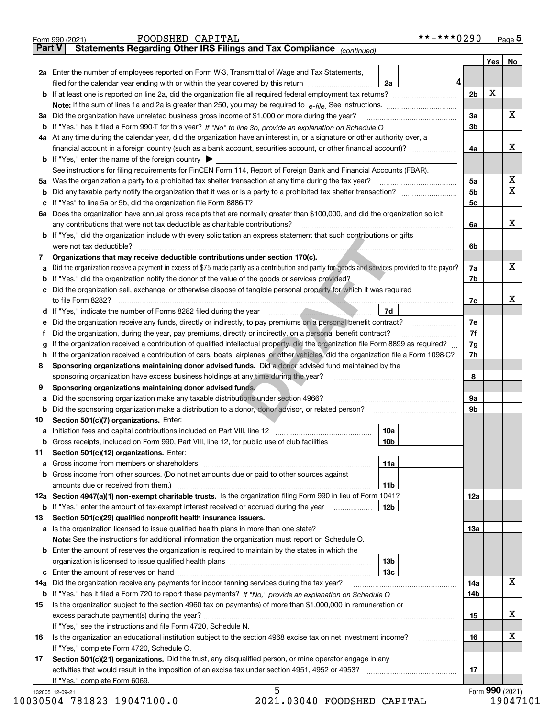|        | **-***0290<br>FOODSHED CAPITAL<br>Form 990 (2021)                                                                                                                                                                                    |                |     | Page 5          |
|--------|--------------------------------------------------------------------------------------------------------------------------------------------------------------------------------------------------------------------------------------|----------------|-----|-----------------|
| Part V | Statements Regarding Other IRS Filings and Tax Compliance (continued)                                                                                                                                                                |                |     |                 |
|        |                                                                                                                                                                                                                                      |                | Yes | No              |
|        | 2a Enter the number of employees reported on Form W-3, Transmittal of Wage and Tax Statements,                                                                                                                                       |                |     |                 |
|        | 4<br>filed for the calendar year ending with or within the year covered by this return<br>2a                                                                                                                                         |                |     |                 |
|        | <b>b</b> If at least one is reported on line 2a, did the organization file all required federal employment tax returns?                                                                                                              | 2 <sub>b</sub> | X   |                 |
|        | Note: If the sum of lines 1a and 2a is greater than 250, you may be required to $e$ -file. See instructions. $\ldots$                                                                                                                |                |     |                 |
|        | 3a Did the organization have unrelated business gross income of \$1,000 or more during the year?                                                                                                                                     | За             |     | X               |
|        | <b>b</b> If "Yes," has it filed a Form 990-T for this year? If "No" to line 3b, provide an explanation on Schedule O                                                                                                                 | 3b             |     |                 |
|        | 4a At any time during the calendar year, did the organization have an interest in, or a signature or other authority over, a                                                                                                         |                |     |                 |
|        | financial account in a foreign country (such as a bank account, securities account, or other financial account)?                                                                                                                     | 4a             |     | х               |
|        | <b>b</b> If "Yes," enter the name of the foreign country $\triangleright$                                                                                                                                                            |                |     |                 |
|        | See instructions for filing requirements for FinCEN Form 114, Report of Foreign Bank and Financial Accounts (FBAR).                                                                                                                  |                |     |                 |
|        | 5a Was the organization a party to a prohibited tax shelter transaction at any time during the tax year?                                                                                                                             | 5a             |     | X               |
| b      | Did any taxable party notify the organization that it was or is a party to a prohibited tax shelter transaction?                                                                                                                     | 5 <sub>b</sub> |     | X               |
| с      |                                                                                                                                                                                                                                      | 5 <sub>c</sub> |     |                 |
| 6а     | Does the organization have annual gross receipts that are normally greater than \$100,000, and did the organization solicit                                                                                                          |                |     |                 |
|        | any contributions that were not tax deductible as charitable contributions?                                                                                                                                                          | 6a             |     | X               |
|        | <b>b</b> If "Yes," did the organization include with every solicitation an express statement that such contributions or gifts                                                                                                        |                |     |                 |
|        | were not tax deductible?                                                                                                                                                                                                             | 6b             |     |                 |
| 7      | Organizations that may receive deductible contributions under section 170(c).                                                                                                                                                        |                |     |                 |
| a      | Did the organization receive a payment in excess of \$75 made partly as a contribution and partly for goods and services provided to the payor?                                                                                      | 7a             |     | X               |
| b      | If "Yes," did the organization notify the donor of the value of the goods or services provided?                                                                                                                                      | 7b             |     |                 |
| c      | Did the organization sell, exchange, or otherwise dispose of tangible personal property for which it was required                                                                                                                    |                |     |                 |
|        | to file Form 8282?                                                                                                                                                                                                                   | 7с             |     | х               |
| d      | 7d<br>If "Yes," indicate the number of Forms 8282 filed during the year manufactured and the second state in the second state of the second state in the second state in the second state in the second state in the second state in |                |     |                 |
| е      | Did the organization receive any funds, directly or indirectly, to pay premiums on a personal benefit contract?                                                                                                                      | 7е             |     |                 |
| Ť      | Did the organization, during the year, pay premiums, directly or indirectly, on a personal benefit contract?                                                                                                                         | 7f             |     |                 |
| g      | If the organization received a contribution of qualified intellectual property, did the organization file Form 8899 as required?                                                                                                     | 7g             |     |                 |
| h      | If the organization received a contribution of cars, boats, airplanes, or other vehicles, did the organization file a Form 1098-C?                                                                                                   | 7h             |     |                 |
| 8      | Sponsoring organizations maintaining donor advised funds. Did a donor advised fund maintained by the                                                                                                                                 |                |     |                 |
|        | sponsoring organization have excess business holdings at any time during the year?                                                                                                                                                   | 8              |     |                 |
| 9      | Sponsoring organizations maintaining donor advised funds.                                                                                                                                                                            |                |     |                 |
| а      | Did the sponsoring organization make any taxable distributions under section 4966?                                                                                                                                                   | 9а             |     |                 |
| b      | Did the sponsoring organization make a distribution to a donor, donor advisor, or related person?                                                                                                                                    | 9b             |     |                 |
| 10     | Section 501(c)(7) organizations. Enter:                                                                                                                                                                                              |                |     |                 |
| а      | 10a                                                                                                                                                                                                                                  |                |     |                 |
| b      | Gross receipts, included on Form 990, Part VIII, line 12, for public use of club facilities<br>10b                                                                                                                                   |                |     |                 |
| 11     | Section 501(c)(12) organizations. Enter:                                                                                                                                                                                             |                |     |                 |
| а      | 11a                                                                                                                                                                                                                                  |                |     |                 |
| b      | Gross income from other sources. (Do not net amounts due or paid to other sources against                                                                                                                                            |                |     |                 |
|        | amounts due or received from them.)<br>11b                                                                                                                                                                                           |                |     |                 |
|        | 12a Section 4947(a)(1) non-exempt charitable trusts. Is the organization filing Form 990 in lieu of Form 1041?                                                                                                                       | 12a            |     |                 |
| b      | If "Yes," enter the amount of tax-exempt interest received or accrued during the year<br>12b                                                                                                                                         |                |     |                 |
| 13     | Section 501(c)(29) qualified nonprofit health insurance issuers.                                                                                                                                                                     |                |     |                 |
| а      | Is the organization licensed to issue qualified health plans in more than one state?                                                                                                                                                 | 13a            |     |                 |
|        | <b>Note:</b> See the instructions for additional information the organization must report on Schedule O.                                                                                                                             |                |     |                 |
| b      | Enter the amount of reserves the organization is required to maintain by the states in which the                                                                                                                                     |                |     |                 |
|        | 13b                                                                                                                                                                                                                                  |                |     |                 |
| с      | 13с                                                                                                                                                                                                                                  |                |     |                 |
| 14a    | Did the organization receive any payments for indoor tanning services during the tax year?                                                                                                                                           | 14a            |     | X               |
| b      |                                                                                                                                                                                                                                      | 14b            |     |                 |
| 15     | Is the organization subject to the section 4960 tax on payment(s) of more than \$1,000,000 in remuneration or                                                                                                                        |                |     |                 |
|        |                                                                                                                                                                                                                                      | 15             |     | х               |
|        | If "Yes," see the instructions and file Form 4720, Schedule N.                                                                                                                                                                       |                |     |                 |
| 16     | Is the organization an educational institution subject to the section 4968 excise tax on net investment income?                                                                                                                      | 16             |     | х               |
|        | If "Yes," complete Form 4720, Schedule O.                                                                                                                                                                                            |                |     |                 |
| 17     | Section 501(c)(21) organizations. Did the trust, any disqualified person, or mine operator engage in any                                                                                                                             |                |     |                 |
|        |                                                                                                                                                                                                                                      | 17             |     |                 |
|        | If "Yes," complete Form 6069.                                                                                                                                                                                                        |                |     |                 |
|        | 5<br>132005 12-09-21                                                                                                                                                                                                                 |                |     | Form 990 (2021) |

10030504 781823 19047100.0 2021.03040 FOODSHED CAPITAL 19047101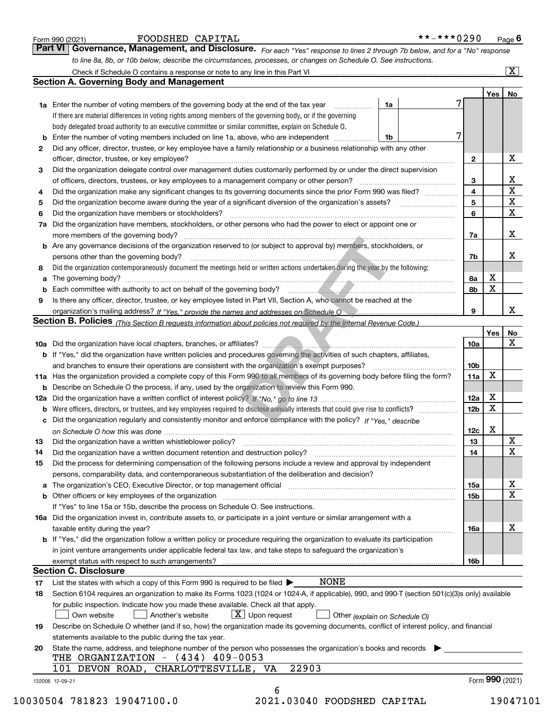|    |                                                                                                                                                                            |                 |          | $\overline{\mathbf{x}}$ |  |  |
|----|----------------------------------------------------------------------------------------------------------------------------------------------------------------------------|-----------------|----------|-------------------------|--|--|
|    | <b>Section A. Governing Body and Management</b>                                                                                                                            |                 |          |                         |  |  |
|    |                                                                                                                                                                            |                 | Yes   No |                         |  |  |
|    | <b>1a</b> Enter the number of voting members of the governing body at the end of the tax year<br>1a                                                                        |                 |          |                         |  |  |
|    | If there are material differences in voting rights among members of the governing body, or if the governing                                                                |                 |          |                         |  |  |
|    | body delegated broad authority to an executive committee or similar committee, explain on Schedule O.                                                                      |                 |          |                         |  |  |
|    | Enter the number of voting members included on line 1a, above, who are independent<br>1b                                                                                   | 7               |          |                         |  |  |
| 2  | Did any officer, director, trustee, or key employee have a family relationship or a business relationship with any other                                                   |                 |          |                         |  |  |
|    | officer, director, trustee, or key employee?                                                                                                                               | $\mathbf{2}$    |          | х                       |  |  |
| 3  | Did the organization delegate control over management duties customarily performed by or under the direct supervision                                                      |                 |          |                         |  |  |
|    | of officers, directors, trustees, or key employees to a management company or other person?                                                                                | 3               |          | $\underline{x}$         |  |  |
| 4  | Did the organization make any significant changes to its governing documents since the prior Form 990 was filed?                                                           | 4               |          | $\overline{\mathbf{x}}$ |  |  |
| 5  |                                                                                                                                                                            | 5               |          | $\overline{\mathbf{x}}$ |  |  |
| 6  | Did the organization have members or stockholders?                                                                                                                         | 6               |          | $\overline{\mathbf{x}}$ |  |  |
| 7a | Did the organization have members, stockholders, or other persons who had the power to elect or appoint one or                                                             |                 |          |                         |  |  |
|    |                                                                                                                                                                            | 7a              |          | X                       |  |  |
|    | <b>b</b> Are any governance decisions of the organization reserved to (or subject to approval by) members, stockholders, or                                                |                 |          |                         |  |  |
|    | persons other than the governing body?                                                                                                                                     | 7b              |          | х                       |  |  |
| 8  | Did the organization contemporaneously document the meetings held or written actions undertaken during the year by the following:                                          |                 |          |                         |  |  |
| а  |                                                                                                                                                                            | 8а              | х        |                         |  |  |
| b  |                                                                                                                                                                            | 8b              | X        |                         |  |  |
| 9  | Is there any officer, director, trustee, or key employee listed in Part VII, Section A, who cannot be reached at the                                                       |                 |          |                         |  |  |
|    |                                                                                                                                                                            | 9               |          | x                       |  |  |
|    | Section B. Policies (This Section B requests information about policies not required by the Internal Revenue Code.)                                                        |                 |          |                         |  |  |
|    |                                                                                                                                                                            |                 | Yes      | No                      |  |  |
|    |                                                                                                                                                                            | 10a             |          | X                       |  |  |
|    | <b>b</b> If "Yes," did the organization have written policies and procedures governing the activities of such chapters, affiliates,                                        |                 |          |                         |  |  |
|    |                                                                                                                                                                            | 10 <sub>b</sub> |          |                         |  |  |
|    | 11a Has the organization provided a complete copy of this Form 990 to all members of its governing body before filing the form?                                            | 11a             | x        |                         |  |  |
|    | <b>b</b> Describe on Schedule O the process, if any, used by the organization to review this Form 990.                                                                     |                 | x        |                         |  |  |
|    |                                                                                                                                                                            |                 |          |                         |  |  |
| b  | Were officers, directors, or trustees, and key employees required to disclose annually interests that could give rise to conflicts?                                        | 12 <sub>b</sub> | x        |                         |  |  |
|    | c Did the organization regularly and consistently monitor and enforce compliance with the policy? If "Yes," describe                                                       |                 |          |                         |  |  |
|    |                                                                                                                                                                            | 12c             | X        |                         |  |  |
| 13 |                                                                                                                                                                            | 13              |          | $\overline{\textbf{X}}$ |  |  |
| 14 | Did the organization have a written document retention and destruction policy? manufactured and the organization have a written document retention and destruction policy? | 14              |          | $\mathbf X$             |  |  |
| 15 | Did the process for determining compensation of the following persons include a review and approval by independent                                                         |                 |          |                         |  |  |
|    | persons, comparability data, and contemporaneous substantiation of the deliberation and decision?                                                                          |                 |          |                         |  |  |
|    | a The organization's CEO, Executive Director, or top management official [111] [11] manument material manument                                                             | 15a             |          | х                       |  |  |
|    |                                                                                                                                                                            | 15b             |          | X                       |  |  |
|    | If "Yes" to line 15a or 15b, describe the process on Schedule O. See instructions.                                                                                         |                 |          |                         |  |  |
|    | 16a Did the organization invest in, contribute assets to, or participate in a joint venture or similar arrangement with a                                                  |                 |          |                         |  |  |
|    | taxable entity during the year?                                                                                                                                            | 16a             |          | х                       |  |  |
|    | b If "Yes," did the organization follow a written policy or procedure requiring the organization to evaluate its participation                                             |                 |          |                         |  |  |
|    | in joint venture arrangements under applicable federal tax law, and take steps to safequard the organization's                                                             |                 |          |                         |  |  |
|    |                                                                                                                                                                            | 16b             |          |                         |  |  |
|    | <b>Section C. Disclosure</b>                                                                                                                                               |                 |          |                         |  |  |
| 17 | <b>NONE</b><br>List the states with which a copy of this Form 990 is required to be filed $\blacktriangleright$                                                            |                 |          |                         |  |  |
| 18 | Section 6104 requires an organization to make its Forms 1023 (1024 or 1024-A, if applicable), 990, and 990-T (section 501(c)(3)s only) available                           |                 |          |                         |  |  |
|    | for public inspection. Indicate how you made these available. Check all that apply.                                                                                        |                 |          |                         |  |  |
|    | $\lfloor X \rfloor$ Upon request<br>Another's website<br>Own website<br>Other (explain on Schedule O)                                                                      |                 |          |                         |  |  |
|    | Describe on Schedule O whether (and if so, how) the organization made its governing documents, conflict of interest policy, and financial                                  |                 |          |                         |  |  |
| 19 | statements available to the public during the tax year.                                                                                                                    |                 |          |                         |  |  |
|    |                                                                                                                                                                            |                 |          |                         |  |  |
| 20 | State the name, address, and telephone number of the person who possesses the organization's books and records                                                             |                 |          |                         |  |  |
|    | THE ORGANIZATION $-$ (434) 409-0053<br>22903<br>101 DEVON ROAD, CHARLOTTESVILLE, VA                                                                                        |                 |          |                         |  |  |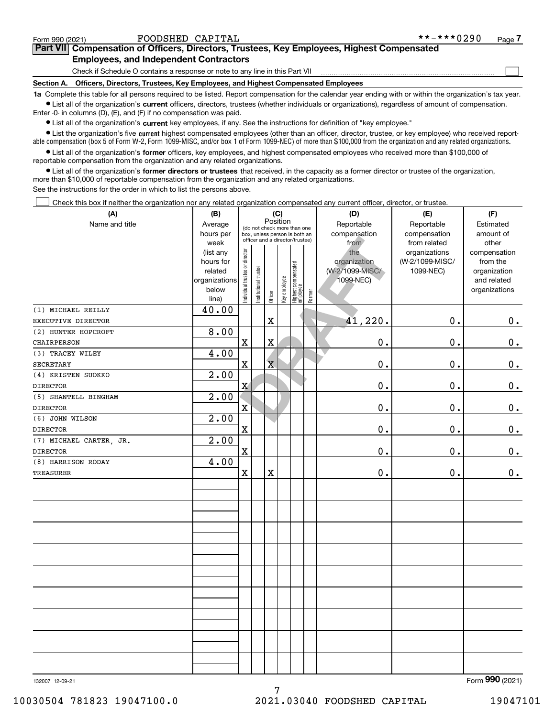$\mathcal{L}^{\text{max}}$ 

# **7Part VII Compensation of Officers, Directors, Trustees, Key Employees, Highest Compensated Employees, and Independent Contractors**

Check if Schedule O contains a response or note to any line in this Part VII

**Section A. Officers, Directors, Trustees, Key Employees, and Highest Compensated Employees**

**1a**  Complete this table for all persons required to be listed. Report compensation for the calendar year ending with or within the organization's tax year. **•** List all of the organization's current officers, directors, trustees (whether individuals or organizations), regardless of amount of compensation.

Enter -0- in columns (D), (E), and (F) if no compensation was paid.

 $\bullet$  List all of the organization's  $\sf current$  key employees, if any. See the instructions for definition of "key employee."

**•** List the organization's five current highest compensated employees (other than an officer, director, trustee, or key employee) who received reportable compensation (box 5 of Form W-2, Form 1099-MISC, and/or box 1 of Form 1099-NEC) of more than \$100,000 from the organization and any related organizations.

**•** List all of the organization's former officers, key employees, and highest compensated employees who received more than \$100,000 of reportable compensation from the organization and any related organizations.

**former directors or trustees**  ¥ List all of the organization's that received, in the capacity as a former director or trustee of the organization, more than \$10,000 of reportable compensation from the organization and any related organizations.

See the instructions for the order in which to list the persons above.

Check this box if neither the organization nor any related organization compensated any current officer, director, or trustee.  $\mathcal{L}^{\text{max}}$ 

| (A)                     | (B)                    | (C)<br>Position                |                       |                         |              |                                                                  |        | (D)                 | (E)                              | (F)                      |
|-------------------------|------------------------|--------------------------------|-----------------------|-------------------------|--------------|------------------------------------------------------------------|--------|---------------------|----------------------------------|--------------------------|
| Name and title          | Average                |                                |                       |                         |              | (do not check more than one                                      |        | Reportable          | Reportable                       | Estimated                |
|                         | hours per              |                                |                       |                         |              | box, unless person is both an<br>officer and a director/trustee) |        | compensation        | compensation                     | amount of                |
|                         | week                   |                                |                       |                         |              |                                                                  |        | from                | from related                     | other                    |
|                         | (list any<br>hours for |                                |                       |                         |              |                                                                  |        | the<br>organization | organizations<br>(W-2/1099-MISC/ | compensation<br>from the |
|                         | related                |                                |                       |                         |              |                                                                  |        | (W-2/1099-MISC/     | 1099-NEC)                        | organization             |
|                         | organizations          |                                |                       |                         |              |                                                                  |        | 1099-NEC)           |                                  | and related              |
|                         | below                  |                                |                       |                         |              |                                                                  |        |                     |                                  | organizations            |
|                         | line)                  | Individual trustee or director | Institutional trustee | Officer                 | Key employee | Highest compensated<br>employee                                  | Former |                     |                                  |                          |
| (1) MICHAEL REILLY      | 40.00                  |                                |                       |                         |              |                                                                  |        |                     |                                  |                          |
| EXECUTIVE DIRECTOR      |                        |                                |                       | $\mathbf X$             |              |                                                                  |        | 41,220.             | 0.                               | $0_{.}$                  |
| (2) HUNTER HOPCROFT     | 8.00                   |                                |                       |                         |              |                                                                  |        |                     |                                  |                          |
| CHAIRPERSON             |                        | $\mathbf x$                    |                       | $\overline{\textbf{X}}$ |              |                                                                  |        | 0.                  | 0.                               | $0_{.}$                  |
| (3) TRACEY WILEY        | 4.00                   |                                |                       |                         |              |                                                                  |        |                     |                                  |                          |
| <b>SECRETARY</b>        |                        | $\mathbf X$                    |                       | $\overline{\textbf{X}}$ |              |                                                                  |        | 0.                  | 0.                               | $\mathbf 0$ .            |
| (4) KRISTEN SUOKKO      | 2.00                   |                                |                       |                         |              |                                                                  |        |                     |                                  |                          |
| <b>DIRECTOR</b>         |                        | $\mathbf X$                    |                       |                         |              |                                                                  |        | 0.                  | 0.                               | $\mathbf 0$ .            |
| (5) SHANTELL BINGHAM    | 2.00                   |                                |                       |                         |              |                                                                  |        |                     |                                  |                          |
| <b>DIRECTOR</b>         |                        | $\mathbf{x}$                   |                       |                         |              |                                                                  |        | 0.                  | 0.                               | $\mathbf 0$ .            |
| (6) JOHN WILSON         | 2.00                   |                                |                       |                         |              |                                                                  |        |                     |                                  |                          |
| <b>DIRECTOR</b>         |                        | $\mathbf X$                    |                       |                         |              |                                                                  |        | 0.                  | 0.                               | $\mathbf 0$ .            |
| (7) MICHAEL CARTER, JR. | 2.00                   |                                |                       |                         |              |                                                                  |        |                     |                                  |                          |
| <b>DIRECTOR</b>         |                        | $\mathbf X$                    |                       |                         |              |                                                                  |        | $0$ .               | $0$ .                            | $\mathbf 0$ .            |
| (8) HARRISON RODAY      | 4.00                   |                                |                       |                         |              |                                                                  |        |                     |                                  |                          |
| <b>TREASURER</b>        |                        | $\mathbf X$                    |                       | $\mathbf x$             |              |                                                                  |        | 0.                  | 0.                               | $\mathbf 0$ .            |
|                         |                        |                                |                       |                         |              |                                                                  |        |                     |                                  |                          |
|                         |                        |                                |                       |                         |              |                                                                  |        |                     |                                  |                          |
|                         |                        |                                |                       |                         |              |                                                                  |        |                     |                                  |                          |
|                         |                        |                                |                       |                         |              |                                                                  |        |                     |                                  |                          |
|                         |                        |                                |                       |                         |              |                                                                  |        |                     |                                  |                          |
|                         |                        |                                |                       |                         |              |                                                                  |        |                     |                                  |                          |
|                         |                        |                                |                       |                         |              |                                                                  |        |                     |                                  |                          |
|                         |                        |                                |                       |                         |              |                                                                  |        |                     |                                  |                          |
|                         |                        |                                |                       |                         |              |                                                                  |        |                     |                                  |                          |
|                         |                        |                                |                       |                         |              |                                                                  |        |                     |                                  |                          |
|                         |                        |                                |                       |                         |              |                                                                  |        |                     |                                  |                          |
|                         |                        |                                |                       |                         |              |                                                                  |        |                     |                                  |                          |
|                         |                        |                                |                       |                         |              |                                                                  |        |                     |                                  |                          |
|                         |                        |                                |                       |                         |              |                                                                  |        |                     |                                  |                          |
|                         |                        |                                |                       |                         |              |                                                                  |        |                     |                                  |                          |
|                         |                        |                                |                       |                         |              |                                                                  |        |                     |                                  |                          |
|                         |                        |                                |                       |                         |              |                                                                  |        |                     |                                  |                          |
|                         |                        |                                |                       |                         |              |                                                                  |        |                     |                                  | $\overline{2}$           |

7

132007 12-09-21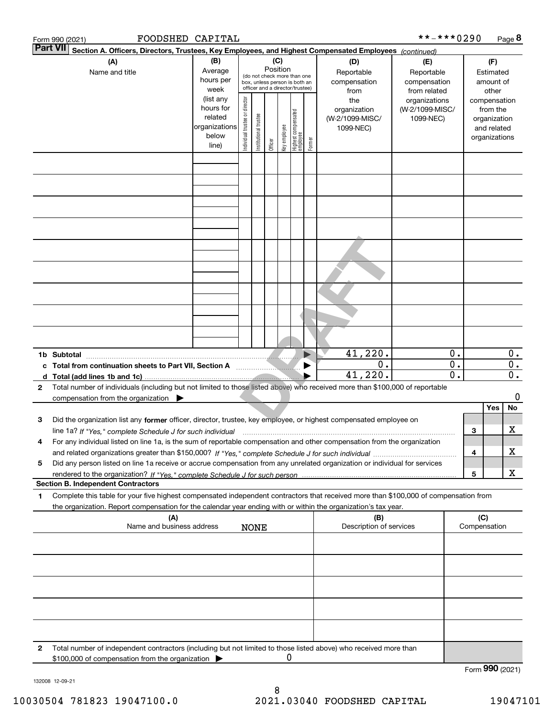|              | FOODSHED CAPITAL<br>Form 990 (2021)                                                                                                                           |                        |                                |                       |          |              |                                                                  |                       |                         | **-***0290                   |                                 |     |                    | Page 8                 |
|--------------|---------------------------------------------------------------------------------------------------------------------------------------------------------------|------------------------|--------------------------------|-----------------------|----------|--------------|------------------------------------------------------------------|-----------------------|-------------------------|------------------------------|---------------------------------|-----|--------------------|------------------------|
| Part VII     | Section A. Officers, Directors, Trustees, Key Employees, and Highest Compensated Employees (continued)                                                        |                        |                                |                       |          |              |                                                                  |                       |                         |                              |                                 |     |                    |                        |
|              | (A)                                                                                                                                                           | (B)                    |                                |                       | (C)      |              |                                                                  |                       | (D)                     | (E)                          |                                 |     | (F)                |                        |
|              | Name and title                                                                                                                                                | Average                |                                |                       | Position |              | (do not check more than one                                      |                       | Reportable              | Reportable                   |                                 |     | Estimated          |                        |
|              |                                                                                                                                                               | hours per<br>week      |                                |                       |          |              | box, unless person is both an<br>officer and a director/trustee) |                       | compensation<br>from    | compensation<br>from related |                                 |     | amount of<br>other |                        |
|              |                                                                                                                                                               | (list any              |                                |                       |          |              |                                                                  |                       | the                     | organizations                |                                 |     | compensation       |                        |
|              |                                                                                                                                                               | hours for              |                                |                       |          |              |                                                                  |                       | organization            | (W-2/1099-MISC/              |                                 |     | from the           |                        |
|              |                                                                                                                                                               | related                |                                |                       |          |              |                                                                  |                       | (W-2/1099-MISC/         | 1099-NEC)                    |                                 |     | organization       |                        |
|              |                                                                                                                                                               | organizations<br>below |                                |                       |          |              |                                                                  |                       | 1099-NEC)               |                              |                                 |     | and related        |                        |
|              |                                                                                                                                                               | line)                  | Individual trustee or director | Institutional trustee | Officer  | Key employee | Highest compensated<br>employee                                  | Former                |                         |                              |                                 |     | organizations      |                        |
|              |                                                                                                                                                               |                        |                                |                       |          |              |                                                                  |                       |                         |                              |                                 |     |                    |                        |
|              |                                                                                                                                                               |                        |                                |                       |          |              |                                                                  |                       |                         |                              |                                 |     |                    |                        |
|              |                                                                                                                                                               |                        |                                |                       |          |              |                                                                  |                       |                         |                              |                                 |     |                    |                        |
|              |                                                                                                                                                               |                        |                                |                       |          |              |                                                                  |                       |                         |                              |                                 |     |                    |                        |
|              |                                                                                                                                                               |                        |                                |                       |          |              |                                                                  |                       |                         |                              |                                 |     |                    |                        |
|              |                                                                                                                                                               |                        |                                |                       |          |              |                                                                  |                       |                         |                              |                                 |     |                    |                        |
|              |                                                                                                                                                               |                        |                                |                       |          |              |                                                                  |                       |                         |                              |                                 |     |                    |                        |
|              |                                                                                                                                                               |                        |                                |                       |          |              |                                                                  |                       |                         |                              |                                 |     |                    |                        |
|              |                                                                                                                                                               |                        |                                |                       |          |              |                                                                  |                       |                         |                              |                                 |     |                    |                        |
|              |                                                                                                                                                               |                        |                                |                       |          |              |                                                                  |                       |                         |                              |                                 |     |                    |                        |
|              |                                                                                                                                                               |                        |                                |                       |          |              |                                                                  |                       |                         |                              |                                 |     |                    |                        |
|              |                                                                                                                                                               |                        |                                |                       |          |              |                                                                  |                       |                         |                              |                                 |     |                    |                        |
|              |                                                                                                                                                               |                        |                                |                       |          |              |                                                                  |                       |                         |                              |                                 |     |                    |                        |
|              |                                                                                                                                                               |                        |                                |                       |          |              |                                                                  |                       |                         |                              |                                 |     |                    |                        |
|              |                                                                                                                                                               |                        |                                |                       |          |              |                                                                  |                       |                         |                              |                                 |     |                    |                        |
|              |                                                                                                                                                               |                        |                                |                       |          |              |                                                                  |                       |                         |                              |                                 |     |                    |                        |
|              |                                                                                                                                                               |                        |                                |                       |          |              |                                                                  |                       |                         |                              |                                 |     |                    |                        |
|              |                                                                                                                                                               |                        |                                |                       |          |              |                                                                  |                       |                         |                              |                                 |     |                    |                        |
|              | 1b Subtotal                                                                                                                                                   |                        |                                |                       |          |              |                                                                  | $\blacktriangleright$ | 41,220.<br>0.           |                              | 0.<br>$\overline{\mathbf{0}}$ . |     |                    | 0.<br>$\overline{0}$ . |
|              | c Total from continuation sheets to Part VII, Section A <b>Conservation</b>                                                                                   |                        |                                |                       |          |              |                                                                  |                       | 41,220.                 |                              | $\overline{\mathfrak{o}}$ .     |     |                    | $\overline{0}$ .       |
| 2            | d Total (add lines 1b and 1c)<br>Total number of individuals (including but not limited to those listed above) who received more than \$100,000 of reportable |                        |                                |                       |          |              |                                                                  |                       |                         |                              |                                 |     |                    |                        |
|              | compensation from the organization $\blacktriangleright$                                                                                                      |                        |                                |                       |          |              |                                                                  |                       |                         |                              |                                 |     |                    | 0                      |
|              |                                                                                                                                                               |                        |                                |                       |          |              |                                                                  |                       |                         |                              |                                 |     | Yes                | No                     |
| 3            | Did the organization list any former officer, director, trustee, key employee, or highest compensated employee on                                             |                        |                                |                       |          |              |                                                                  |                       |                         |                              |                                 |     |                    |                        |
|              | line 1a? If "Yes," complete Schedule J for such individual material content content to the complete Schedule J                                                |                        |                                |                       |          |              |                                                                  |                       |                         |                              |                                 | 3   |                    | х                      |
| 4            | For any individual listed on line 1a, is the sum of reportable compensation and other compensation from the organization                                      |                        |                                |                       |          |              |                                                                  |                       |                         |                              |                                 |     |                    |                        |
|              |                                                                                                                                                               |                        |                                |                       |          |              |                                                                  |                       |                         |                              |                                 | 4   |                    | х                      |
| 5            | Did any person listed on line 1a receive or accrue compensation from any unrelated organization or individual for services                                    |                        |                                |                       |          |              |                                                                  |                       |                         |                              |                                 |     |                    |                        |
|              |                                                                                                                                                               |                        |                                |                       |          |              |                                                                  |                       |                         |                              |                                 | 5   |                    | X                      |
|              | <b>Section B. Independent Contractors</b>                                                                                                                     |                        |                                |                       |          |              |                                                                  |                       |                         |                              |                                 |     |                    |                        |
| 1            | Complete this table for your five highest compensated independent contractors that received more than \$100,000 of compensation from                          |                        |                                |                       |          |              |                                                                  |                       |                         |                              |                                 |     |                    |                        |
|              | the organization. Report compensation for the calendar year ending with or within the organization's tax year.                                                |                        |                                |                       |          |              |                                                                  |                       |                         |                              |                                 |     |                    |                        |
|              | (A)<br>Name and business address                                                                                                                              |                        |                                |                       |          |              |                                                                  |                       | (B)                     |                              |                                 | (C) |                    |                        |
|              |                                                                                                                                                               |                        |                                | <b>NONE</b>           |          |              |                                                                  |                       | Description of services |                              |                                 |     | Compensation       |                        |
|              |                                                                                                                                                               |                        |                                |                       |          |              |                                                                  |                       |                         |                              |                                 |     |                    |                        |
|              |                                                                                                                                                               |                        |                                |                       |          |              |                                                                  |                       |                         |                              |                                 |     |                    |                        |
|              |                                                                                                                                                               |                        |                                |                       |          |              |                                                                  |                       |                         |                              |                                 |     |                    |                        |
|              |                                                                                                                                                               |                        |                                |                       |          |              |                                                                  |                       |                         |                              |                                 |     |                    |                        |
|              |                                                                                                                                                               |                        |                                |                       |          |              |                                                                  |                       |                         |                              |                                 |     |                    |                        |
|              |                                                                                                                                                               |                        |                                |                       |          |              |                                                                  |                       |                         |                              |                                 |     |                    |                        |
|              |                                                                                                                                                               |                        |                                |                       |          |              |                                                                  |                       |                         |                              |                                 |     |                    |                        |
|              |                                                                                                                                                               |                        |                                |                       |          |              |                                                                  |                       |                         |                              |                                 |     |                    |                        |
|              |                                                                                                                                                               |                        |                                |                       |          |              |                                                                  |                       |                         |                              |                                 |     |                    |                        |
| $\mathbf{2}$ | Total number of independent contractors (including but not limited to those listed above) who received more than                                              |                        |                                |                       |          |              |                                                                  |                       |                         |                              |                                 |     |                    |                        |
|              | \$100,000 of compensation from the organization                                                                                                               |                        |                                |                       |          | 0            |                                                                  |                       |                         |                              |                                 |     |                    |                        |
|              |                                                                                                                                                               |                        |                                |                       |          |              |                                                                  |                       |                         |                              |                                 |     |                    | Form 990 (2021)        |

132008 12-09-21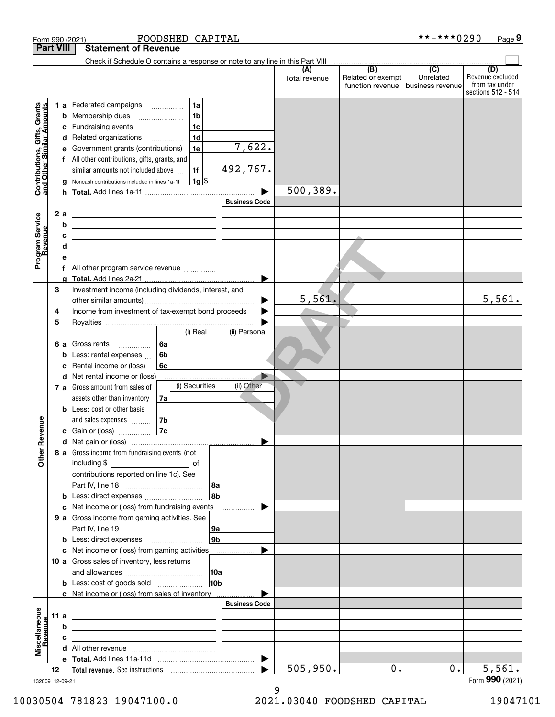| <b>Part VIII</b><br><b>Statement of Revenue</b><br>Check if Schedule O contains a response or note to any line in this Part VIII<br>(B)<br>$\overline{C}$<br>(D)<br>(A)<br>Related or exempt<br>Unrelated<br>Total revenue<br>from tax under<br>function revenue<br>lbusiness revenue<br>sections 512 - 514<br>1a<br>Contributions, Gifts, Grants<br>and Other Similar Amounts<br>1 a Federated campaigns<br>1 <sub>b</sub><br><b>b</b> Membership dues<br>$\ldots \ldots \ldots \ldots \ldots$<br>1 <sub>c</sub><br>Fundraising events<br>с<br>1 <sub>d</sub><br>d Related organizations<br>7,622.<br>1e<br>Government grants (contributions)<br>е<br>f All other contributions, gifts, grants, and<br>492,767.<br>1f<br>similar amounts not included above<br>$1g$ \$<br>Noncash contributions included in lines 1a-1f<br>g<br>500, 389.<br><b>Business Code</b><br>Program Service<br>Revenue<br>2 a<br><u> 1980 - John Stone, Amerikaansk politiker (</u><br>b<br><u> 1989 - Johann Barn, fransk politik amerikansk politik (</u><br>c<br><u> 1980 - Andrea Station Barbara, amerikan personal (</u><br>d<br><u> 1989 - Johann Barn, mars ann an t-Amhain ann an t-Amhain an t-Amhain an t-Amhain an t-Amhain ann an t-Amhain </u><br>е<br>All other program service revenue<br>f<br>▶<br>3<br>Investment income (including dividends, interest, and<br>5,561.<br>5,561.<br>Income from investment of tax-exempt bond proceeds<br>4<br>5<br>(i) Real<br>(ii) Personal<br>6a<br>Gross rents<br>6а<br>6 <sub>b</sub><br>Less: rental expenses<br>b<br>6 <sub>c</sub><br>Rental income or (loss)<br>c<br>d Net rental income or (loss)<br>(i) Securities<br>(ii) Other<br>7 a Gross amount from sales of<br>assets other than inventory<br>7a<br><b>b</b> Less: cost or other basis<br>evenue<br>7b<br>and sales expenses<br>7c<br>c Gain or (loss)<br>Other R<br>8 a Gross income from fundraising events (not<br>contributions reported on line 1c). See<br> 8a<br>l 8b<br><b>b</b> Less: direct expenses <i></i><br>c Net income or (loss) from fundraising events<br>9 a Gross income from gaming activities. See<br>  9a<br>9 <sub>b</sub><br><b>b</b> Less: direct expenses <b>manually</b><br>c Net income or (loss) from gaming activities _______________<br>10 a Gross sales of inventory, less returns<br> 10a<br>10b<br>c Net income or (loss) from sales of inventory<br><b>Business Code</b><br>Miscellaneous<br>11 a<br><u> 2008 - John Stone, Amerikaans en Stone († 18</u><br>evenue<br>b<br><u> 2008 - John Stein, Amerikaansk politiker (</u><br>c<br>the control of the control of the control of the control of the control of<br>505,950.<br>0.<br>0.<br>▶<br>12<br>132009 12-09-21 |  | FOODSHED CAPITAL<br>Form 990 (2021) |  | **-***0290 | Page 9           |
|------------------------------------------------------------------------------------------------------------------------------------------------------------------------------------------------------------------------------------------------------------------------------------------------------------------------------------------------------------------------------------------------------------------------------------------------------------------------------------------------------------------------------------------------------------------------------------------------------------------------------------------------------------------------------------------------------------------------------------------------------------------------------------------------------------------------------------------------------------------------------------------------------------------------------------------------------------------------------------------------------------------------------------------------------------------------------------------------------------------------------------------------------------------------------------------------------------------------------------------------------------------------------------------------------------------------------------------------------------------------------------------------------------------------------------------------------------------------------------------------------------------------------------------------------------------------------------------------------------------------------------------------------------------------------------------------------------------------------------------------------------------------------------------------------------------------------------------------------------------------------------------------------------------------------------------------------------------------------------------------------------------------------------------------------------------------------------------------------------------------------------------------------------------------------------------------------------------------------------------------------------------------------------------------------------------------------------------------------------------------------------------------------------------------------------------------------------------------------------------------------------------------------------------------------------------------------------------------------------------------------------------------------------------------------------------------------------|--|-------------------------------------|--|------------|------------------|
|                                                                                                                                                                                                                                                                                                                                                                                                                                                                                                                                                                                                                                                                                                                                                                                                                                                                                                                                                                                                                                                                                                                                                                                                                                                                                                                                                                                                                                                                                                                                                                                                                                                                                                                                                                                                                                                                                                                                                                                                                                                                                                                                                                                                                                                                                                                                                                                                                                                                                                                                                                                                                                                                                                            |  |                                     |  |            |                  |
|                                                                                                                                                                                                                                                                                                                                                                                                                                                                                                                                                                                                                                                                                                                                                                                                                                                                                                                                                                                                                                                                                                                                                                                                                                                                                                                                                                                                                                                                                                                                                                                                                                                                                                                                                                                                                                                                                                                                                                                                                                                                                                                                                                                                                                                                                                                                                                                                                                                                                                                                                                                                                                                                                                            |  |                                     |  |            |                  |
|                                                                                                                                                                                                                                                                                                                                                                                                                                                                                                                                                                                                                                                                                                                                                                                                                                                                                                                                                                                                                                                                                                                                                                                                                                                                                                                                                                                                                                                                                                                                                                                                                                                                                                                                                                                                                                                                                                                                                                                                                                                                                                                                                                                                                                                                                                                                                                                                                                                                                                                                                                                                                                                                                                            |  |                                     |  |            |                  |
|                                                                                                                                                                                                                                                                                                                                                                                                                                                                                                                                                                                                                                                                                                                                                                                                                                                                                                                                                                                                                                                                                                                                                                                                                                                                                                                                                                                                                                                                                                                                                                                                                                                                                                                                                                                                                                                                                                                                                                                                                                                                                                                                                                                                                                                                                                                                                                                                                                                                                                                                                                                                                                                                                                            |  |                                     |  |            | Revenue excluded |
|                                                                                                                                                                                                                                                                                                                                                                                                                                                                                                                                                                                                                                                                                                                                                                                                                                                                                                                                                                                                                                                                                                                                                                                                                                                                                                                                                                                                                                                                                                                                                                                                                                                                                                                                                                                                                                                                                                                                                                                                                                                                                                                                                                                                                                                                                                                                                                                                                                                                                                                                                                                                                                                                                                            |  |                                     |  |            |                  |
|                                                                                                                                                                                                                                                                                                                                                                                                                                                                                                                                                                                                                                                                                                                                                                                                                                                                                                                                                                                                                                                                                                                                                                                                                                                                                                                                                                                                                                                                                                                                                                                                                                                                                                                                                                                                                                                                                                                                                                                                                                                                                                                                                                                                                                                                                                                                                                                                                                                                                                                                                                                                                                                                                                            |  |                                     |  |            |                  |
|                                                                                                                                                                                                                                                                                                                                                                                                                                                                                                                                                                                                                                                                                                                                                                                                                                                                                                                                                                                                                                                                                                                                                                                                                                                                                                                                                                                                                                                                                                                                                                                                                                                                                                                                                                                                                                                                                                                                                                                                                                                                                                                                                                                                                                                                                                                                                                                                                                                                                                                                                                                                                                                                                                            |  |                                     |  |            |                  |
|                                                                                                                                                                                                                                                                                                                                                                                                                                                                                                                                                                                                                                                                                                                                                                                                                                                                                                                                                                                                                                                                                                                                                                                                                                                                                                                                                                                                                                                                                                                                                                                                                                                                                                                                                                                                                                                                                                                                                                                                                                                                                                                                                                                                                                                                                                                                                                                                                                                                                                                                                                                                                                                                                                            |  |                                     |  |            |                  |
|                                                                                                                                                                                                                                                                                                                                                                                                                                                                                                                                                                                                                                                                                                                                                                                                                                                                                                                                                                                                                                                                                                                                                                                                                                                                                                                                                                                                                                                                                                                                                                                                                                                                                                                                                                                                                                                                                                                                                                                                                                                                                                                                                                                                                                                                                                                                                                                                                                                                                                                                                                                                                                                                                                            |  |                                     |  |            |                  |
|                                                                                                                                                                                                                                                                                                                                                                                                                                                                                                                                                                                                                                                                                                                                                                                                                                                                                                                                                                                                                                                                                                                                                                                                                                                                                                                                                                                                                                                                                                                                                                                                                                                                                                                                                                                                                                                                                                                                                                                                                                                                                                                                                                                                                                                                                                                                                                                                                                                                                                                                                                                                                                                                                                            |  |                                     |  |            |                  |
|                                                                                                                                                                                                                                                                                                                                                                                                                                                                                                                                                                                                                                                                                                                                                                                                                                                                                                                                                                                                                                                                                                                                                                                                                                                                                                                                                                                                                                                                                                                                                                                                                                                                                                                                                                                                                                                                                                                                                                                                                                                                                                                                                                                                                                                                                                                                                                                                                                                                                                                                                                                                                                                                                                            |  |                                     |  |            |                  |
|                                                                                                                                                                                                                                                                                                                                                                                                                                                                                                                                                                                                                                                                                                                                                                                                                                                                                                                                                                                                                                                                                                                                                                                                                                                                                                                                                                                                                                                                                                                                                                                                                                                                                                                                                                                                                                                                                                                                                                                                                                                                                                                                                                                                                                                                                                                                                                                                                                                                                                                                                                                                                                                                                                            |  |                                     |  |            |                  |
|                                                                                                                                                                                                                                                                                                                                                                                                                                                                                                                                                                                                                                                                                                                                                                                                                                                                                                                                                                                                                                                                                                                                                                                                                                                                                                                                                                                                                                                                                                                                                                                                                                                                                                                                                                                                                                                                                                                                                                                                                                                                                                                                                                                                                                                                                                                                                                                                                                                                                                                                                                                                                                                                                                            |  |                                     |  |            |                  |
|                                                                                                                                                                                                                                                                                                                                                                                                                                                                                                                                                                                                                                                                                                                                                                                                                                                                                                                                                                                                                                                                                                                                                                                                                                                                                                                                                                                                                                                                                                                                                                                                                                                                                                                                                                                                                                                                                                                                                                                                                                                                                                                                                                                                                                                                                                                                                                                                                                                                                                                                                                                                                                                                                                            |  |                                     |  |            |                  |
|                                                                                                                                                                                                                                                                                                                                                                                                                                                                                                                                                                                                                                                                                                                                                                                                                                                                                                                                                                                                                                                                                                                                                                                                                                                                                                                                                                                                                                                                                                                                                                                                                                                                                                                                                                                                                                                                                                                                                                                                                                                                                                                                                                                                                                                                                                                                                                                                                                                                                                                                                                                                                                                                                                            |  |                                     |  |            |                  |
|                                                                                                                                                                                                                                                                                                                                                                                                                                                                                                                                                                                                                                                                                                                                                                                                                                                                                                                                                                                                                                                                                                                                                                                                                                                                                                                                                                                                                                                                                                                                                                                                                                                                                                                                                                                                                                                                                                                                                                                                                                                                                                                                                                                                                                                                                                                                                                                                                                                                                                                                                                                                                                                                                                            |  |                                     |  |            |                  |
|                                                                                                                                                                                                                                                                                                                                                                                                                                                                                                                                                                                                                                                                                                                                                                                                                                                                                                                                                                                                                                                                                                                                                                                                                                                                                                                                                                                                                                                                                                                                                                                                                                                                                                                                                                                                                                                                                                                                                                                                                                                                                                                                                                                                                                                                                                                                                                                                                                                                                                                                                                                                                                                                                                            |  |                                     |  |            |                  |
|                                                                                                                                                                                                                                                                                                                                                                                                                                                                                                                                                                                                                                                                                                                                                                                                                                                                                                                                                                                                                                                                                                                                                                                                                                                                                                                                                                                                                                                                                                                                                                                                                                                                                                                                                                                                                                                                                                                                                                                                                                                                                                                                                                                                                                                                                                                                                                                                                                                                                                                                                                                                                                                                                                            |  |                                     |  |            |                  |
|                                                                                                                                                                                                                                                                                                                                                                                                                                                                                                                                                                                                                                                                                                                                                                                                                                                                                                                                                                                                                                                                                                                                                                                                                                                                                                                                                                                                                                                                                                                                                                                                                                                                                                                                                                                                                                                                                                                                                                                                                                                                                                                                                                                                                                                                                                                                                                                                                                                                                                                                                                                                                                                                                                            |  |                                     |  |            |                  |
|                                                                                                                                                                                                                                                                                                                                                                                                                                                                                                                                                                                                                                                                                                                                                                                                                                                                                                                                                                                                                                                                                                                                                                                                                                                                                                                                                                                                                                                                                                                                                                                                                                                                                                                                                                                                                                                                                                                                                                                                                                                                                                                                                                                                                                                                                                                                                                                                                                                                                                                                                                                                                                                                                                            |  |                                     |  |            |                  |
|                                                                                                                                                                                                                                                                                                                                                                                                                                                                                                                                                                                                                                                                                                                                                                                                                                                                                                                                                                                                                                                                                                                                                                                                                                                                                                                                                                                                                                                                                                                                                                                                                                                                                                                                                                                                                                                                                                                                                                                                                                                                                                                                                                                                                                                                                                                                                                                                                                                                                                                                                                                                                                                                                                            |  |                                     |  |            |                  |
|                                                                                                                                                                                                                                                                                                                                                                                                                                                                                                                                                                                                                                                                                                                                                                                                                                                                                                                                                                                                                                                                                                                                                                                                                                                                                                                                                                                                                                                                                                                                                                                                                                                                                                                                                                                                                                                                                                                                                                                                                                                                                                                                                                                                                                                                                                                                                                                                                                                                                                                                                                                                                                                                                                            |  |                                     |  |            |                  |
|                                                                                                                                                                                                                                                                                                                                                                                                                                                                                                                                                                                                                                                                                                                                                                                                                                                                                                                                                                                                                                                                                                                                                                                                                                                                                                                                                                                                                                                                                                                                                                                                                                                                                                                                                                                                                                                                                                                                                                                                                                                                                                                                                                                                                                                                                                                                                                                                                                                                                                                                                                                                                                                                                                            |  |                                     |  |            |                  |
|                                                                                                                                                                                                                                                                                                                                                                                                                                                                                                                                                                                                                                                                                                                                                                                                                                                                                                                                                                                                                                                                                                                                                                                                                                                                                                                                                                                                                                                                                                                                                                                                                                                                                                                                                                                                                                                                                                                                                                                                                                                                                                                                                                                                                                                                                                                                                                                                                                                                                                                                                                                                                                                                                                            |  |                                     |  |            |                  |
|                                                                                                                                                                                                                                                                                                                                                                                                                                                                                                                                                                                                                                                                                                                                                                                                                                                                                                                                                                                                                                                                                                                                                                                                                                                                                                                                                                                                                                                                                                                                                                                                                                                                                                                                                                                                                                                                                                                                                                                                                                                                                                                                                                                                                                                                                                                                                                                                                                                                                                                                                                                                                                                                                                            |  |                                     |  |            |                  |
|                                                                                                                                                                                                                                                                                                                                                                                                                                                                                                                                                                                                                                                                                                                                                                                                                                                                                                                                                                                                                                                                                                                                                                                                                                                                                                                                                                                                                                                                                                                                                                                                                                                                                                                                                                                                                                                                                                                                                                                                                                                                                                                                                                                                                                                                                                                                                                                                                                                                                                                                                                                                                                                                                                            |  |                                     |  |            |                  |
|                                                                                                                                                                                                                                                                                                                                                                                                                                                                                                                                                                                                                                                                                                                                                                                                                                                                                                                                                                                                                                                                                                                                                                                                                                                                                                                                                                                                                                                                                                                                                                                                                                                                                                                                                                                                                                                                                                                                                                                                                                                                                                                                                                                                                                                                                                                                                                                                                                                                                                                                                                                                                                                                                                            |  |                                     |  |            |                  |
|                                                                                                                                                                                                                                                                                                                                                                                                                                                                                                                                                                                                                                                                                                                                                                                                                                                                                                                                                                                                                                                                                                                                                                                                                                                                                                                                                                                                                                                                                                                                                                                                                                                                                                                                                                                                                                                                                                                                                                                                                                                                                                                                                                                                                                                                                                                                                                                                                                                                                                                                                                                                                                                                                                            |  |                                     |  |            |                  |
|                                                                                                                                                                                                                                                                                                                                                                                                                                                                                                                                                                                                                                                                                                                                                                                                                                                                                                                                                                                                                                                                                                                                                                                                                                                                                                                                                                                                                                                                                                                                                                                                                                                                                                                                                                                                                                                                                                                                                                                                                                                                                                                                                                                                                                                                                                                                                                                                                                                                                                                                                                                                                                                                                                            |  |                                     |  |            |                  |
|                                                                                                                                                                                                                                                                                                                                                                                                                                                                                                                                                                                                                                                                                                                                                                                                                                                                                                                                                                                                                                                                                                                                                                                                                                                                                                                                                                                                                                                                                                                                                                                                                                                                                                                                                                                                                                                                                                                                                                                                                                                                                                                                                                                                                                                                                                                                                                                                                                                                                                                                                                                                                                                                                                            |  |                                     |  |            |                  |
|                                                                                                                                                                                                                                                                                                                                                                                                                                                                                                                                                                                                                                                                                                                                                                                                                                                                                                                                                                                                                                                                                                                                                                                                                                                                                                                                                                                                                                                                                                                                                                                                                                                                                                                                                                                                                                                                                                                                                                                                                                                                                                                                                                                                                                                                                                                                                                                                                                                                                                                                                                                                                                                                                                            |  |                                     |  |            |                  |
|                                                                                                                                                                                                                                                                                                                                                                                                                                                                                                                                                                                                                                                                                                                                                                                                                                                                                                                                                                                                                                                                                                                                                                                                                                                                                                                                                                                                                                                                                                                                                                                                                                                                                                                                                                                                                                                                                                                                                                                                                                                                                                                                                                                                                                                                                                                                                                                                                                                                                                                                                                                                                                                                                                            |  |                                     |  |            |                  |
|                                                                                                                                                                                                                                                                                                                                                                                                                                                                                                                                                                                                                                                                                                                                                                                                                                                                                                                                                                                                                                                                                                                                                                                                                                                                                                                                                                                                                                                                                                                                                                                                                                                                                                                                                                                                                                                                                                                                                                                                                                                                                                                                                                                                                                                                                                                                                                                                                                                                                                                                                                                                                                                                                                            |  |                                     |  |            |                  |
|                                                                                                                                                                                                                                                                                                                                                                                                                                                                                                                                                                                                                                                                                                                                                                                                                                                                                                                                                                                                                                                                                                                                                                                                                                                                                                                                                                                                                                                                                                                                                                                                                                                                                                                                                                                                                                                                                                                                                                                                                                                                                                                                                                                                                                                                                                                                                                                                                                                                                                                                                                                                                                                                                                            |  |                                     |  |            |                  |
|                                                                                                                                                                                                                                                                                                                                                                                                                                                                                                                                                                                                                                                                                                                                                                                                                                                                                                                                                                                                                                                                                                                                                                                                                                                                                                                                                                                                                                                                                                                                                                                                                                                                                                                                                                                                                                                                                                                                                                                                                                                                                                                                                                                                                                                                                                                                                                                                                                                                                                                                                                                                                                                                                                            |  |                                     |  |            |                  |
|                                                                                                                                                                                                                                                                                                                                                                                                                                                                                                                                                                                                                                                                                                                                                                                                                                                                                                                                                                                                                                                                                                                                                                                                                                                                                                                                                                                                                                                                                                                                                                                                                                                                                                                                                                                                                                                                                                                                                                                                                                                                                                                                                                                                                                                                                                                                                                                                                                                                                                                                                                                                                                                                                                            |  |                                     |  |            |                  |
|                                                                                                                                                                                                                                                                                                                                                                                                                                                                                                                                                                                                                                                                                                                                                                                                                                                                                                                                                                                                                                                                                                                                                                                                                                                                                                                                                                                                                                                                                                                                                                                                                                                                                                                                                                                                                                                                                                                                                                                                                                                                                                                                                                                                                                                                                                                                                                                                                                                                                                                                                                                                                                                                                                            |  |                                     |  |            |                  |
|                                                                                                                                                                                                                                                                                                                                                                                                                                                                                                                                                                                                                                                                                                                                                                                                                                                                                                                                                                                                                                                                                                                                                                                                                                                                                                                                                                                                                                                                                                                                                                                                                                                                                                                                                                                                                                                                                                                                                                                                                                                                                                                                                                                                                                                                                                                                                                                                                                                                                                                                                                                                                                                                                                            |  |                                     |  |            |                  |
|                                                                                                                                                                                                                                                                                                                                                                                                                                                                                                                                                                                                                                                                                                                                                                                                                                                                                                                                                                                                                                                                                                                                                                                                                                                                                                                                                                                                                                                                                                                                                                                                                                                                                                                                                                                                                                                                                                                                                                                                                                                                                                                                                                                                                                                                                                                                                                                                                                                                                                                                                                                                                                                                                                            |  |                                     |  |            |                  |
|                                                                                                                                                                                                                                                                                                                                                                                                                                                                                                                                                                                                                                                                                                                                                                                                                                                                                                                                                                                                                                                                                                                                                                                                                                                                                                                                                                                                                                                                                                                                                                                                                                                                                                                                                                                                                                                                                                                                                                                                                                                                                                                                                                                                                                                                                                                                                                                                                                                                                                                                                                                                                                                                                                            |  |                                     |  |            |                  |
|                                                                                                                                                                                                                                                                                                                                                                                                                                                                                                                                                                                                                                                                                                                                                                                                                                                                                                                                                                                                                                                                                                                                                                                                                                                                                                                                                                                                                                                                                                                                                                                                                                                                                                                                                                                                                                                                                                                                                                                                                                                                                                                                                                                                                                                                                                                                                                                                                                                                                                                                                                                                                                                                                                            |  |                                     |  |            |                  |
|                                                                                                                                                                                                                                                                                                                                                                                                                                                                                                                                                                                                                                                                                                                                                                                                                                                                                                                                                                                                                                                                                                                                                                                                                                                                                                                                                                                                                                                                                                                                                                                                                                                                                                                                                                                                                                                                                                                                                                                                                                                                                                                                                                                                                                                                                                                                                                                                                                                                                                                                                                                                                                                                                                            |  |                                     |  |            |                  |
|                                                                                                                                                                                                                                                                                                                                                                                                                                                                                                                                                                                                                                                                                                                                                                                                                                                                                                                                                                                                                                                                                                                                                                                                                                                                                                                                                                                                                                                                                                                                                                                                                                                                                                                                                                                                                                                                                                                                                                                                                                                                                                                                                                                                                                                                                                                                                                                                                                                                                                                                                                                                                                                                                                            |  |                                     |  |            |                  |
|                                                                                                                                                                                                                                                                                                                                                                                                                                                                                                                                                                                                                                                                                                                                                                                                                                                                                                                                                                                                                                                                                                                                                                                                                                                                                                                                                                                                                                                                                                                                                                                                                                                                                                                                                                                                                                                                                                                                                                                                                                                                                                                                                                                                                                                                                                                                                                                                                                                                                                                                                                                                                                                                                                            |  |                                     |  |            |                  |
|                                                                                                                                                                                                                                                                                                                                                                                                                                                                                                                                                                                                                                                                                                                                                                                                                                                                                                                                                                                                                                                                                                                                                                                                                                                                                                                                                                                                                                                                                                                                                                                                                                                                                                                                                                                                                                                                                                                                                                                                                                                                                                                                                                                                                                                                                                                                                                                                                                                                                                                                                                                                                                                                                                            |  |                                     |  |            |                  |
|                                                                                                                                                                                                                                                                                                                                                                                                                                                                                                                                                                                                                                                                                                                                                                                                                                                                                                                                                                                                                                                                                                                                                                                                                                                                                                                                                                                                                                                                                                                                                                                                                                                                                                                                                                                                                                                                                                                                                                                                                                                                                                                                                                                                                                                                                                                                                                                                                                                                                                                                                                                                                                                                                                            |  |                                     |  |            |                  |
|                                                                                                                                                                                                                                                                                                                                                                                                                                                                                                                                                                                                                                                                                                                                                                                                                                                                                                                                                                                                                                                                                                                                                                                                                                                                                                                                                                                                                                                                                                                                                                                                                                                                                                                                                                                                                                                                                                                                                                                                                                                                                                                                                                                                                                                                                                                                                                                                                                                                                                                                                                                                                                                                                                            |  |                                     |  |            |                  |
|                                                                                                                                                                                                                                                                                                                                                                                                                                                                                                                                                                                                                                                                                                                                                                                                                                                                                                                                                                                                                                                                                                                                                                                                                                                                                                                                                                                                                                                                                                                                                                                                                                                                                                                                                                                                                                                                                                                                                                                                                                                                                                                                                                                                                                                                                                                                                                                                                                                                                                                                                                                                                                                                                                            |  |                                     |  |            |                  |
|                                                                                                                                                                                                                                                                                                                                                                                                                                                                                                                                                                                                                                                                                                                                                                                                                                                                                                                                                                                                                                                                                                                                                                                                                                                                                                                                                                                                                                                                                                                                                                                                                                                                                                                                                                                                                                                                                                                                                                                                                                                                                                                                                                                                                                                                                                                                                                                                                                                                                                                                                                                                                                                                                                            |  |                                     |  |            |                  |
|                                                                                                                                                                                                                                                                                                                                                                                                                                                                                                                                                                                                                                                                                                                                                                                                                                                                                                                                                                                                                                                                                                                                                                                                                                                                                                                                                                                                                                                                                                                                                                                                                                                                                                                                                                                                                                                                                                                                                                                                                                                                                                                                                                                                                                                                                                                                                                                                                                                                                                                                                                                                                                                                                                            |  |                                     |  |            |                  |
|                                                                                                                                                                                                                                                                                                                                                                                                                                                                                                                                                                                                                                                                                                                                                                                                                                                                                                                                                                                                                                                                                                                                                                                                                                                                                                                                                                                                                                                                                                                                                                                                                                                                                                                                                                                                                                                                                                                                                                                                                                                                                                                                                                                                                                                                                                                                                                                                                                                                                                                                                                                                                                                                                                            |  |                                     |  |            |                  |
|                                                                                                                                                                                                                                                                                                                                                                                                                                                                                                                                                                                                                                                                                                                                                                                                                                                                                                                                                                                                                                                                                                                                                                                                                                                                                                                                                                                                                                                                                                                                                                                                                                                                                                                                                                                                                                                                                                                                                                                                                                                                                                                                                                                                                                                                                                                                                                                                                                                                                                                                                                                                                                                                                                            |  |                                     |  |            |                  |
|                                                                                                                                                                                                                                                                                                                                                                                                                                                                                                                                                                                                                                                                                                                                                                                                                                                                                                                                                                                                                                                                                                                                                                                                                                                                                                                                                                                                                                                                                                                                                                                                                                                                                                                                                                                                                                                                                                                                                                                                                                                                                                                                                                                                                                                                                                                                                                                                                                                                                                                                                                                                                                                                                                            |  |                                     |  |            |                  |
|                                                                                                                                                                                                                                                                                                                                                                                                                                                                                                                                                                                                                                                                                                                                                                                                                                                                                                                                                                                                                                                                                                                                                                                                                                                                                                                                                                                                                                                                                                                                                                                                                                                                                                                                                                                                                                                                                                                                                                                                                                                                                                                                                                                                                                                                                                                                                                                                                                                                                                                                                                                                                                                                                                            |  |                                     |  |            |                  |
|                                                                                                                                                                                                                                                                                                                                                                                                                                                                                                                                                                                                                                                                                                                                                                                                                                                                                                                                                                                                                                                                                                                                                                                                                                                                                                                                                                                                                                                                                                                                                                                                                                                                                                                                                                                                                                                                                                                                                                                                                                                                                                                                                                                                                                                                                                                                                                                                                                                                                                                                                                                                                                                                                                            |  |                                     |  |            |                  |
|                                                                                                                                                                                                                                                                                                                                                                                                                                                                                                                                                                                                                                                                                                                                                                                                                                                                                                                                                                                                                                                                                                                                                                                                                                                                                                                                                                                                                                                                                                                                                                                                                                                                                                                                                                                                                                                                                                                                                                                                                                                                                                                                                                                                                                                                                                                                                                                                                                                                                                                                                                                                                                                                                                            |  |                                     |  |            |                  |
|                                                                                                                                                                                                                                                                                                                                                                                                                                                                                                                                                                                                                                                                                                                                                                                                                                                                                                                                                                                                                                                                                                                                                                                                                                                                                                                                                                                                                                                                                                                                                                                                                                                                                                                                                                                                                                                                                                                                                                                                                                                                                                                                                                                                                                                                                                                                                                                                                                                                                                                                                                                                                                                                                                            |  |                                     |  |            |                  |
|                                                                                                                                                                                                                                                                                                                                                                                                                                                                                                                                                                                                                                                                                                                                                                                                                                                                                                                                                                                                                                                                                                                                                                                                                                                                                                                                                                                                                                                                                                                                                                                                                                                                                                                                                                                                                                                                                                                                                                                                                                                                                                                                                                                                                                                                                                                                                                                                                                                                                                                                                                                                                                                                                                            |  |                                     |  |            |                  |
|                                                                                                                                                                                                                                                                                                                                                                                                                                                                                                                                                                                                                                                                                                                                                                                                                                                                                                                                                                                                                                                                                                                                                                                                                                                                                                                                                                                                                                                                                                                                                                                                                                                                                                                                                                                                                                                                                                                                                                                                                                                                                                                                                                                                                                                                                                                                                                                                                                                                                                                                                                                                                                                                                                            |  |                                     |  |            |                  |
|                                                                                                                                                                                                                                                                                                                                                                                                                                                                                                                                                                                                                                                                                                                                                                                                                                                                                                                                                                                                                                                                                                                                                                                                                                                                                                                                                                                                                                                                                                                                                                                                                                                                                                                                                                                                                                                                                                                                                                                                                                                                                                                                                                                                                                                                                                                                                                                                                                                                                                                                                                                                                                                                                                            |  |                                     |  |            |                  |
|                                                                                                                                                                                                                                                                                                                                                                                                                                                                                                                                                                                                                                                                                                                                                                                                                                                                                                                                                                                                                                                                                                                                                                                                                                                                                                                                                                                                                                                                                                                                                                                                                                                                                                                                                                                                                                                                                                                                                                                                                                                                                                                                                                                                                                                                                                                                                                                                                                                                                                                                                                                                                                                                                                            |  |                                     |  |            |                  |
|                                                                                                                                                                                                                                                                                                                                                                                                                                                                                                                                                                                                                                                                                                                                                                                                                                                                                                                                                                                                                                                                                                                                                                                                                                                                                                                                                                                                                                                                                                                                                                                                                                                                                                                                                                                                                                                                                                                                                                                                                                                                                                                                                                                                                                                                                                                                                                                                                                                                                                                                                                                                                                                                                                            |  |                                     |  |            |                  |
|                                                                                                                                                                                                                                                                                                                                                                                                                                                                                                                                                                                                                                                                                                                                                                                                                                                                                                                                                                                                                                                                                                                                                                                                                                                                                                                                                                                                                                                                                                                                                                                                                                                                                                                                                                                                                                                                                                                                                                                                                                                                                                                                                                                                                                                                                                                                                                                                                                                                                                                                                                                                                                                                                                            |  |                                     |  |            |                  |
|                                                                                                                                                                                                                                                                                                                                                                                                                                                                                                                                                                                                                                                                                                                                                                                                                                                                                                                                                                                                                                                                                                                                                                                                                                                                                                                                                                                                                                                                                                                                                                                                                                                                                                                                                                                                                                                                                                                                                                                                                                                                                                                                                                                                                                                                                                                                                                                                                                                                                                                                                                                                                                                                                                            |  |                                     |  |            |                  |
|                                                                                                                                                                                                                                                                                                                                                                                                                                                                                                                                                                                                                                                                                                                                                                                                                                                                                                                                                                                                                                                                                                                                                                                                                                                                                                                                                                                                                                                                                                                                                                                                                                                                                                                                                                                                                                                                                                                                                                                                                                                                                                                                                                                                                                                                                                                                                                                                                                                                                                                                                                                                                                                                                                            |  |                                     |  |            |                  |
|                                                                                                                                                                                                                                                                                                                                                                                                                                                                                                                                                                                                                                                                                                                                                                                                                                                                                                                                                                                                                                                                                                                                                                                                                                                                                                                                                                                                                                                                                                                                                                                                                                                                                                                                                                                                                                                                                                                                                                                                                                                                                                                                                                                                                                                                                                                                                                                                                                                                                                                                                                                                                                                                                                            |  |                                     |  |            |                  |
|                                                                                                                                                                                                                                                                                                                                                                                                                                                                                                                                                                                                                                                                                                                                                                                                                                                                                                                                                                                                                                                                                                                                                                                                                                                                                                                                                                                                                                                                                                                                                                                                                                                                                                                                                                                                                                                                                                                                                                                                                                                                                                                                                                                                                                                                                                                                                                                                                                                                                                                                                                                                                                                                                                            |  |                                     |  |            | 5,561.           |
|                                                                                                                                                                                                                                                                                                                                                                                                                                                                                                                                                                                                                                                                                                                                                                                                                                                                                                                                                                                                                                                                                                                                                                                                                                                                                                                                                                                                                                                                                                                                                                                                                                                                                                                                                                                                                                                                                                                                                                                                                                                                                                                                                                                                                                                                                                                                                                                                                                                                                                                                                                                                                                                                                                            |  |                                     |  |            | Form 990 (2021)  |

132009 12-09-21

9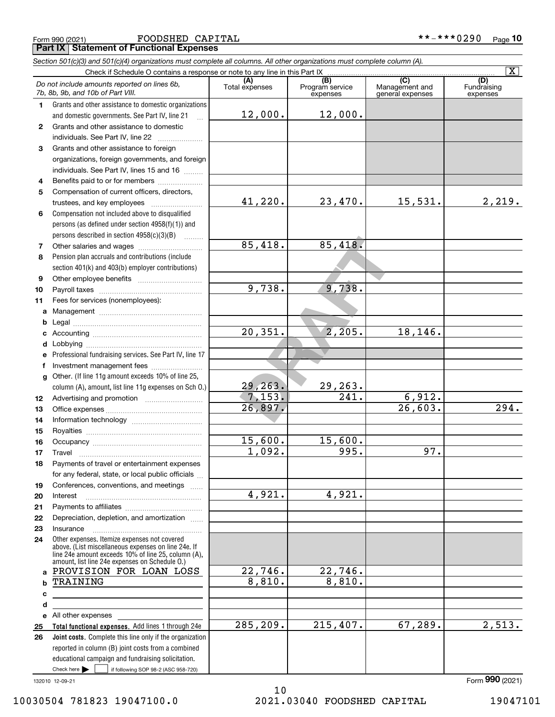Form 990 (2021) **FOODSHED CAPITAL \* \* - \* \* \* 0 2 9 0** page **Part IX Statement of Functional Expenses**

|              | Section 501(c)(3) and 501(c)(4) organizations must complete all columns. All other organizations must complete column (A).<br>Check if Schedule O contains a response or note to any line in this Part IX |                       |                             |                                    | $\overline{\mathbf{X}}$ |
|--------------|-----------------------------------------------------------------------------------------------------------------------------------------------------------------------------------------------------------|-----------------------|-----------------------------|------------------------------------|-------------------------|
|              | Do not include amounts reported on lines 6b,                                                                                                                                                              | (A)                   | (B)                         | (C)                                | (D)                     |
|              | 7b, 8b, 9b, and 10b of Part VIII.                                                                                                                                                                         | Total expenses        | Program service<br>expenses | Management and<br>general expenses | Fundraising<br>expenses |
| 1.           | Grants and other assistance to domestic organizations                                                                                                                                                     |                       |                             |                                    |                         |
|              | and domestic governments. See Part IV, line 21<br>$\ddotsc$                                                                                                                                               | 12,000.               | 12,000.                     |                                    |                         |
| $\mathbf{2}$ | Grants and other assistance to domestic                                                                                                                                                                   |                       |                             |                                    |                         |
|              | individuals. See Part IV, line 22                                                                                                                                                                         |                       |                             |                                    |                         |
| 3            | Grants and other assistance to foreign                                                                                                                                                                    |                       |                             |                                    |                         |
|              | organizations, foreign governments, and foreign                                                                                                                                                           |                       |                             |                                    |                         |
|              | individuals. See Part IV, lines 15 and 16                                                                                                                                                                 |                       |                             |                                    |                         |
| 4            | Benefits paid to or for members                                                                                                                                                                           |                       |                             |                                    |                         |
| 5            | Compensation of current officers, directors,                                                                                                                                                              |                       |                             |                                    |                         |
|              | trustees, and key employees                                                                                                                                                                               | 41,220.               | 23,470.                     | 15,531.                            | 2,219.                  |
| 6            | Compensation not included above to disqualified                                                                                                                                                           |                       |                             |                                    |                         |
|              | persons (as defined under section 4958(f)(1)) and                                                                                                                                                         |                       |                             |                                    |                         |
|              | persons described in section 4958(c)(3)(B)                                                                                                                                                                |                       |                             |                                    |                         |
| 7            |                                                                                                                                                                                                           | 85,418.               | 85,418.                     |                                    |                         |
| 8            | Pension plan accruals and contributions (include                                                                                                                                                          |                       |                             |                                    |                         |
|              | section 401(k) and 403(b) employer contributions)                                                                                                                                                         |                       |                             |                                    |                         |
| 9            |                                                                                                                                                                                                           |                       |                             |                                    |                         |
| 10           |                                                                                                                                                                                                           | 9,738.                | 9,738.                      |                                    |                         |
| 11           | Fees for services (nonemployees):                                                                                                                                                                         |                       |                             |                                    |                         |
| a            |                                                                                                                                                                                                           |                       |                             |                                    |                         |
| b            |                                                                                                                                                                                                           |                       |                             |                                    |                         |
| с            |                                                                                                                                                                                                           | $\overline{20,351}$ . | 2,205.                      | 18,146.                            |                         |
| d            |                                                                                                                                                                                                           |                       |                             |                                    |                         |
| е            | Professional fundraising services. See Part IV, line 17                                                                                                                                                   |                       |                             |                                    |                         |
| f            | Investment management fees                                                                                                                                                                                |                       |                             |                                    |                         |
| g            | Other. (If line 11g amount exceeds 10% of line 25,                                                                                                                                                        |                       |                             |                                    |                         |
|              | column (A), amount, list line 11g expenses on Sch O.)                                                                                                                                                     | 29, 263.              | 29,263.                     |                                    |                         |
| 12           |                                                                                                                                                                                                           | 7, 153.               | $\overline{241}$ .          | 6,912.                             |                         |
| 13           |                                                                                                                                                                                                           | 26,897.               |                             | $\overline{26,603}$ .              | 294.                    |
| 14           |                                                                                                                                                                                                           |                       |                             |                                    |                         |
| 15           |                                                                                                                                                                                                           |                       |                             |                                    |                         |
| 16           |                                                                                                                                                                                                           | 15,600.               | 15,600.                     |                                    |                         |
| 17           | Travel                                                                                                                                                                                                    | 1,092.                | 995.                        | 97.                                |                         |
| 18           | Payments of travel or entertainment expenses                                                                                                                                                              |                       |                             |                                    |                         |
|              | for any federal, state, or local public officials                                                                                                                                                         |                       |                             |                                    |                         |
| 19           | Conferences, conventions, and meetings                                                                                                                                                                    |                       |                             |                                    |                         |
| 20           | Interest                                                                                                                                                                                                  | 4,921.                | 4,921.                      |                                    |                         |
| 21           |                                                                                                                                                                                                           |                       |                             |                                    |                         |
| 22           | Depreciation, depletion, and amortization                                                                                                                                                                 |                       |                             |                                    |                         |
| 23           | Insurance                                                                                                                                                                                                 |                       |                             |                                    |                         |
| 24           | Other expenses. Itemize expenses not covered<br>above. (List miscellaneous expenses on line 24e. If                                                                                                       |                       |                             |                                    |                         |
|              | line 24e amount exceeds 10% of line 25, column (A),                                                                                                                                                       |                       |                             |                                    |                         |
| a            | amount, list line 24e expenses on Schedule O.)<br>PROVISION FOR LOAN LOSS                                                                                                                                 | 22,746.               | 22,746.                     |                                    |                         |
|              | TRAINING                                                                                                                                                                                                  | 8,810.                | 8,810.                      |                                    |                         |
| с            |                                                                                                                                                                                                           |                       |                             |                                    |                         |
| d            |                                                                                                                                                                                                           |                       |                             |                                    |                         |
|              | e All other expenses                                                                                                                                                                                      |                       |                             |                                    |                         |
| 25           | Total functional expenses. Add lines 1 through 24e                                                                                                                                                        | 285, 209.             | 215,407.                    | 67,289.                            | 2,513.                  |
| 26           | Joint costs. Complete this line only if the organization                                                                                                                                                  |                       |                             |                                    |                         |
|              | reported in column (B) joint costs from a combined                                                                                                                                                        |                       |                             |                                    |                         |
|              | educational campaign and fundraising solicitation.                                                                                                                                                        |                       |                             |                                    |                         |
|              | Check here $\blacktriangleright$<br>if following SOP 98-2 (ASC 958-720)                                                                                                                                   |                       |                             |                                    |                         |

132010 12-09-21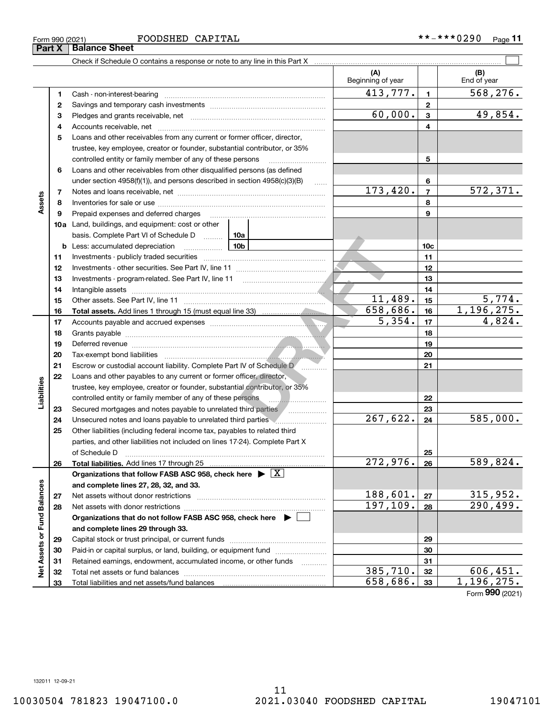### Form 990 (2021) **FOODSHED CAPITAL \* \* - \* \* \* 0 2 9 0** page

**Part X Balance Sheet**

 $\overline{\phantom{0}}$ 

|                                            |    | Check if Schedule O contains a response or note to any line in this Part X         |          |                          |                 |                    |
|--------------------------------------------|----|------------------------------------------------------------------------------------|----------|--------------------------|-----------------|--------------------|
|                                            |    |                                                                                    |          | (A)<br>Beginning of year |                 | (B)<br>End of year |
|                                            | 1  |                                                                                    |          | 413,777.                 | $\mathbf{1}$    | 568, 276.          |
| Assets                                     | 2  |                                                                                    | 60,000.  | $\overline{2}$           | 49,854.         |                    |
|                                            | 3  |                                                                                    |          |                          |                 |                    |
|                                            | 4  |                                                                                    |          |                          | 4               |                    |
|                                            | 5  | Loans and other receivables from any current or former officer, director,          |          |                          |                 |                    |
|                                            |    | trustee, key employee, creator or founder, substantial contributor, or 35%         |          |                          |                 |                    |
|                                            |    | controlled entity or family member of any of these persons                         |          |                          | 5               |                    |
|                                            | 6  | Loans and other receivables from other disqualified persons (as defined            |          |                          |                 |                    |
|                                            |    | under section $4958(f)(1)$ , and persons described in section $4958(c)(3)(B)$      | $\ldots$ |                          | 6               |                    |
|                                            | 7  |                                                                                    |          | 173,420.                 | $\overline{7}$  | 572, 371.          |
|                                            | 8  |                                                                                    |          |                          | 8               |                    |
|                                            | 9  | Prepaid expenses and deferred charges                                              |          |                          | 9               |                    |
|                                            |    | 10a Land, buildings, and equipment: cost or other                                  |          |                          |                 |                    |
|                                            |    | basis. Complete Part VI of Schedule D    10a                                       |          |                          |                 |                    |
|                                            | b  | $\frac{10b}{100}$<br>Less: accumulated depreciation                                |          |                          | 10 <sub>c</sub> |                    |
|                                            | 11 |                                                                                    |          | 11                       |                 |                    |
|                                            | 12 |                                                                                    |          | 12                       |                 |                    |
|                                            | 13 | Investments - program-related. See Part IV, line 11                                |          | 13                       |                 |                    |
|                                            | 14 |                                                                                    |          | 14                       |                 |                    |
|                                            | 15 |                                                                                    | 11,489.  | 15                       | 5,774.          |                    |
|                                            | 16 |                                                                                    |          | 658,686.                 | 16              | 1,196,275.         |
|                                            | 17 |                                                                                    |          | 5,354.                   | 17              | 4,824.             |
|                                            | 18 |                                                                                    |          |                          | 18              |                    |
|                                            | 19 |                                                                                    |          |                          | 19              |                    |
|                                            | 20 |                                                                                    |          |                          | 20              |                    |
|                                            | 21 | Escrow or custodial account liability. Complete Part IV of Schedule D              | .        |                          | 21              |                    |
|                                            | 22 | Loans and other payables to any current or former officer, director,               |          |                          |                 |                    |
|                                            |    | trustee, key employee, creator or founder, substantial contributor, or 35%         |          |                          |                 |                    |
|                                            |    | controlled entity or family member of any of these persons                         |          |                          | 22              |                    |
|                                            | 23 | Secured mortgages and notes payable to unrelated third parties                     |          |                          | 23              |                    |
|                                            | 24 | Unsecured notes and loans payable to unrelated third parties                       |          | 267,622.                 | 24              | 585,000.           |
|                                            | 25 | Other liabilities (including federal income tax, payables to related third         |          |                          |                 |                    |
|                                            |    | parties, and other liabilities not included on lines 17-24). Complete Part X       |          |                          |                 |                    |
|                                            |    | of Schedule D                                                                      |          |                          | 25              |                    |
|                                            | 26 | Total liabilities. Add lines 17 through 25                                         |          | $\overline{272,976.}$    | 26              | 589,824.           |
|                                            |    | Organizations that follow FASB ASC 958, check here $\blacktriangleright \boxed{X}$ |          |                          |                 |                    |
|                                            |    | and complete lines 27, 28, 32, and 33.                                             |          |                          |                 |                    |
|                                            | 27 | Net assets without donor restrictions                                              |          | 188,601.                 | 27              | 315,952.           |
|                                            | 28 | Net assets with donor restrictions                                                 |          | 197,109.                 | 28              | 290,499.           |
| Liabilities<br>Net Assets or Fund Balances |    | Organizations that do not follow FASB ASC 958, check here $\blacktriangleright$    |          |                          |                 |                    |
|                                            |    | and complete lines 29 through 33.                                                  |          |                          |                 |                    |
|                                            | 29 |                                                                                    |          |                          | 29              |                    |
|                                            | 30 |                                                                                    |          |                          | 30              |                    |
|                                            | 31 | Retained earnings, endowment, accumulated income, or other funds                   |          |                          | 31              |                    |
|                                            | 32 | Total net assets or fund balances                                                  |          | 385, 710.                | 32              | 606, 451.          |
|                                            | 33 |                                                                                    |          | 658,686.                 | 33              | 1, 196, 275.       |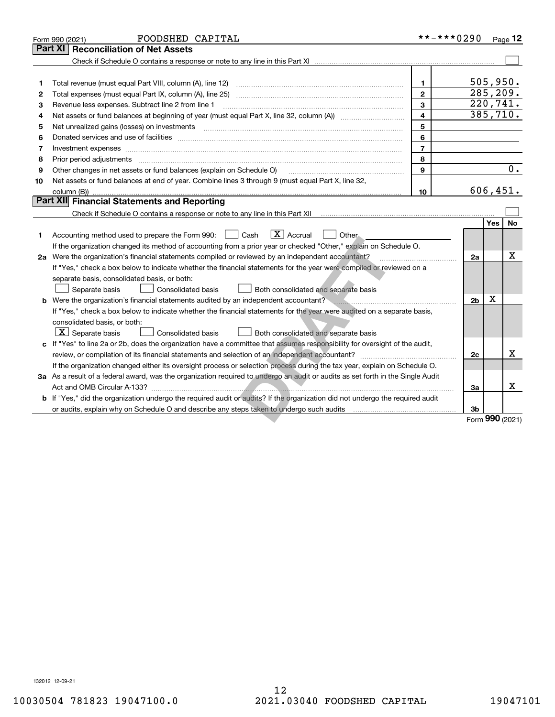|    | FOODSHED CAPITAL<br>Form 990 (2021)                                                                                             | **-***0290     |                |             | Page $12$        |
|----|---------------------------------------------------------------------------------------------------------------------------------|----------------|----------------|-------------|------------------|
|    | <b>Reconciliation of Net Assets</b><br><b>Part XI</b>                                                                           |                |                |             |                  |
|    |                                                                                                                                 |                |                |             |                  |
|    |                                                                                                                                 |                |                |             |                  |
| 1  |                                                                                                                                 | 1              |                |             | 505, 950.        |
| 2  |                                                                                                                                 | $\overline{2}$ |                |             | 285, 209.        |
| з  | Revenue less expenses. Subtract line 2 from line 1                                                                              | 3              |                |             | 220,741.         |
| 4  |                                                                                                                                 | 4              |                |             | 385,710.         |
| 5  |                                                                                                                                 | 5              |                |             |                  |
| 6  |                                                                                                                                 | 6              |                |             |                  |
| 7  | Investment expenses www.communication.com/www.communication.com/www.communication.com/www.communication.com                     | $\overline{7}$ |                |             |                  |
| 8  | Prior period adjustments www.communication.communication.com/news/communication.com/news/communication.com/new                  | 8              |                |             |                  |
| 9  | Other changes in net assets or fund balances (explain on Schedule O)                                                            | 9              |                |             | $\overline{0}$ . |
| 10 | Net assets or fund balances at end of year. Combine lines 3 through 9 (must equal Part X, line 32,                              |                |                |             |                  |
|    |                                                                                                                                 | 10             |                |             | 606, 451.        |
|    | Part XII Financial Statements and Reporting                                                                                     |                |                |             |                  |
|    |                                                                                                                                 |                |                |             |                  |
|    |                                                                                                                                 |                |                | <b>Yes</b>  | No.              |
| 1  | $\boxed{\mathbf{X}}$ Accrual<br>Accounting method used to prepare the Form 990: [16] Cash<br>Other.                             |                |                |             |                  |
|    | If the organization changed its method of accounting from a prior year or checked "Other," explain on Schedule O.               |                |                |             |                  |
|    | 2a Were the organization's financial statements compiled or reviewed by an independent accountant?                              |                | 2a             |             | X                |
|    | If "Yes," check a box below to indicate whether the financial statements for the year were compiled or reviewed on a            |                |                |             |                  |
|    | separate basis, consolidated basis, or both:                                                                                    |                |                |             |                  |
|    | Consolidated basis<br>Both consolidated and separate basis<br>Separate basis                                                    |                |                |             |                  |
|    | b Were the organization's financial statements audited by an independent accountant?                                            |                | 2 <sub>b</sub> | $\mathbf X$ |                  |
|    | If "Yes," check a box below to indicate whether the financial statements for the year were audited on a separate basis,         |                |                |             |                  |
|    | consolidated basis, or both:                                                                                                    |                |                |             |                  |
|    | $ \mathbf{X} $ Separate basis<br><b>Consolidated basis</b><br>Both consolidated and separate basis                              |                |                |             |                  |
|    | c If "Yes" to line 2a or 2b, does the organization have a committee that assumes responsibility for oversight of the audit,     |                |                |             |                  |
|    |                                                                                                                                 |                | 2c             |             | x                |
|    | If the organization changed either its oversight process or selection process during the tax year, explain on Schedule O.       |                |                |             |                  |
|    | 3a As a result of a federal award, was the organization required to undergo an audit or audits as set forth in the Single Audit |                |                |             |                  |
|    |                                                                                                                                 |                | 3a             |             | x                |
|    | b If "Yes," did the organization undergo the required audit or audits? If the organization did not undergo the required audit   |                |                |             |                  |
|    |                                                                                                                                 |                | 3b             |             |                  |
|    |                                                                                                                                 |                |                |             | Form 990 (2021)  |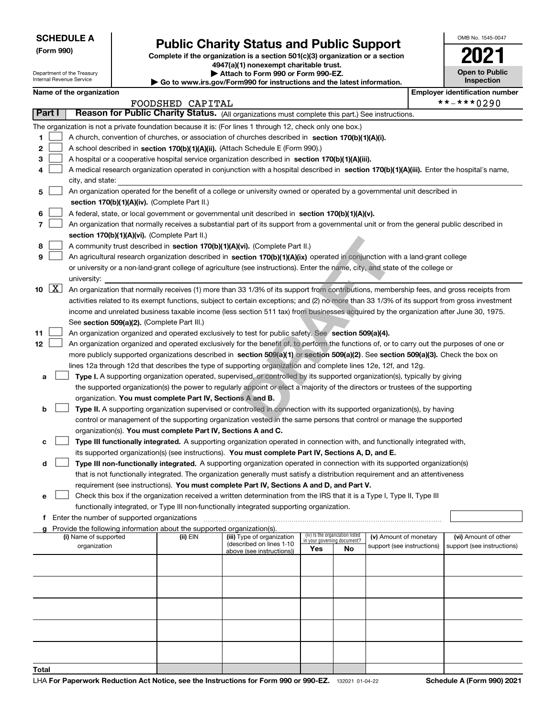Department of the Treasury Internal Revenue Service

**(Form 990)**

# **Public Charity Status and Public Support**

**Complete if the organization is a section 501(c)(3) organization or a section 4947(a)(1) nonexempt charitable trust.**

**| Attach to Form 990 or Form 990-EZ.** 

**| Go to www.irs.gov/Form990 for instructions and the latest information.**

| OMB No 1545-0047      |
|-----------------------|
| 202                   |
| <b>Open to Public</b> |

**Inspection**

|        |                     | Name of the organization                                                                                                                     |                  |                                                        |                             |                                 |                                                      |  | <b>Employer identification number</b>              |  |
|--------|---------------------|----------------------------------------------------------------------------------------------------------------------------------------------|------------------|--------------------------------------------------------|-----------------------------|---------------------------------|------------------------------------------------------|--|----------------------------------------------------|--|
|        |                     |                                                                                                                                              | FOODSHED CAPITAL |                                                        |                             |                                 |                                                      |  | **-***0290                                         |  |
| Part I |                     | Reason for Public Charity Status. (All organizations must complete this part.) See instructions.                                             |                  |                                                        |                             |                                 |                                                      |  |                                                    |  |
|        |                     | The organization is not a private foundation because it is: (For lines 1 through 12, check only one box.)                                    |                  |                                                        |                             |                                 |                                                      |  |                                                    |  |
| 1      |                     | A church, convention of churches, or association of churches described in section 170(b)(1)(A)(i).                                           |                  |                                                        |                             |                                 |                                                      |  |                                                    |  |
| 2      |                     | A school described in section 170(b)(1)(A)(ii). (Attach Schedule E (Form 990).)                                                              |                  |                                                        |                             |                                 |                                                      |  |                                                    |  |
| 3      |                     | A hospital or a cooperative hospital service organization described in section 170(b)(1)(A)(iii).                                            |                  |                                                        |                             |                                 |                                                      |  |                                                    |  |
|        |                     | A medical research organization operated in conjunction with a hospital described in section 170(b)(1)(A)(iii). Enter the hospital's name,   |                  |                                                        |                             |                                 |                                                      |  |                                                    |  |
|        |                     | city, and state:                                                                                                                             |                  |                                                        |                             |                                 |                                                      |  |                                                    |  |
| 5      |                     | An organization operated for the benefit of a college or university owned or operated by a governmental unit described in                    |                  |                                                        |                             |                                 |                                                      |  |                                                    |  |
|        |                     | section 170(b)(1)(A)(iv). (Complete Part II.)                                                                                                |                  |                                                        |                             |                                 |                                                      |  |                                                    |  |
|        |                     | A federal, state, or local government or governmental unit described in section 170(b)(1)(A)(v).                                             |                  |                                                        |                             |                                 |                                                      |  |                                                    |  |
|        |                     | An organization that normally receives a substantial part of its support from a governmental unit or from the general public described in    |                  |                                                        |                             |                                 |                                                      |  |                                                    |  |
|        |                     | section 170(b)(1)(A)(vi). (Complete Part II.)                                                                                                |                  |                                                        |                             |                                 |                                                      |  |                                                    |  |
| 8      |                     | A community trust described in section 170(b)(1)(A)(vi). (Complete Part II.)                                                                 |                  |                                                        |                             |                                 |                                                      |  |                                                    |  |
| 9      |                     | An agricultural research organization described in section 170(b)(1)(A)(ix) operated in conjunction with a land-grant college                |                  |                                                        |                             |                                 |                                                      |  |                                                    |  |
|        |                     | or university or a non-land-grant college of agriculture (see instructions). Enter the name, city, and state of the college or               |                  |                                                        |                             |                                 |                                                      |  |                                                    |  |
|        |                     | university:                                                                                                                                  |                  |                                                        |                             |                                 |                                                      |  |                                                    |  |
| 10     | $\lfloor x \rfloor$ | An organization that normally receives (1) more than 33 1/3% of its support from contributions, membership fees, and gross receipts from     |                  |                                                        |                             |                                 |                                                      |  |                                                    |  |
|        |                     | activities related to its exempt functions, subject to certain exceptions; and (2) no more than 33 1/3% of its support from gross investment |                  |                                                        |                             |                                 |                                                      |  |                                                    |  |
|        |                     | income and unrelated business taxable income (less section 511 tax) from businesses acquired by the organization after June 30, 1975.        |                  |                                                        |                             |                                 |                                                      |  |                                                    |  |
|        |                     | See section 509(a)(2). (Complete Part III.)                                                                                                  |                  |                                                        |                             |                                 |                                                      |  |                                                    |  |
| 11     |                     | An organization organized and operated exclusively to test for public safety. See section 509(a)(4).                                         |                  |                                                        |                             |                                 |                                                      |  |                                                    |  |
| 12     |                     | An organization organized and operated exclusively for the benefit of, to perform the functions of, or to carry out the purposes of one or   |                  |                                                        |                             |                                 |                                                      |  |                                                    |  |
|        |                     | more publicly supported organizations described in section $509(a)(1)$ or section $509(a)(2)$ . See section $509(a)(3)$ . Check the box on   |                  |                                                        |                             |                                 |                                                      |  |                                                    |  |
|        |                     | lines 12a through 12d that describes the type of supporting organization and complete lines 12e, 12f, and 12g.                               |                  |                                                        |                             |                                 |                                                      |  |                                                    |  |
| а      |                     | Type I. A supporting organization operated, supervised, or controlled by its supported organization(s), typically by giving                  |                  |                                                        |                             |                                 |                                                      |  |                                                    |  |
|        |                     | the supported organization(s) the power to regularly appoint or elect a majority of the directors or trustees of the supporting              |                  |                                                        |                             |                                 |                                                      |  |                                                    |  |
|        |                     | organization. You must complete Part IV, Sections A and B.                                                                                   |                  |                                                        |                             |                                 |                                                      |  |                                                    |  |
| b      |                     | Type II. A supporting organization supervised or controlled in connection with its supported organization(s), by having                      |                  |                                                        |                             |                                 |                                                      |  |                                                    |  |
|        |                     | control or management of the supporting organization vested in the same persons that control or manage the supported                         |                  |                                                        |                             |                                 |                                                      |  |                                                    |  |
|        |                     | organization(s). You must complete Part IV, Sections A and C.                                                                                |                  |                                                        |                             |                                 |                                                      |  |                                                    |  |
| с      |                     | Type III functionally integrated. A supporting organization operated in connection with, and functionally integrated with,                   |                  |                                                        |                             |                                 |                                                      |  |                                                    |  |
|        |                     | its supported organization(s) (see instructions). You must complete Part IV, Sections A, D, and E.                                           |                  |                                                        |                             |                                 |                                                      |  |                                                    |  |
| d      |                     | Type III non-functionally integrated. A supporting organization operated in connection with its supported organization(s)                    |                  |                                                        |                             |                                 |                                                      |  |                                                    |  |
|        |                     | that is not functionally integrated. The organization generally must satisfy a distribution requirement and an attentiveness                 |                  |                                                        |                             |                                 |                                                      |  |                                                    |  |
|        |                     | requirement (see instructions). You must complete Part IV, Sections A and D, and Part V.                                                     |                  |                                                        |                             |                                 |                                                      |  |                                                    |  |
|        |                     | Check this box if the organization received a written determination from the IRS that it is a Type I, Type II, Type III                      |                  |                                                        |                             |                                 |                                                      |  |                                                    |  |
|        |                     | functionally integrated, or Type III non-functionally integrated supporting organization.                                                    |                  |                                                        |                             |                                 |                                                      |  |                                                    |  |
|        |                     | f Enter the number of supported organizations                                                                                                |                  |                                                        |                             |                                 |                                                      |  |                                                    |  |
|        |                     | Provide the following information about the supported organization(s).                                                                       |                  |                                                        |                             | (iv) Is the organization listed |                                                      |  |                                                    |  |
|        |                     | (i) Name of supported<br>organization                                                                                                        | (ii) EIN         | (iii) Type of organization<br>(described on lines 1-10 | in your governing document? |                                 | (v) Amount of monetary<br>support (see instructions) |  | (vi) Amount of other<br>support (see instructions) |  |
|        |                     |                                                                                                                                              |                  | above (see instructions))                              | Yes                         | No                              |                                                      |  |                                                    |  |
|        |                     |                                                                                                                                              |                  |                                                        |                             |                                 |                                                      |  |                                                    |  |
|        |                     |                                                                                                                                              |                  |                                                        |                             |                                 |                                                      |  |                                                    |  |
|        |                     |                                                                                                                                              |                  |                                                        |                             |                                 |                                                      |  |                                                    |  |
|        |                     |                                                                                                                                              |                  |                                                        |                             |                                 |                                                      |  |                                                    |  |
|        |                     |                                                                                                                                              |                  |                                                        |                             |                                 |                                                      |  |                                                    |  |
|        |                     |                                                                                                                                              |                  |                                                        |                             |                                 |                                                      |  |                                                    |  |
|        |                     |                                                                                                                                              |                  |                                                        |                             |                                 |                                                      |  |                                                    |  |
|        |                     |                                                                                                                                              |                  |                                                        |                             |                                 |                                                      |  |                                                    |  |
|        |                     |                                                                                                                                              |                  |                                                        |                             |                                 |                                                      |  |                                                    |  |
| Total  |                     |                                                                                                                                              |                  |                                                        |                             |                                 |                                                      |  |                                                    |  |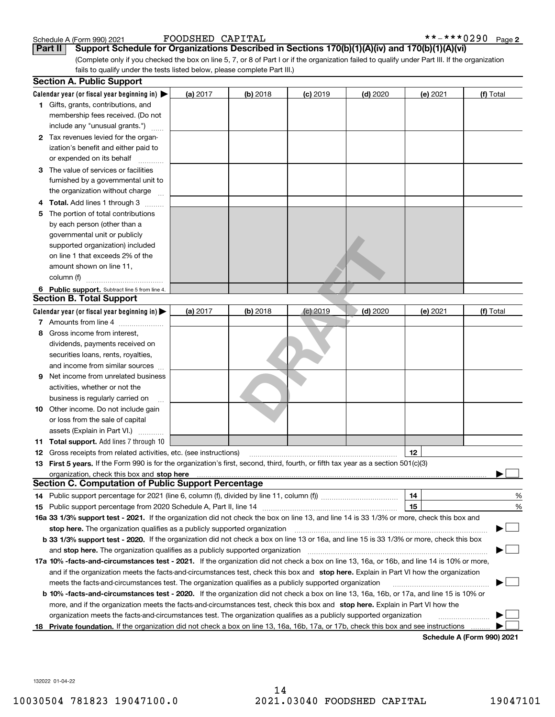| Schedule A (Form 990) 202 |  |  |
|---------------------------|--|--|

**Part II** Support Schedule for Organizations Described in Sections 170(b)(1)(A)(iv) and 170(b)(1)(A)(vi)

(Complete only if you checked the box on line 5, 7, or 8 of Part I or if the organization failed to qualify under Part III. If the organization fails to qualify under the tests listed below, please complete Part III.)

|   | <b>Section A. Public Support</b>                                                                                                               |          |            |                 |            |          |                            |
|---|------------------------------------------------------------------------------------------------------------------------------------------------|----------|------------|-----------------|------------|----------|----------------------------|
|   | Calendar year (or fiscal year beginning in) $\blacktriangleright$                                                                              | (a) 2017 | (b) 2018   | <b>(c)</b> 2019 | $(d)$ 2020 | (e) 2021 | (f) Total                  |
|   | <b>1</b> Gifts, grants, contributions, and                                                                                                     |          |            |                 |            |          |                            |
|   | membership fees received. (Do not                                                                                                              |          |            |                 |            |          |                            |
|   | include any "unusual grants.")                                                                                                                 |          |            |                 |            |          |                            |
|   | 2 Tax revenues levied for the organ-                                                                                                           |          |            |                 |            |          |                            |
|   | ization's benefit and either paid to                                                                                                           |          |            |                 |            |          |                            |
|   | or expended on its behalf                                                                                                                      |          |            |                 |            |          |                            |
|   | 3 The value of services or facilities                                                                                                          |          |            |                 |            |          |                            |
|   | furnished by a governmental unit to                                                                                                            |          |            |                 |            |          |                            |
|   | the organization without charge                                                                                                                |          |            |                 |            |          |                            |
|   | <b>Total.</b> Add lines 1 through 3                                                                                                            |          |            |                 |            |          |                            |
| 5 | The portion of total contributions                                                                                                             |          |            |                 |            |          |                            |
|   | by each person (other than a                                                                                                                   |          |            |                 |            |          |                            |
|   | governmental unit or publicly                                                                                                                  |          |            |                 |            |          |                            |
|   | supported organization) included                                                                                                               |          |            |                 |            |          |                            |
|   | on line 1 that exceeds 2% of the                                                                                                               |          |            |                 |            |          |                            |
|   | amount shown on line 11,                                                                                                                       |          |            |                 |            |          |                            |
|   | column (f)                                                                                                                                     |          |            |                 |            |          |                            |
|   | 6 Public support. Subtract line 5 from line 4.                                                                                                 |          |            |                 |            |          |                            |
|   | <b>Section B. Total Support</b>                                                                                                                |          |            |                 |            |          |                            |
|   | Calendar year (or fiscal year beginning in) $\blacktriangleright$                                                                              | (a) 2017 | $(b)$ 2018 | $(c)$ 2019      | $(d)$ 2020 | (e) 2021 | (f) Total                  |
|   | 7 Amounts from line 4                                                                                                                          |          |            |                 |            |          |                            |
| 8 | Gross income from interest,                                                                                                                    |          |            |                 |            |          |                            |
|   | dividends, payments received on                                                                                                                |          |            |                 |            |          |                            |
|   | securities loans, rents, royalties,                                                                                                            |          |            |                 |            |          |                            |
|   | and income from similar sources                                                                                                                |          |            |                 |            |          |                            |
| 9 | Net income from unrelated business                                                                                                             |          |            |                 |            |          |                            |
|   | activities, whether or not the                                                                                                                 |          |            |                 |            |          |                            |
|   | business is regularly carried on                                                                                                               |          |            |                 |            |          |                            |
|   | <b>10</b> Other income. Do not include gain                                                                                                    |          |            |                 |            |          |                            |
|   | or loss from the sale of capital                                                                                                               |          |            |                 |            |          |                            |
|   | assets (Explain in Part VI.)                                                                                                                   |          |            |                 |            |          |                            |
|   | 11 Total support. Add lines 7 through 10                                                                                                       |          |            |                 |            |          |                            |
|   | <b>12</b> Gross receipts from related activities, etc. (see instructions)                                                                      |          |            |                 |            | 12       |                            |
|   | 13 First 5 years. If the Form 990 is for the organization's first, second, third, fourth, or fifth tax year as a section 501(c)(3)             |          |            |                 |            |          |                            |
|   | organization, check this box and stop here manufactured and content to the state of the state of the state of                                  |          |            |                 |            |          |                            |
|   | <b>Section C. Computation of Public Support Percentage</b>                                                                                     |          |            |                 |            |          |                            |
|   |                                                                                                                                                |          |            |                 |            | 14       | %                          |
|   |                                                                                                                                                |          |            |                 |            | 15       | %                          |
|   | 16a 33 1/3% support test - 2021. If the organization did not check the box on line 13, and line 14 is 33 1/3% or more, check this box and      |          |            |                 |            |          |                            |
|   | stop here. The organization qualifies as a publicly supported organization                                                                     |          |            |                 |            |          |                            |
|   | b 33 1/3% support test - 2020. If the organization did not check a box on line 13 or 16a, and line 15 is 33 1/3% or more, check this box       |          |            |                 |            |          |                            |
|   | and stop here. The organization qualifies as a publicly supported organization                                                                 |          |            |                 |            |          |                            |
|   | 17a 10% -facts-and-circumstances test - 2021. If the organization did not check a box on line 13, 16a, or 16b, and line 14 is 10% or more,     |          |            |                 |            |          |                            |
|   | and if the organization meets the facts-and-circumstances test, check this box and stop here. Explain in Part VI how the organization          |          |            |                 |            |          |                            |
|   | meets the facts-and-circumstances test. The organization qualifies as a publicly supported organization                                        |          |            |                 |            |          |                            |
|   | <b>b 10% -facts-and-circumstances test - 2020.</b> If the organization did not check a box on line 13, 16a, 16b, or 17a, and line 15 is 10% or |          |            |                 |            |          |                            |
|   | more, and if the organization meets the facts-and-circumstances test, check this box and stop here. Explain in Part VI how the                 |          |            |                 |            |          |                            |
|   | organization meets the facts-and-circumstances test. The organization qualifies as a publicly supported organization                           |          |            |                 |            |          |                            |
|   | 18 Private foundation. If the organization did not check a box on line 13, 16a, 16b, 17a, or 17b, check this box and see instructions          |          |            |                 |            |          |                            |
|   |                                                                                                                                                |          |            |                 |            |          | Schedule A (Form 990) 2021 |

**Schedule A (Form 990) 2021**

132022 01-04-22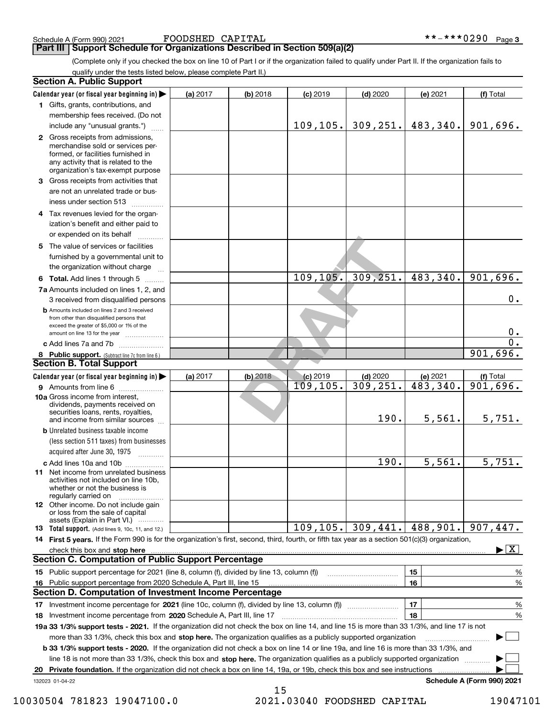**Part III Support Schedule for Organizations Described in Section 509(a)(2)** 

(Complete only if you checked the box on line 10 of Part I or if the organization failed to qualify under Part II. If the organization fails to qualify under the tests listed below, please complete Part II.)

| <b>Section A. Public Support</b>                                                                                                                                                         |          |            |            |            |          |                            |
|------------------------------------------------------------------------------------------------------------------------------------------------------------------------------------------|----------|------------|------------|------------|----------|----------------------------|
| Calendar year (or fiscal year beginning in)                                                                                                                                              | (a) 2017 | (b) 2018   | $(c)$ 2019 | $(d)$ 2020 | (e) 2021 | (f) Total                  |
| 1 Gifts, grants, contributions, and                                                                                                                                                      |          |            |            |            |          |                            |
| membership fees received. (Do not                                                                                                                                                        |          |            |            |            |          |                            |
| include any "unusual grants.")                                                                                                                                                           |          |            | 109, 105.  | 309, 251.  | 483,340. | 901,696.                   |
| 2 Gross receipts from admissions,<br>merchandise sold or services per-<br>formed, or facilities furnished in<br>any activity that is related to the<br>organization's tax-exempt purpose |          |            |            |            |          |                            |
| 3 Gross receipts from activities that                                                                                                                                                    |          |            |            |            |          |                            |
| are not an unrelated trade or bus-                                                                                                                                                       |          |            |            |            |          |                            |
| iness under section 513                                                                                                                                                                  |          |            |            |            |          |                            |
| 4 Tax revenues levied for the organ-<br>ization's benefit and either paid to                                                                                                             |          |            |            |            |          |                            |
| or expended on its behalf                                                                                                                                                                |          |            |            |            |          |                            |
| 5 The value of services or facilities                                                                                                                                                    |          |            |            |            |          |                            |
| furnished by a governmental unit to                                                                                                                                                      |          |            |            |            |          |                            |
| the organization without charge                                                                                                                                                          |          |            |            |            |          |                            |
| 6 Total. Add lines 1 through 5                                                                                                                                                           |          |            | 109, 105.  | 309, 251.  | 483,340. | 901,696.                   |
| 7a Amounts included on lines 1, 2, and                                                                                                                                                   |          |            |            |            |          |                            |
| 3 received from disqualified persons                                                                                                                                                     |          |            |            |            |          | 0.                         |
| <b>b</b> Amounts included on lines 2 and 3 received                                                                                                                                      |          |            |            |            |          |                            |
| from other than disqualified persons that<br>exceed the greater of \$5,000 or 1% of the                                                                                                  |          |            |            |            |          |                            |
| amount on line 13 for the year                                                                                                                                                           |          |            |            |            |          | $0$ .                      |
| c Add lines 7a and 7b                                                                                                                                                                    |          |            |            |            |          | $\mathbf 0$ .              |
| 8 Public support. (Subtract line 7c from line 6.)                                                                                                                                        |          |            |            |            |          | 901,696.                   |
| <b>Section B. Total Support</b>                                                                                                                                                          |          |            |            |            |          |                            |
| Calendar year (or fiscal year beginning in)                                                                                                                                              | (a) 2017 | $(b)$ 2018 | $(c)$ 2019 | $(d)$ 2020 | (e) 2021 | (f) Total                  |
| <b>9</b> Amounts from line 6                                                                                                                                                             |          |            | 109, 105.  | 309, 251.  | 483,340. | 901,696.                   |
| 10a Gross income from interest,<br>dividends, payments received on<br>securities loans, rents, royalties,<br>and income from similar sources                                             |          |            |            | 190.       | 5,561.   | 5,751.                     |
| <b>b</b> Unrelated business taxable income                                                                                                                                               |          |            |            |            |          |                            |
| (less section 511 taxes) from businesses<br>acquired after June 30, 1975                                                                                                                 |          |            |            |            |          |                            |
| c Add lines 10a and 10b                                                                                                                                                                  |          |            |            | 190.       | 5,561.   | 5,751.                     |
| <b>11</b> Net income from unrelated business<br>activities not included on line 10b,<br>whether or not the business is<br>regularly carried on                                           |          |            |            |            |          |                            |
| <b>12</b> Other income. Do not include gain<br>or loss from the sale of capital                                                                                                          |          |            |            |            |          |                            |
| assets (Explain in Part VI.)<br><b>13</b> Total support. (Add lines 9, 10c, 11, and 12.)                                                                                                 |          |            | 109, 105.  | 309,441.   | 488,901. | 907,447.                   |
| 14 First 5 years. If the Form 990 is for the organization's first, second, third, fourth, or fifth tax year as a section 501(c)(3) organization,                                         |          |            |            |            |          |                            |
| check this box and stop here www.array.com/www.array.com/www.array.com/www.array.com/www.array.com/www.array.c                                                                           |          |            |            |            |          | X                          |
| <b>Section C. Computation of Public Support Percentage</b>                                                                                                                               |          |            |            |            |          |                            |
| 15 Public support percentage for 2021 (line 8, column (f), divided by line 13, column (f))                                                                                               |          |            |            |            | 15       | %                          |
| 16 Public support percentage from 2020 Schedule A, Part III, line 15                                                                                                                     |          |            |            |            | 16       | %                          |
| <b>Section D. Computation of Investment Income Percentage</b>                                                                                                                            |          |            |            |            |          |                            |
|                                                                                                                                                                                          |          |            |            |            | 17       | %                          |
| 18 Investment income percentage from 2020 Schedule A, Part III, line 17                                                                                                                  |          |            |            |            | 18       | %                          |
| 19a 33 1/3% support tests - 2021. If the organization did not check the box on line 14, and line 15 is more than 33 1/3%, and line 17 is not                                             |          |            |            |            |          |                            |
| more than 33 1/3%, check this box and stop here. The organization qualifies as a publicly supported organization                                                                         |          |            |            |            |          |                            |
| b 33 1/3% support tests - 2020. If the organization did not check a box on line 14 or line 19a, and line 16 is more than 33 1/3%, and                                                    |          |            |            |            |          |                            |
| line 18 is not more than 33 1/3%, check this box and stop here. The organization qualifies as a publicly supported organization                                                          |          |            |            |            |          |                            |
| Private foundation. If the organization did not check a box on line 14, 19a, or 19b, check this box and see instructions<br>20                                                           |          |            |            |            |          |                            |
| 132023 01-04-22                                                                                                                                                                          |          |            |            |            |          | Schedule A (Form 990) 2021 |
|                                                                                                                                                                                          |          | 15         |            |            |          |                            |

10030504 781823 19047100.0 2021.03040 FOODSHED CAPITAL 19047101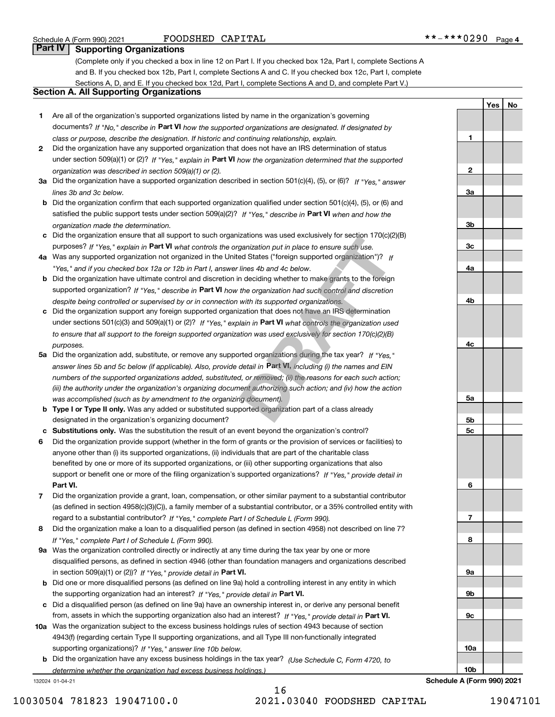**1**

**2**

**3a**

**3b**

**3c**

**4a**

**4b**

**4c**

**5a**

**5b5c**

**6**

**7**

**8**

**9a**

**9b**

**9c**

**10a**

**YesNo**

## **Part IV Supporting Organizations**

(Complete only if you checked a box in line 12 on Part I. If you checked box 12a, Part I, complete Sections A and B. If you checked box 12b, Part I, complete Sections A and C. If you checked box 12c, Part I, complete Sections A, D, and E. If you checked box 12d, Part I, complete Sections A and D, and complete Part V.)

### **Section A. All Supporting Organizations**

- **1** Are all of the organization's supported organizations listed by name in the organization's governing documents? If "No," describe in **Part VI** how the supported organizations are designated. If designated by *class or purpose, describe the designation. If historic and continuing relationship, explain.*
- **2** Did the organization have any supported organization that does not have an IRS determination of status under section 509(a)(1) or (2)? If "Yes," explain in Part VI how the organization determined that the supported *organization was described in section 509(a)(1) or (2).*
- **3a** Did the organization have a supported organization described in section 501(c)(4), (5), or (6)? If "Yes," answer *lines 3b and 3c below.*
- **b** Did the organization confirm that each supported organization qualified under section 501(c)(4), (5), or (6) and satisfied the public support tests under section 509(a)(2)? If "Yes," describe in **Part VI** when and how the *organization made the determination.*
- **c**Did the organization ensure that all support to such organizations was used exclusively for section 170(c)(2)(B) purposes? If "Yes," explain in **Part VI** what controls the organization put in place to ensure such use.
- **4a***If* Was any supported organization not organized in the United States ("foreign supported organization")? *"Yes," and if you checked box 12a or 12b in Part I, answer lines 4b and 4c below.*
- **b** Did the organization have ultimate control and discretion in deciding whether to make grants to the foreign supported organization? If "Yes," describe in **Part VI** how the organization had such control and discretion *despite being controlled or supervised by or in connection with its supported organizations.*
- **c** Did the organization support any foreign supported organization that does not have an IRS determination under sections 501(c)(3) and 509(a)(1) or (2)? If "Yes," explain in **Part VI** what controls the organization used *to ensure that all support to the foreign supported organization was used exclusively for section 170(c)(2)(B) purposes.*
- **5a***If "Yes,"* Did the organization add, substitute, or remove any supported organizations during the tax year? answer lines 5b and 5c below (if applicable). Also, provide detail in **Part VI,** including (i) the names and EIN *numbers of the supported organizations added, substituted, or removed; (ii) the reasons for each such action; (iii) the authority under the organization's organizing document authorizing such action; and (iv) how the action was accomplished (such as by amendment to the organizing document).* Izations was used exclusively for section 170<sub>(C)</sub>(*z*<br>ganization put in place to ensure such use.<br>ed States ("foreign supported organization")? If<br>lines 4b and 4c below.<br>n deciding whether to make grants to the foreign<br>th
- **b** Type I or Type II only. Was any added or substituted supported organization part of a class already designated in the organization's organizing document?
- **cSubstitutions only.**  Was the substitution the result of an event beyond the organization's control?
- **6** Did the organization provide support (whether in the form of grants or the provision of services or facilities) to **Part VI.** *If "Yes," provide detail in* support or benefit one or more of the filing organization's supported organizations? anyone other than (i) its supported organizations, (ii) individuals that are part of the charitable class benefited by one or more of its supported organizations, or (iii) other supporting organizations that also
- **7**Did the organization provide a grant, loan, compensation, or other similar payment to a substantial contributor *If "Yes," complete Part I of Schedule L (Form 990).* regard to a substantial contributor? (as defined in section 4958(c)(3)(C)), a family member of a substantial contributor, or a 35% controlled entity with
- **8** Did the organization make a loan to a disqualified person (as defined in section 4958) not described on line 7? *If "Yes," complete Part I of Schedule L (Form 990).*
- **9a** Was the organization controlled directly or indirectly at any time during the tax year by one or more in section 509(a)(1) or (2))? If "Yes," *provide detail in* <code>Part VI.</code> disqualified persons, as defined in section 4946 (other than foundation managers and organizations described
- **b** Did one or more disqualified persons (as defined on line 9a) hold a controlling interest in any entity in which the supporting organization had an interest? If "Yes," provide detail in P**art VI**.
- **c**Did a disqualified person (as defined on line 9a) have an ownership interest in, or derive any personal benefit from, assets in which the supporting organization also had an interest? If "Yes," provide detail in P**art VI.**
- **10a** Was the organization subject to the excess business holdings rules of section 4943 because of section supporting organizations)? If "Yes," answer line 10b below. 4943(f) (regarding certain Type II supporting organizations, and all Type III non-functionally integrated
- **b** Did the organization have any excess business holdings in the tax year? (Use Schedule C, Form 4720, to *determine whether the organization had excess business holdings.)*

132024 01-04-21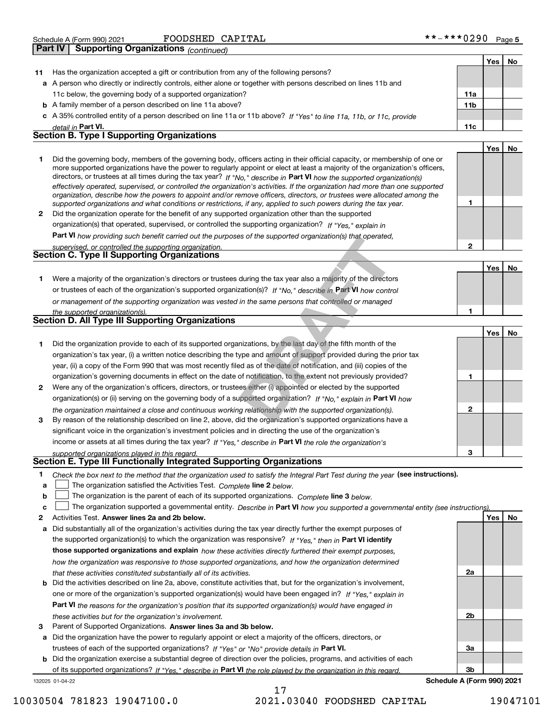| ***0290<br>FOODSHED<br>CAPITAL<br>**_<br>Schedule A (Form 990) 2021 | Page 5 |
|---------------------------------------------------------------------|--------|
|---------------------------------------------------------------------|--------|

|    | Supporting Organizations (continued)<br>  Part IV                                                                                                                                                                                                                                                                                                                                                                                                                                                                                                                                                                                                                                                                                                                        |                 |            |    |
|----|--------------------------------------------------------------------------------------------------------------------------------------------------------------------------------------------------------------------------------------------------------------------------------------------------------------------------------------------------------------------------------------------------------------------------------------------------------------------------------------------------------------------------------------------------------------------------------------------------------------------------------------------------------------------------------------------------------------------------------------------------------------------------|-----------------|------------|----|
|    |                                                                                                                                                                                                                                                                                                                                                                                                                                                                                                                                                                                                                                                                                                                                                                          |                 | Yes        | No |
| 11 | Has the organization accepted a gift or contribution from any of the following persons?                                                                                                                                                                                                                                                                                                                                                                                                                                                                                                                                                                                                                                                                                  |                 |            |    |
|    | a A person who directly or indirectly controls, either alone or together with persons described on lines 11b and                                                                                                                                                                                                                                                                                                                                                                                                                                                                                                                                                                                                                                                         |                 |            |    |
|    | 11c below, the governing body of a supported organization?                                                                                                                                                                                                                                                                                                                                                                                                                                                                                                                                                                                                                                                                                                               | 11a             |            |    |
|    | <b>b</b> A family member of a person described on line 11a above?                                                                                                                                                                                                                                                                                                                                                                                                                                                                                                                                                                                                                                                                                                        | 11 <sub>b</sub> |            |    |
|    | c A 35% controlled entity of a person described on line 11a or 11b above? If "Yes" to line 11a, 11b, or 11c, provide                                                                                                                                                                                                                                                                                                                                                                                                                                                                                                                                                                                                                                                     |                 |            |    |
|    | detail in Part VI.                                                                                                                                                                                                                                                                                                                                                                                                                                                                                                                                                                                                                                                                                                                                                       | 11c             |            |    |
|    | <b>Section B. Type I Supporting Organizations</b>                                                                                                                                                                                                                                                                                                                                                                                                                                                                                                                                                                                                                                                                                                                        |                 |            |    |
|    |                                                                                                                                                                                                                                                                                                                                                                                                                                                                                                                                                                                                                                                                                                                                                                          |                 | <b>Yes</b> | No |
| 1  | Did the governing body, members of the governing body, officers acting in their official capacity, or membership of one or<br>more supported organizations have the power to regularly appoint or elect at least a majority of the organization's officers,<br>directors, or trustees at all times during the tax year? If "No," describe in Part VI how the supported organization(s)<br>effectively operated, supervised, or controlled the organization's activities. If the organization had more than one supported<br>organization, describe how the powers to appoint and/or remove officers, directors, or trustees were allocated among the<br>supported organizations and what conditions or restrictions, if any, applied to such powers during the tax year. | 1               |            |    |
| 2  | Did the organization operate for the benefit of any supported organization other than the supported                                                                                                                                                                                                                                                                                                                                                                                                                                                                                                                                                                                                                                                                      |                 |            |    |
|    | organization(s) that operated, supervised, or controlled the supporting organization? If "Yes," explain in                                                                                                                                                                                                                                                                                                                                                                                                                                                                                                                                                                                                                                                               |                 |            |    |
|    | <b>Part VI</b> how providing such benefit carried out the purposes of the supported organization(s) that operated,                                                                                                                                                                                                                                                                                                                                                                                                                                                                                                                                                                                                                                                       |                 |            |    |
|    | supervised, or controlled the supporting organization.                                                                                                                                                                                                                                                                                                                                                                                                                                                                                                                                                                                                                                                                                                                   | $\overline{2}$  |            |    |
|    | Section C. Type II Supporting Organizations                                                                                                                                                                                                                                                                                                                                                                                                                                                                                                                                                                                                                                                                                                                              |                 |            |    |
|    |                                                                                                                                                                                                                                                                                                                                                                                                                                                                                                                                                                                                                                                                                                                                                                          |                 | <b>Yes</b> | No |
| 1. | Were a majority of the organization's directors or trustees during the tax year also a majority of the directors                                                                                                                                                                                                                                                                                                                                                                                                                                                                                                                                                                                                                                                         |                 |            |    |
|    | or trustees of each of the organization's supported organization(s)? If "No," describe in Part VI how control                                                                                                                                                                                                                                                                                                                                                                                                                                                                                                                                                                                                                                                            |                 |            |    |
|    | or management of the supporting organization was vested in the same persons that controlled or managed                                                                                                                                                                                                                                                                                                                                                                                                                                                                                                                                                                                                                                                                   |                 |            |    |
|    | the supported organization(s).                                                                                                                                                                                                                                                                                                                                                                                                                                                                                                                                                                                                                                                                                                                                           | 1               |            |    |
|    | Section D. All Type III Supporting Organizations                                                                                                                                                                                                                                                                                                                                                                                                                                                                                                                                                                                                                                                                                                                         |                 |            |    |
|    |                                                                                                                                                                                                                                                                                                                                                                                                                                                                                                                                                                                                                                                                                                                                                                          |                 | <b>Yes</b> | No |
| 1  | Did the organization provide to each of its supported organizations, by the last day of the fifth month of the                                                                                                                                                                                                                                                                                                                                                                                                                                                                                                                                                                                                                                                           |                 |            |    |
|    | organization's tax year, (i) a written notice describing the type and amount of support provided during the prior tax                                                                                                                                                                                                                                                                                                                                                                                                                                                                                                                                                                                                                                                    |                 |            |    |
|    | year, (ii) a copy of the Form 990 that was most recently filed as of the date of notification, and (iii) copies of the                                                                                                                                                                                                                                                                                                                                                                                                                                                                                                                                                                                                                                                   |                 |            |    |
|    | organization's governing documents in effect on the date of notification, to the extent not previously provided?                                                                                                                                                                                                                                                                                                                                                                                                                                                                                                                                                                                                                                                         | 1               |            |    |
| 2  | Were any of the organization's officers, directors, or trustees either (i) appointed or elected by the supported                                                                                                                                                                                                                                                                                                                                                                                                                                                                                                                                                                                                                                                         |                 |            |    |
|    | organization(s) or (ii) serving on the governing body of a supported organization? If "No." explain in Part VI how                                                                                                                                                                                                                                                                                                                                                                                                                                                                                                                                                                                                                                                       |                 |            |    |
| з  | the organization maintained a close and continuous working relationship with the supported organization(s).<br>By reason of the relationship described on line 2, above, did the organization's supported organizations have a                                                                                                                                                                                                                                                                                                                                                                                                                                                                                                                                           | $\mathbf{2}$    |            |    |

**3**income or assets at all times during the tax year? If "Yes," describe in **Part VI** the role the organization's By reason of the relationship described on line 2, above, did the organization's supported organizations have a significant voice in the organization's investment policies and in directing the use of the organization's

#### *supported organizations played in this regard.* **Section E. Type III Functionally Integrated Supporting Organizations**

| Check the box next to the method that the organization used to satisfy the Integral Part Test during the year (see instructions). |
|-----------------------------------------------------------------------------------------------------------------------------------|
|-----------------------------------------------------------------------------------------------------------------------------------|

- **a**The organization satisfied the Activities Test. *Complete* line 2 below.  $\mathcal{L}^{\text{max}}$
- **b**The organization is the parent of each of its supported organizations. *Complete* line 3 *below.*  $\mathcal{L}^{\text{max}}$

|  | The organization supported a governmental entity. Describe in Part VI how you supported a governmental entity (see instructions). |  |
|--|-----------------------------------------------------------------------------------------------------------------------------------|--|
|  |                                                                                                                                   |  |

17

- **2Answer lines 2a and 2b below. Yes No** Activities Test.
- **a** Did substantially all of the organization's activities during the tax year directly further the exempt purposes of the supported organization(s) to which the organization was responsive? If "Yes," then in **Part VI identify those supported organizations and explain**  *how these activities directly furthered their exempt purposes, how the organization was responsive to those supported organizations, and how the organization determined that these activities constituted substantially all of its activities.*
- **b** Did the activities described on line 2a, above, constitute activities that, but for the organization's involvement, **Part VI**  *the reasons for the organization's position that its supported organization(s) would have engaged in* one or more of the organization's supported organization(s) would have been engaged in? If "Yes," e*xplain in these activities but for the organization's involvement.*
- **3** Parent of Supported Organizations. Answer lines 3a and 3b below.

**a** Did the organization have the power to regularly appoint or elect a majority of the officers, directors, or trustees of each of the supported organizations? If "Yes" or "No" provide details in **Part VI.** 

132025 01-04-22 **b** Did the organization exercise a substantial degree of direction over the policies, programs, and activities of each of its supported organizations? If "Yes," describe in Part VI the role played by the organization in this regard.

**3bSchedule A (Form 990) 2021**

**3**

**2a**

**2b**

**3a**

10030504 781823 19047100.0 2021.03040 FOODSHED CAPITAL 19047101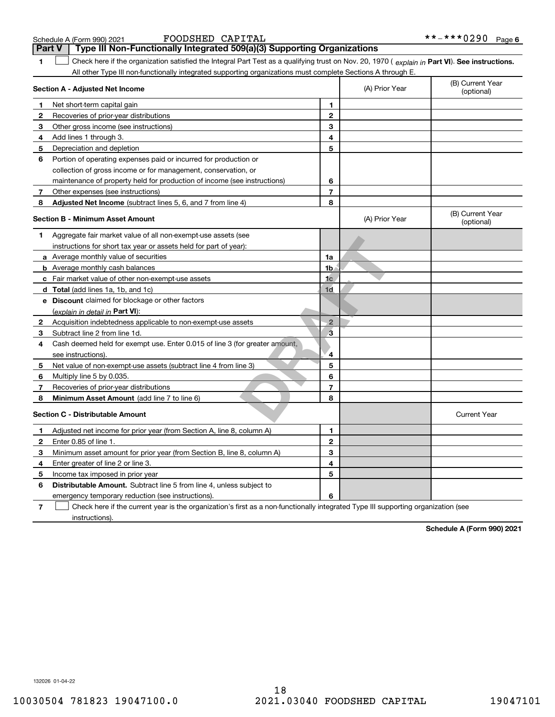| Schedule A (Form 990) 202 |  |  |
|---------------------------|--|--|
|---------------------------|--|--|

**1Part VI** Check here if the organization satisfied the Integral Part Test as a qualifying trust on Nov. 20, 1970 ( explain in Part **VI**). See instructions. **Section A - Adjusted Net Income 123** Other gross income (see instructions) **4**Add lines 1 through 3. **56** Portion of operating expenses paid or incurred for production or **7** Other expenses (see instructions) **8** Adjusted Net Income (subtract lines 5, 6, and 7 from line 4) **8 8 1234567Section B - Minimum Asset Amount 1**Aggregate fair market value of all non-exempt-use assets (see **2**Acquisition indebtedness applicable to non-exempt-use assets **3** Subtract line 2 from line 1d. **4**Cash deemed held for exempt use. Enter 0.015 of line 3 (for greater amount, **5** Net value of non-exempt-use assets (subtract line 4 from line 3) **678a** Average monthly value of securities **b** Average monthly cash balances **c**Fair market value of other non-exempt-use assets **dTotal**  (add lines 1a, 1b, and 1c) **eDiscount** claimed for blockage or other factors **1a1b1c1d2345678**(explain in detail in Part VI): **Minimum Asset Amount**  (add line 7 to line 6) **Section C - Distributable Amount 123456123456Distributable Amount.** Subtract line 5 from line 4, unless subject to All other Type III non-functionally integrated supporting organizations must complete Sections A through E. (B) Current Year (optional)(A) Prior Year Net short-term capital gain Recoveries of prior-year distributions Depreciation and depletion collection of gross income or for management, conservation, or maintenance of property held for production of income (see instructions) (B) Current Year (optional)(A) Prior Year instructions for short tax year or assets held for part of year): see instructions). Multiply line 5 by 0.035. Recoveries of prior-year distributions Current Year Adjusted net income for prior year (from Section A, line 8, column A) Enter 0.85 of line 1. Minimum asset amount for prior year (from Section B, line 8, column A) Enter greater of line 2 or line 3. Income tax imposed in prior year emergency temporary reduction (see instructions). **Part V Type III Non-Functionally Integrated 509(a)(3) Supporting Organizations**   $\mathcal{L}^{\text{max}}$ **Example:**<br> **DRAFT**<br> **DRAFT**<br> **DRAFT**<br> **DRAFT**<br> **DRAFT**<br> **DRAFT**<br> **DRAFT**<br> **DRAFT**<br> **DRAFT**<br> **DRAFT**<br> **DRAFT**<br> **DRAFT**<br> **DRAFT**<br> **DRAFT**<br> **DRAFT**<br> **DRAFT**<br> **DRAFT**<br> **DRAFT**<br> **DRAFT**<br> **DRAFT**<br> **DRAFT**<br> **DRAFT**<br> **DRAFT**<br> **DR** 

**7**Check here if the current year is the organization's first as a non-functionally integrated Type III supporting organization (see instructions). $\mathcal{L}^{\text{max}}$ 

**Schedule A (Form 990) 2021**

132026 01-04-22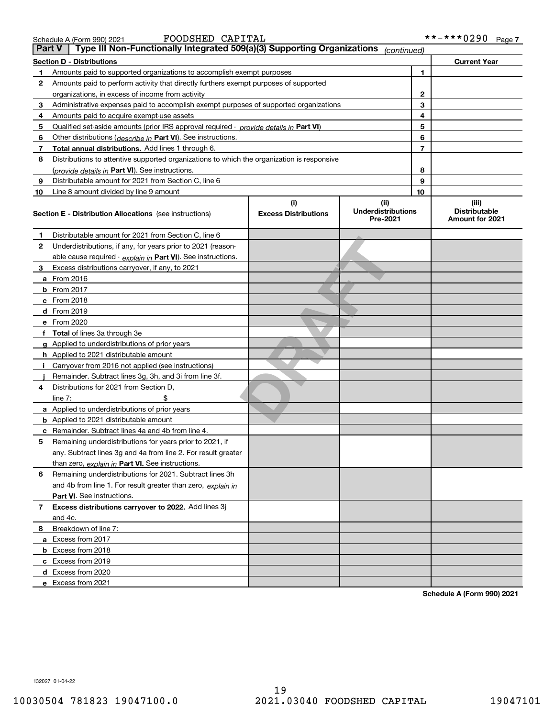**c**Excess from 2019 **d**Excess from 2020 **e**Excess from 2021

132027 01-04-22

Schedule A (Form 990) 2021 **FOODSHED CAPITAL \* \* – \* \* \* 0 2 9 0** Page

| Part V | Type III Non-Functionally Integrated 509(a)(3) Supporting Organizations <sub>(continued)</sub> |                                    |                                               |    |                                                         |
|--------|------------------------------------------------------------------------------------------------|------------------------------------|-----------------------------------------------|----|---------------------------------------------------------|
|        | <b>Section D - Distributions</b>                                                               |                                    |                                               |    | <b>Current Year</b>                                     |
|        | Amounts paid to supported organizations to accomplish exempt purposes                          |                                    |                                               | 1  |                                                         |
| 2      | Amounts paid to perform activity that directly furthers exempt purposes of supported           |                                    |                                               |    |                                                         |
|        | organizations, in excess of income from activity                                               |                                    |                                               | 2  |                                                         |
| 3      | Administrative expenses paid to accomplish exempt purposes of supported organizations          |                                    |                                               | 3  |                                                         |
| 4      | Amounts paid to acquire exempt-use assets                                                      |                                    |                                               | 4  |                                                         |
| 5      | Qualified set-aside amounts (prior IRS approval required - provide details in Part VI)         |                                    |                                               | 5  |                                                         |
| 6      | Other distributions (describe in Part VI). See instructions.                                   |                                    |                                               | 6  |                                                         |
| 7      | Total annual distributions. Add lines 1 through 6.                                             |                                    | 7                                             |    |                                                         |
| 8      | Distributions to attentive supported organizations to which the organization is responsive     |                                    |                                               |    |                                                         |
|        | (provide details in Part VI). See instructions.                                                |                                    |                                               | 8  |                                                         |
| 9      | Distributable amount for 2021 from Section C, line 6                                           |                                    |                                               | 9  |                                                         |
| 10     | Line 8 amount divided by line 9 amount                                                         |                                    |                                               | 10 |                                                         |
|        | <b>Section E - Distribution Allocations</b> (see instructions)                                 | (i)<br><b>Excess Distributions</b> | (ii)<br><b>Underdistributions</b><br>Pre-2021 |    | (iii)<br><b>Distributable</b><br><b>Amount for 2021</b> |
| 1      | Distributable amount for 2021 from Section C, line 6                                           |                                    |                                               |    |                                                         |
| 2      | Underdistributions, if any, for years prior to 2021 (reason-                                   |                                    |                                               |    |                                                         |
|        | able cause required - explain in Part VI). See instructions.                                   |                                    |                                               |    |                                                         |
| 3      | Excess distributions carryover, if any, to 2021                                                |                                    |                                               |    |                                                         |
|        | a From 2016                                                                                    |                                    |                                               |    |                                                         |
|        | <b>b</b> From 2017                                                                             |                                    |                                               |    |                                                         |
|        | c From 2018                                                                                    |                                    |                                               |    |                                                         |
|        | d From 2019                                                                                    |                                    |                                               |    |                                                         |
|        | e From 2020                                                                                    |                                    |                                               |    |                                                         |
|        | f Total of lines 3a through 3e                                                                 |                                    |                                               |    |                                                         |
|        | g Applied to underdistributions of prior years                                                 |                                    |                                               |    |                                                         |
|        | h Applied to 2021 distributable amount                                                         |                                    |                                               |    |                                                         |
|        | Carryover from 2016 not applied (see instructions)                                             |                                    |                                               |    |                                                         |
|        | Remainder. Subtract lines 3g, 3h, and 3i from line 3f.                                         |                                    |                                               |    |                                                         |
| 4      | Distributions for 2021 from Section D.                                                         |                                    |                                               |    |                                                         |
|        | line $7:$                                                                                      |                                    |                                               |    |                                                         |
|        | a Applied to underdistributions of prior years                                                 |                                    |                                               |    |                                                         |
|        | <b>b</b> Applied to 2021 distributable amount                                                  |                                    |                                               |    |                                                         |
|        | c Remainder. Subtract lines 4a and 4b from line 4.                                             |                                    |                                               |    |                                                         |
| 5      | Remaining underdistributions for years prior to 2021, if                                       |                                    |                                               |    |                                                         |
|        | any. Subtract lines 3g and 4a from line 2. For result greater                                  |                                    |                                               |    |                                                         |
|        | than zero, explain in Part VI. See instructions.                                               |                                    |                                               |    |                                                         |
| 6      | Remaining underdistributions for 2021. Subtract lines 3h                                       |                                    |                                               |    |                                                         |
|        | and 4b from line 1. For result greater than zero, explain in                                   |                                    |                                               |    |                                                         |
|        | Part VI. See instructions.                                                                     |                                    |                                               |    |                                                         |
| 7      | Excess distributions carryover to 2022. Add lines 3j                                           |                                    |                                               |    |                                                         |
|        | and 4c.                                                                                        |                                    |                                               |    |                                                         |
| 8      | Breakdown of line 7:                                                                           |                                    |                                               |    |                                                         |
|        | a Excess from 2017                                                                             |                                    |                                               |    |                                                         |
|        | <b>b</b> Excess from 2018                                                                      |                                    |                                               |    |                                                         |

**Schedule A (Form 990) 2021**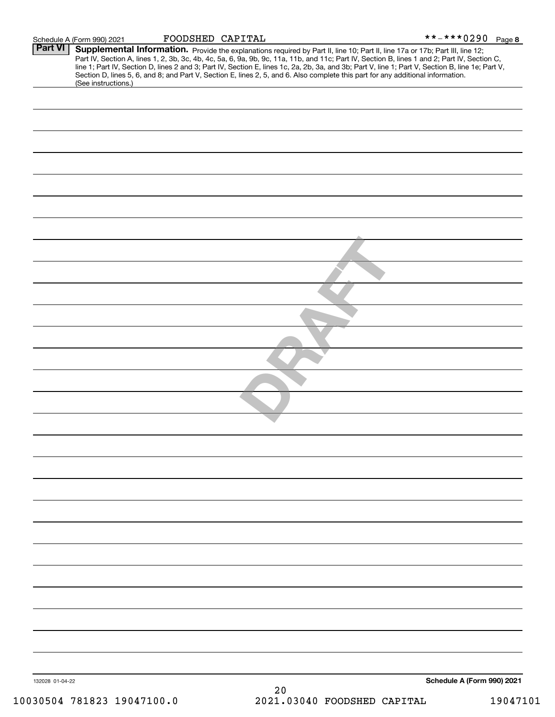|                 | Schedule A (Form 990) 2021 | FOODSHED CAPITAL |                                                                                                                                                                                                                                        | **-***029 <u>0 Page 8</u>  |          |
|-----------------|----------------------------|------------------|----------------------------------------------------------------------------------------------------------------------------------------------------------------------------------------------------------------------------------------|----------------------------|----------|
| <b>Part VI</b>  |                            |                  | <b>Supplemental Information.</b> Provide the explanations required by Part II, line 10; Part II, line 17a or 17b; Part III, line 12;<br>Part IV, Section A, lines 1, 2, 3b, 3c, 4b, 4c, 5a, 6, 9a, 9b, 9c, 11a, 11b, and 11c; Part IV, |                            |          |
|                 | (See instructions.)        |                  |                                                                                                                                                                                                                                        |                            |          |
|                 |                            |                  |                                                                                                                                                                                                                                        |                            |          |
|                 |                            |                  |                                                                                                                                                                                                                                        |                            |          |
|                 |                            |                  |                                                                                                                                                                                                                                        |                            |          |
|                 |                            |                  |                                                                                                                                                                                                                                        |                            |          |
|                 |                            |                  |                                                                                                                                                                                                                                        |                            |          |
|                 |                            |                  |                                                                                                                                                                                                                                        |                            |          |
|                 |                            |                  |                                                                                                                                                                                                                                        |                            |          |
|                 |                            |                  |                                                                                                                                                                                                                                        |                            |          |
|                 |                            |                  |                                                                                                                                                                                                                                        |                            |          |
|                 |                            |                  |                                                                                                                                                                                                                                        |                            |          |
|                 |                            |                  |                                                                                                                                                                                                                                        |                            |          |
|                 |                            |                  |                                                                                                                                                                                                                                        |                            |          |
|                 |                            |                  |                                                                                                                                                                                                                                        |                            |          |
|                 |                            |                  |                                                                                                                                                                                                                                        |                            |          |
|                 |                            |                  |                                                                                                                                                                                                                                        |                            |          |
|                 |                            |                  |                                                                                                                                                                                                                                        |                            |          |
|                 |                            |                  |                                                                                                                                                                                                                                        |                            |          |
|                 |                            |                  |                                                                                                                                                                                                                                        |                            |          |
|                 |                            |                  |                                                                                                                                                                                                                                        |                            |          |
|                 |                            |                  |                                                                                                                                                                                                                                        |                            |          |
|                 |                            |                  |                                                                                                                                                                                                                                        |                            |          |
|                 |                            |                  |                                                                                                                                                                                                                                        |                            |          |
|                 |                            |                  |                                                                                                                                                                                                                                        |                            |          |
|                 |                            |                  |                                                                                                                                                                                                                                        |                            |          |
|                 |                            |                  |                                                                                                                                                                                                                                        |                            |          |
|                 |                            |                  |                                                                                                                                                                                                                                        |                            |          |
|                 |                            |                  |                                                                                                                                                                                                                                        |                            |          |
|                 |                            |                  |                                                                                                                                                                                                                                        |                            |          |
|                 |                            |                  |                                                                                                                                                                                                                                        |                            |          |
|                 |                            |                  |                                                                                                                                                                                                                                        |                            |          |
|                 |                            |                  |                                                                                                                                                                                                                                        |                            |          |
|                 |                            |                  |                                                                                                                                                                                                                                        |                            |          |
|                 |                            |                  |                                                                                                                                                                                                                                        |                            |          |
|                 |                            |                  |                                                                                                                                                                                                                                        |                            |          |
|                 |                            |                  |                                                                                                                                                                                                                                        |                            |          |
|                 |                            |                  |                                                                                                                                                                                                                                        |                            |          |
| 132028 01-04-22 |                            |                  |                                                                                                                                                                                                                                        | Schedule A (Form 990) 2021 |          |
|                 |                            |                  | 20                                                                                                                                                                                                                                     |                            |          |
|                 | 10030504 781823 19047100.0 |                  | 2021.03040 FOODSHED CAPITAL                                                                                                                                                                                                            |                            | 19047101 |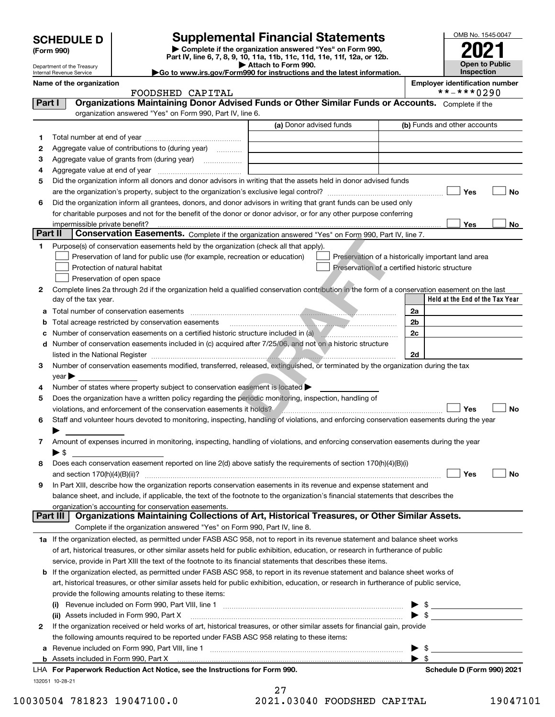| <b>SCHEDULE D</b> |
|-------------------|
|-------------------|

Department of the Treasury Internal Revenue Service

| (Form 990) |  |
|------------|--|
|------------|--|

## **Supplemental Financial Statements**

**| Complete if the organization answered "Yes" on Form 990, Part IV, line 6, 7, 8, 9, 10, 11a, 11b, 11c, 11d, 11e, 11f, 12a, or 12b. | Attach to Form 990.** OMB No. 1545-0047 **Open to Public Inspection2021**

| Go to www.irs.gov/Form990 for instructions and the latest information. |  |
|------------------------------------------------------------------------|--|
|                                                                        |  |

**Name of the organization Employer identification number**

|    | FOODSHED CAPITAL                                                                                                                                                                                                               |                         | **-***0290                                         |
|----|--------------------------------------------------------------------------------------------------------------------------------------------------------------------------------------------------------------------------------|-------------------------|----------------------------------------------------|
|    | Organizations Maintaining Donor Advised Funds or Other Similar Funds or Accounts. Complete if the<br>Part I<br>organization answered "Yes" on Form 990, Part IV, line 6.                                                       |                         |                                                    |
|    |                                                                                                                                                                                                                                | (a) Donor advised funds | (b) Funds and other accounts                       |
| 1  |                                                                                                                                                                                                                                |                         |                                                    |
| 2  | Aggregate value of contributions to (during year)                                                                                                                                                                              |                         |                                                    |
| з  |                                                                                                                                                                                                                                |                         |                                                    |
| 4  |                                                                                                                                                                                                                                |                         |                                                    |
| 5  | Did the organization inform all donors and donor advisors in writing that the assets held in donor advised funds                                                                                                               |                         |                                                    |
|    |                                                                                                                                                                                                                                |                         | Yes<br>No                                          |
| 6  | Did the organization inform all grantees, donors, and donor advisors in writing that grant funds can be used only                                                                                                              |                         |                                                    |
|    | for charitable purposes and not for the benefit of the donor or donor advisor, or for any other purpose conferring                                                                                                             |                         |                                                    |
|    | impermissible private benefit?                                                                                                                                                                                                 |                         | Yes<br>No                                          |
|    | Part II<br>Conservation Easements. Complete if the organization answered "Yes" on Form 990, Part IV, line 7.                                                                                                                   |                         |                                                    |
| 1. | Purpose(s) of conservation easements held by the organization (check all that apply).                                                                                                                                          |                         |                                                    |
|    | Preservation of land for public use (for example, recreation or education)                                                                                                                                                     |                         | Preservation of a historically important land area |
|    | Protection of natural habitat                                                                                                                                                                                                  |                         | Preservation of a certified historic structure     |
|    | Preservation of open space                                                                                                                                                                                                     |                         |                                                    |
| 2  | Complete lines 2a through 2d if the organization held a qualified conservation contribution in the form of a conservation easement on the last                                                                                 |                         |                                                    |
|    | day of the tax year.                                                                                                                                                                                                           |                         | Held at the End of the Tax Year                    |
| а  | Total number of conservation easements with the construction of the conservation of conservation easements with the conservation of the conservation of the conservation of the conservation of the conservation of the conser |                         | 2a                                                 |
|    | Total acreage restricted by conservation easements                                                                                                                                                                             |                         | 2 <sub>b</sub>                                     |
|    | Number of conservation easements on a certified historic structure included in (a) <i>mummumumumum</i>                                                                                                                         |                         | 2c                                                 |
|    | d Number of conservation easements included in (c) acquired after 7/25/06, and not on a historic structure                                                                                                                     |                         |                                                    |
|    |                                                                                                                                                                                                                                |                         | 2d                                                 |
| 3  | Number of conservation easements modified, transferred, released, extinguished, or terminated by the organization during the tax                                                                                               |                         |                                                    |
|    | $\vee$ ear                                                                                                                                                                                                                     |                         |                                                    |
| 4  | Number of states where property subject to conservation easement is located >                                                                                                                                                  |                         |                                                    |
| 5  | Does the organization have a written policy regarding the periodic monitoring, inspection, handling of                                                                                                                         |                         |                                                    |
|    | violations, and enforcement of the conservation easements it holds?                                                                                                                                                            |                         | Yes<br>No                                          |
| 6  | Staff and volunteer hours devoted to monitoring, inspecting, handling of violations, and enforcing conservation easements during the year                                                                                      |                         |                                                    |
|    |                                                                                                                                                                                                                                |                         |                                                    |
| 7  | Amount of expenses incurred in monitoring, inspecting, handling of violations, and enforcing conservation easements during the year                                                                                            |                         |                                                    |
|    | ▶ \$                                                                                                                                                                                                                           |                         |                                                    |
| 8  | Does each conservation easement reported on line 2(d) above satisfy the requirements of section 170(h)(4)(B)(i)                                                                                                                |                         |                                                    |
|    | and section $170(h)(4)(B)(ii)?$                                                                                                                                                                                                |                         | Yes<br>No                                          |
|    | In Part XIII, describe how the organization reports conservation easements in its revenue and expense statement and                                                                                                            |                         |                                                    |
|    | balance sheet, and include, if applicable, the text of the footnote to the organization's financial statements that describes the                                                                                              |                         |                                                    |
|    | organization's accounting for conservation easements.                                                                                                                                                                          |                         |                                                    |
|    | Organizations Maintaining Collections of Art, Historical Treasures, or Other Similar Assets.<br>Part III                                                                                                                       |                         |                                                    |
|    | Complete if the organization answered "Yes" on Form 990, Part IV, line 8.                                                                                                                                                      |                         |                                                    |
|    |                                                                                                                                                                                                                                |                         |                                                    |
|    | 1a If the organization elected, as permitted under FASB ASC 958, not to report in its revenue statement and balance sheet works                                                                                                |                         |                                                    |
|    |                                                                                                                                                                                                                                |                         |                                                    |
|    | of art, historical treasures, or other similar assets held for public exhibition, education, or research in furtherance of public                                                                                              |                         |                                                    |
|    | service, provide in Part XIII the text of the footnote to its financial statements that describes these items.                                                                                                                 |                         |                                                    |
|    | b If the organization elected, as permitted under FASB ASC 958, to report in its revenue statement and balance sheet works of                                                                                                  |                         |                                                    |
|    | art, historical treasures, or other similar assets held for public exhibition, education, or research in furtherance of public service,                                                                                        |                         |                                                    |
|    | provide the following amounts relating to these items:                                                                                                                                                                         |                         | - \$                                               |
|    |                                                                                                                                                                                                                                |                         | -\$                                                |
| 2  | (ii) Assets included in Form 990, Part X                                                                                                                                                                                       |                         |                                                    |
|    | If the organization received or held works of art, historical treasures, or other similar assets for financial gain, provide                                                                                                   |                         |                                                    |
|    | the following amounts required to be reported under FASB ASC 958 relating to these items:                                                                                                                                      |                         |                                                    |
|    | a Revenue included on Form 990, Part VIII, line 1 [2000] [2000] [2000] [2000] [2000] [2000] [2000] [2000] [2000                                                                                                                |                         | -\$<br>- \$                                        |
|    | LHA For Paperwork Reduction Act Notice, see the Instructions for Form 990.                                                                                                                                                     |                         | Schedule D (Form 990) 2021                         |

 <sup>10030504 781823 19047100.0 2021.03040</sup> FOODSHED CAPITAL 19047101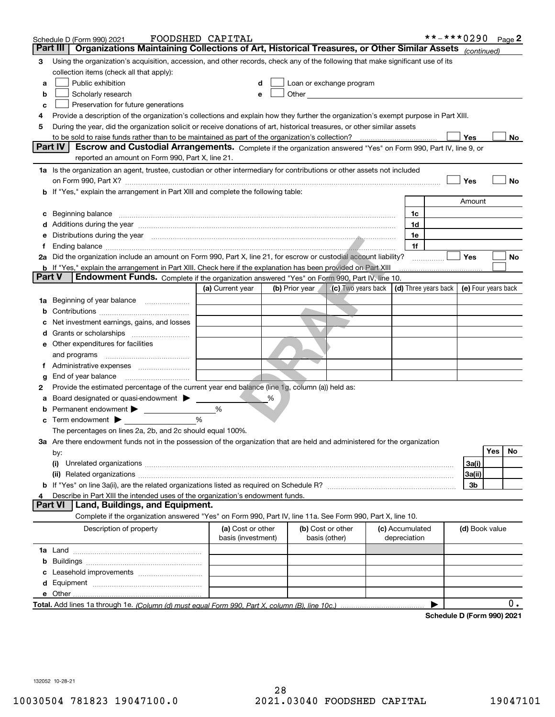|               | Schedule D (Form 990) 2021                                                                                                                                                                                                                                                                                                  | FOODSHED CAPITAL                        |                |                                                                                                                                                                                                                                |                                      | **-***0290<br>Page 2    |       |
|---------------|-----------------------------------------------------------------------------------------------------------------------------------------------------------------------------------------------------------------------------------------------------------------------------------------------------------------------------|-----------------------------------------|----------------|--------------------------------------------------------------------------------------------------------------------------------------------------------------------------------------------------------------------------------|--------------------------------------|-------------------------|-------|
|               | Organizations Maintaining Collections of Art, Historical Treasures, or Other Similar Assets (continued)<br>Part III                                                                                                                                                                                                         |                                         |                |                                                                                                                                                                                                                                |                                      |                         |       |
| 3             | Using the organization's acquisition, accession, and other records, check any of the following that make significant use of its                                                                                                                                                                                             |                                         |                |                                                                                                                                                                                                                                |                                      |                         |       |
|               | collection items (check all that apply):                                                                                                                                                                                                                                                                                    |                                         |                |                                                                                                                                                                                                                                |                                      |                         |       |
| а             | Public exhibition                                                                                                                                                                                                                                                                                                           |                                         |                | Loan or exchange program                                                                                                                                                                                                       |                                      |                         |       |
| b             | Scholarly research                                                                                                                                                                                                                                                                                                          |                                         |                | Other and the control of the control of the control of the control of the control of the control of the control of the control of the control of the control of the control of the control of the control of the control of th |                                      |                         |       |
| с             | Preservation for future generations                                                                                                                                                                                                                                                                                         |                                         |                |                                                                                                                                                                                                                                |                                      |                         |       |
| 4             | Provide a description of the organization's collections and explain how they further the organization's exempt purpose in Part XIII.                                                                                                                                                                                        |                                         |                |                                                                                                                                                                                                                                |                                      |                         |       |
| 5             | During the year, did the organization solicit or receive donations of art, historical treasures, or other similar assets                                                                                                                                                                                                    |                                         |                |                                                                                                                                                                                                                                |                                      |                         |       |
|               |                                                                                                                                                                                                                                                                                                                             |                                         |                |                                                                                                                                                                                                                                |                                      | Yes                     | No    |
|               | Escrow and Custodial Arrangements. Complete if the organization answered "Yes" on Form 990, Part IV, line 9, or<br>Part IV<br>reported an amount on Form 990, Part X, line 21.                                                                                                                                              |                                         |                |                                                                                                                                                                                                                                |                                      |                         |       |
|               | 1a Is the organization an agent, trustee, custodian or other intermediary for contributions or other assets not included                                                                                                                                                                                                    |                                         |                |                                                                                                                                                                                                                                |                                      |                         |       |
|               |                                                                                                                                                                                                                                                                                                                             |                                         |                |                                                                                                                                                                                                                                |                                      | Yes                     | No    |
|               | on Form 990, Part X? [11] matter contracts and contracts and contracts are contracted and contracts are contracted and contract and contract of the contract of the contract of the contract of the contract of the contract o<br><b>b</b> If "Yes," explain the arrangement in Part XIII and complete the following table: |                                         |                |                                                                                                                                                                                                                                |                                      |                         |       |
|               |                                                                                                                                                                                                                                                                                                                             |                                         |                |                                                                                                                                                                                                                                |                                      | Amount                  |       |
| c             |                                                                                                                                                                                                                                                                                                                             |                                         |                |                                                                                                                                                                                                                                | 1c                                   |                         |       |
|               | Additions during the year manufactured and an account of the year manufactured and account of the year manufactured and account of the state of the state of the state of the state of the state of the state of the state of                                                                                               |                                         |                |                                                                                                                                                                                                                                | 1d                                   |                         |       |
|               | e Distributions during the year manufactured and continuum control of the control of the control of the control of the control of the control of the control of the control of the control of the control of the control of th                                                                                              |                                         |                |                                                                                                                                                                                                                                | 1e                                   |                         |       |
| f             |                                                                                                                                                                                                                                                                                                                             |                                         |                |                                                                                                                                                                                                                                | 1f                                   |                         |       |
|               | 2a Did the organization include an amount on Form 990, Part X, line 21, for escrow or custodial account liability?                                                                                                                                                                                                          |                                         |                |                                                                                                                                                                                                                                | .                                    | Yes                     | No    |
|               | <b>b</b> If "Yes," explain the arrangement in Part XIII. Check here if the explanation has been provided on Part XIII                                                                                                                                                                                                       |                                         |                |                                                                                                                                                                                                                                |                                      |                         |       |
| <b>Part V</b> | Endowment Funds. Complete if the organization answered "Yes" on Form 990, Part IV, line 10.                                                                                                                                                                                                                                 |                                         |                |                                                                                                                                                                                                                                |                                      |                         |       |
|               |                                                                                                                                                                                                                                                                                                                             | (a) Current year                        | (b) Prior year | (c) Two years back                                                                                                                                                                                                             | $\vert$ (d) Three years back $\vert$ | (e) Four years back     |       |
| 1a            | Beginning of year balance                                                                                                                                                                                                                                                                                                   |                                         |                |                                                                                                                                                                                                                                |                                      |                         |       |
| b             |                                                                                                                                                                                                                                                                                                                             |                                         |                |                                                                                                                                                                                                                                |                                      |                         |       |
|               | Net investment earnings, gains, and losses                                                                                                                                                                                                                                                                                  |                                         |                |                                                                                                                                                                                                                                |                                      |                         |       |
|               |                                                                                                                                                                                                                                                                                                                             |                                         |                |                                                                                                                                                                                                                                |                                      |                         |       |
|               | e Other expenditures for facilities                                                                                                                                                                                                                                                                                         |                                         |                |                                                                                                                                                                                                                                |                                      |                         |       |
|               | and programs                                                                                                                                                                                                                                                                                                                |                                         |                |                                                                                                                                                                                                                                |                                      |                         |       |
|               | f Administrative expenses                                                                                                                                                                                                                                                                                                   |                                         |                |                                                                                                                                                                                                                                |                                      |                         |       |
| g             | Provide the estimated percentage of the current year end balance (line 1g, column (a)) held as:                                                                                                                                                                                                                             |                                         |                |                                                                                                                                                                                                                                |                                      |                         |       |
| 2             | Board designated or quasi-endowment                                                                                                                                                                                                                                                                                         |                                         | %              |                                                                                                                                                                                                                                |                                      |                         |       |
| а             | Permanent endowment >                                                                                                                                                                                                                                                                                                       | %                                       |                |                                                                                                                                                                                                                                |                                      |                         |       |
|               | <b>c</b> Term endowment $\blacktriangleright$                                                                                                                                                                                                                                                                               | %                                       |                |                                                                                                                                                                                                                                |                                      |                         |       |
|               | The percentages on lines 2a, 2b, and 2c should equal 100%.                                                                                                                                                                                                                                                                  |                                         |                |                                                                                                                                                                                                                                |                                      |                         |       |
|               | 3a Are there endowment funds not in the possession of the organization that are held and administered for the organization                                                                                                                                                                                                  |                                         |                |                                                                                                                                                                                                                                |                                      |                         |       |
|               | by:                                                                                                                                                                                                                                                                                                                         |                                         |                |                                                                                                                                                                                                                                |                                      | <b>Yes</b><br><b>No</b> |       |
|               | (i)                                                                                                                                                                                                                                                                                                                         |                                         |                |                                                                                                                                                                                                                                |                                      | 3a(i)                   |       |
|               |                                                                                                                                                                                                                                                                                                                             |                                         |                |                                                                                                                                                                                                                                |                                      | 3a(ii)                  |       |
|               |                                                                                                                                                                                                                                                                                                                             |                                         |                |                                                                                                                                                                                                                                |                                      | 3b                      |       |
| 4             | Describe in Part XIII the intended uses of the organization's endowment funds.                                                                                                                                                                                                                                              |                                         |                |                                                                                                                                                                                                                                |                                      |                         |       |
|               | Part VI<br>Land, Buildings, and Equipment.                                                                                                                                                                                                                                                                                  |                                         |                |                                                                                                                                                                                                                                |                                      |                         |       |
|               | Complete if the organization answered "Yes" on Form 990, Part IV, line 11a. See Form 990, Part X, line 10.                                                                                                                                                                                                                  |                                         |                |                                                                                                                                                                                                                                |                                      |                         |       |
|               | Description of property                                                                                                                                                                                                                                                                                                     | (a) Cost or other<br>basis (investment) |                | (b) Cost or other<br>basis (other)                                                                                                                                                                                             | (c) Accumulated<br>depreciation      | (d) Book value          |       |
|               |                                                                                                                                                                                                                                                                                                                             |                                         |                |                                                                                                                                                                                                                                |                                      |                         |       |
| b             |                                                                                                                                                                                                                                                                                                                             |                                         |                |                                                                                                                                                                                                                                |                                      |                         |       |
|               |                                                                                                                                                                                                                                                                                                                             |                                         |                |                                                                                                                                                                                                                                |                                      |                         |       |
| d             |                                                                                                                                                                                                                                                                                                                             |                                         |                |                                                                                                                                                                                                                                |                                      |                         |       |
|               |                                                                                                                                                                                                                                                                                                                             |                                         |                |                                                                                                                                                                                                                                |                                      |                         |       |
|               |                                                                                                                                                                                                                                                                                                                             |                                         |                |                                                                                                                                                                                                                                |                                      |                         | $0$ . |

**Schedule D (Form 990) 2021**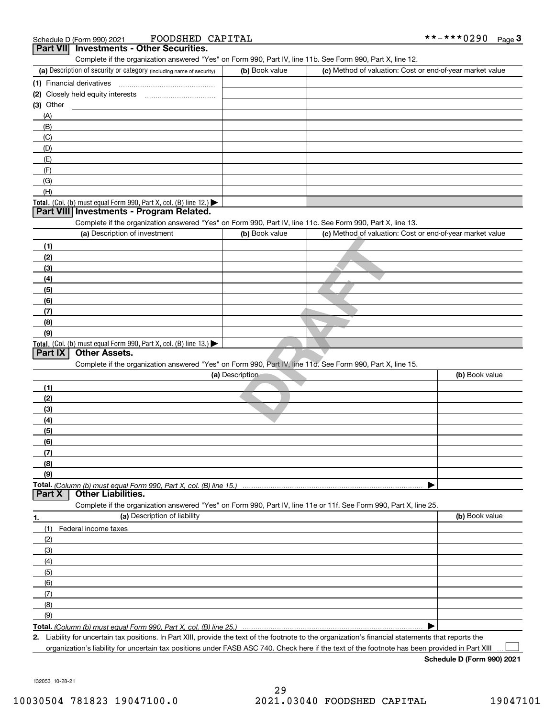| Schedule D (Form 990) 2021 |
|----------------------------|
|----------------------------|

| FOODSHED CAPITAL<br>Schedule D (Form 990) 2021                                                                                                       |                 |                                                           | **-***0290<br>$Page$ <sup>3</sup> |
|------------------------------------------------------------------------------------------------------------------------------------------------------|-----------------|-----------------------------------------------------------|-----------------------------------|
| <b>Investments - Other Securities.</b><br><b>Part VII</b>                                                                                            |                 |                                                           |                                   |
| Complete if the organization answered "Yes" on Form 990, Part IV, line 11b. See Form 990, Part X, line 12.                                           |                 |                                                           |                                   |
| (a) Description of security or category (including name of security)                                                                                 | (b) Book value  | (c) Method of valuation: Cost or end-of-year market value |                                   |
| (1) Financial derivatives                                                                                                                            |                 |                                                           |                                   |
|                                                                                                                                                      |                 |                                                           |                                   |
| (3) Other                                                                                                                                            |                 |                                                           |                                   |
| (A)                                                                                                                                                  |                 |                                                           |                                   |
| (B)                                                                                                                                                  |                 |                                                           |                                   |
| (C)                                                                                                                                                  |                 |                                                           |                                   |
| (D)                                                                                                                                                  |                 |                                                           |                                   |
| (E)                                                                                                                                                  |                 |                                                           |                                   |
| (F)                                                                                                                                                  |                 |                                                           |                                   |
| (G)                                                                                                                                                  |                 |                                                           |                                   |
| (H)                                                                                                                                                  |                 |                                                           |                                   |
| Total. (Col. (b) must equal Form 990, Part X, col. (B) line 12.)                                                                                     |                 |                                                           |                                   |
| Part VIII Investments - Program Related.                                                                                                             |                 |                                                           |                                   |
| Complete if the organization answered "Yes" on Form 990, Part IV, line 11c. See Form 990, Part X, line 13.                                           |                 |                                                           |                                   |
| (a) Description of investment                                                                                                                        | (b) Book value  | (c) Method of valuation: Cost or end-of-year market value |                                   |
| (1)                                                                                                                                                  |                 |                                                           |                                   |
| (2)                                                                                                                                                  |                 |                                                           |                                   |
| (3)                                                                                                                                                  |                 |                                                           |                                   |
| (4)                                                                                                                                                  |                 |                                                           |                                   |
| (5)                                                                                                                                                  |                 |                                                           |                                   |
| (6)                                                                                                                                                  |                 |                                                           |                                   |
| (7)                                                                                                                                                  |                 |                                                           |                                   |
| (8)                                                                                                                                                  |                 |                                                           |                                   |
| (9)                                                                                                                                                  |                 |                                                           |                                   |
| Total. (Col. (b) must equal Form 990, Part X, col. (B) line 13.)                                                                                     |                 |                                                           |                                   |
| <b>Other Assets.</b><br><b>Part IX</b>                                                                                                               |                 |                                                           |                                   |
| Complete if the organization answered "Yes" on Form 990, Part IV, line 11d. See Form 990, Part X, line 15.                                           |                 |                                                           |                                   |
|                                                                                                                                                      | (a) Description |                                                           | (b) Book value                    |
| (1)                                                                                                                                                  |                 |                                                           |                                   |
|                                                                                                                                                      |                 |                                                           |                                   |
| (2)                                                                                                                                                  |                 |                                                           |                                   |
| (3)                                                                                                                                                  |                 |                                                           |                                   |
| (4)                                                                                                                                                  |                 |                                                           |                                   |
| (5)                                                                                                                                                  |                 |                                                           |                                   |
| (6)                                                                                                                                                  |                 |                                                           |                                   |
| (7)                                                                                                                                                  |                 |                                                           |                                   |
| (8)                                                                                                                                                  |                 |                                                           |                                   |
| (9)                                                                                                                                                  |                 |                                                           |                                   |
| Total. (Column (b) must equal Form 990, Part X, col. (B) line 15.)<br><b>Part X</b><br><b>Other Liabilities.</b>                                     |                 |                                                           |                                   |
|                                                                                                                                                      |                 |                                                           |                                   |
| Complete if the organization answered "Yes" on Form 990, Part IV, line 11e or 11f. See Form 990, Part X, line 25.                                    |                 |                                                           |                                   |
| (a) Description of liability<br>1.                                                                                                                   |                 |                                                           | (b) Book value                    |
| (1)<br>Federal income taxes                                                                                                                          |                 |                                                           |                                   |
| (2)                                                                                                                                                  |                 |                                                           |                                   |
| (3)                                                                                                                                                  |                 |                                                           |                                   |
| (4)                                                                                                                                                  |                 |                                                           |                                   |
| (5)                                                                                                                                                  |                 |                                                           |                                   |
| (6)                                                                                                                                                  |                 |                                                           |                                   |
| (7)                                                                                                                                                  |                 |                                                           |                                   |
| (8)                                                                                                                                                  |                 |                                                           |                                   |
| (9)                                                                                                                                                  |                 |                                                           |                                   |
| Total. (Column (b) must equal Form 990, Part X, col. (B) line 25.)                                                                                   |                 |                                                           |                                   |
| 2. Liability for uncertain tax positions. In Part XIII, provide the text of the footnote to the organization's financial statements that reports the |                 |                                                           |                                   |

Liability for uncertain tax positions. In Part XIII, provide the text of the footnote to the organization's financial statements that reports the organization's liability for uncertain tax positions under FASB ASC 740. Check here if the text of the footnote has been provided in Part XIII

**Schedule D (Form 990) 2021**

132053 10-28-21

 $\mathcal{L}^{\text{max}}$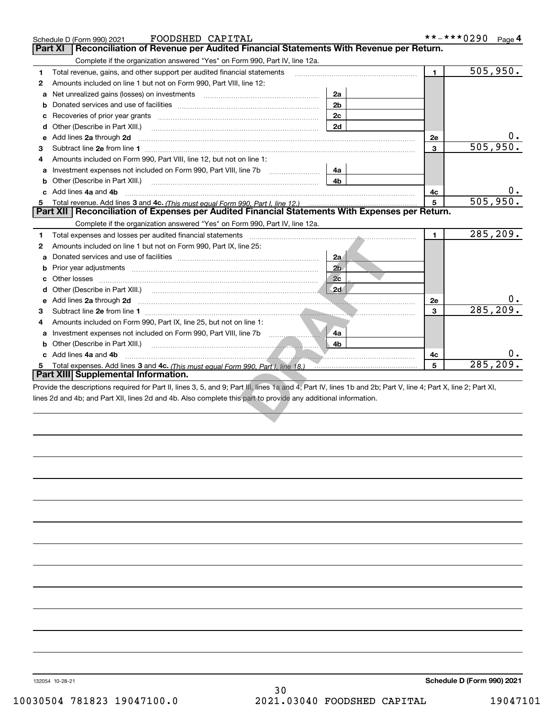|   | FOODSHED CAPITAL<br>Schedule D (Form 990) 2021                                                                                                                                                                                                                 |                | **-***0290<br>Page 4 |           |  |
|---|----------------------------------------------------------------------------------------------------------------------------------------------------------------------------------------------------------------------------------------------------------------|----------------|----------------------|-----------|--|
|   | Reconciliation of Revenue per Audited Financial Statements With Revenue per Return.<br>Part XI                                                                                                                                                                 |                |                      |           |  |
|   | Complete if the organization answered "Yes" on Form 990, Part IV, line 12a.                                                                                                                                                                                    |                |                      |           |  |
| 1 | Total revenue, gains, and other support per audited financial statements                                                                                                                                                                                       | $\blacksquare$ | 505,950.             |           |  |
| 2 | Amounts included on line 1 but not on Form 990, Part VIII, line 12:                                                                                                                                                                                            |                |                      |           |  |
| a | Net unrealized gains (losses) on investments [11] [11] Met unrealized gains (losses) on investments                                                                                                                                                            | 2a             |                      |           |  |
| b |                                                                                                                                                                                                                                                                | 2 <sub>b</sub> |                      |           |  |
| с |                                                                                                                                                                                                                                                                | 2c             |                      |           |  |
| d | Other (Describe in Part XIII.)                                                                                                                                                                                                                                 | 2d             |                      |           |  |
| е | Add lines 2a through 2d                                                                                                                                                                                                                                        |                | 2e                   | Ο.        |  |
| 3 |                                                                                                                                                                                                                                                                |                | 3                    | 505,950.  |  |
| 4 | Amounts included on Form 990, Part VIII, line 12, but not on line 1:                                                                                                                                                                                           |                |                      |           |  |
| a | Investment expenses not included on Form 990, Part VIII, line 7b                                                                                                                                                                                               | 4a             |                      |           |  |
| b | Other (Describe in Part XIII.)                                                                                                                                                                                                                                 | 4b             |                      |           |  |
|   | c Add lines 4a and 4b                                                                                                                                                                                                                                          |                | 4c                   |           |  |
| 5 |                                                                                                                                                                                                                                                                |                | 5                    | 505,950.  |  |
|   | Part XII   Reconciliation of Expenses per Audited Financial Statements With Expenses per Return.                                                                                                                                                               |                |                      |           |  |
|   | Complete if the organization answered "Yes" on Form 990, Part IV, line 12a.                                                                                                                                                                                    |                |                      |           |  |
| 1 | Total expenses and losses per audited financial statements                                                                                                                                                                                                     |                | $\mathbf{1}$         | 285, 209. |  |
| 2 | Amounts included on line 1 but not on Form 990, Part IX, line 25:                                                                                                                                                                                              |                |                      |           |  |
|   |                                                                                                                                                                                                                                                                | 2a             |                      |           |  |
|   |                                                                                                                                                                                                                                                                | 2 <sub>b</sub> |                      |           |  |
|   | Other losses                                                                                                                                                                                                                                                   | 2 <sub>c</sub> |                      |           |  |
|   |                                                                                                                                                                                                                                                                | 2d             |                      |           |  |
|   | e Add lines 2a through 2d<br>$\frac{1}{2}$ . The continuum continuum continuum continuum continuum continuum continuum continuum continuum continuum continuum continuum continuum continuum continuum continuum continuum continuum continuum continuum conti |                | 2e                   |           |  |
| 3 |                                                                                                                                                                                                                                                                |                | 3                    | 285, 209  |  |
| 4 | Amounts included on Form 990, Part IX, line 25, but not on line 1:                                                                                                                                                                                             |                |                      |           |  |
| a | Investment expenses not included on Form 990, Part VIII, line 7b                                                                                                                                                                                               | 4a             |                      |           |  |
|   | <b>b</b> Other (Describe in Part XIII.)                                                                                                                                                                                                                        | 4b             |                      |           |  |
|   | c Add lines 4a and 4b                                                                                                                                                                                                                                          |                | 4с                   |           |  |
|   | Total expenses. Add lines 3 and 4c. (This must equal Form 990. Part I, line 18.) [100] [100] [100] [100] [100] [100] [100] [100] [100] [100] [100] [100] [100] [100] [100] [100] [100] [100] [100] [100] [100] [100] [100] [10                                 |                | 5                    | 285, 209. |  |
|   | Part XIII Supplemental Information.                                                                                                                                                                                                                            |                |                      |           |  |
|   | Provide the descriptions required for Part II, lines 3, 5, and 9; Part III, lines 1a and 4; Part IV, lines 1b and 2b; Part V, line 4; Part X, line 2; Part XI,                                                                                                 |                |                      |           |  |
|   | lines 2d and 4b; and Part XII, lines 2d and 4b. Also complete this part to provide any additional information.                                                                                                                                                 |                |                      |           |  |
|   |                                                                                                                                                                                                                                                                |                |                      |           |  |
|   |                                                                                                                                                                                                                                                                |                |                      |           |  |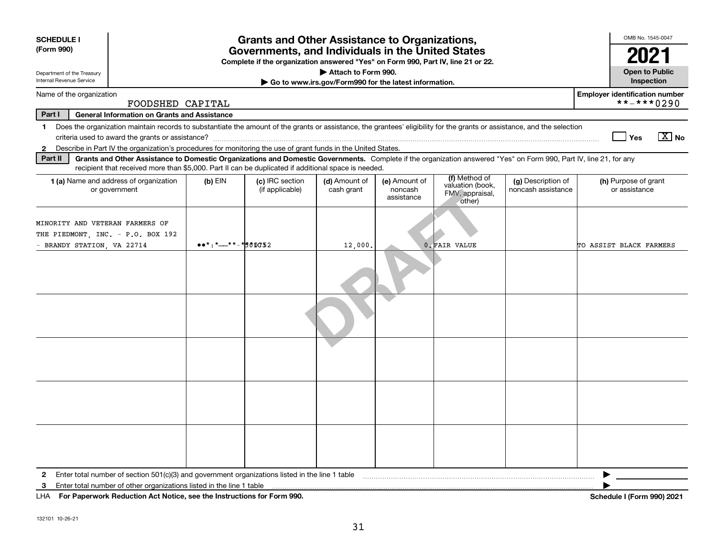| <b>SCHEDULE I</b><br>(Form 990)                                                                                                                                                                                                                                                      |                                                                                                                                       | <b>Grants and Other Assistance to Organizations,</b> |                                                       |                                        |                                                                |                                          | OMB No. 1545-0047                                                                  |  |
|--------------------------------------------------------------------------------------------------------------------------------------------------------------------------------------------------------------------------------------------------------------------------------------|---------------------------------------------------------------------------------------------------------------------------------------|------------------------------------------------------|-------------------------------------------------------|----------------------------------------|----------------------------------------------------------------|------------------------------------------|------------------------------------------------------------------------------------|--|
|                                                                                                                                                                                                                                                                                      | Governments, and Individuals in the United States<br>Complete if the organization answered "Yes" on Form 990, Part IV, line 21 or 22. |                                                      |                                                       |                                        |                                                                |                                          | 2021                                                                               |  |
| Department of the Treasury                                                                                                                                                                                                                                                           |                                                                                                                                       |                                                      | Attach to Form 990.                                   |                                        |                                                                |                                          | <b>Open to Public</b>                                                              |  |
| Internal Revenue Service                                                                                                                                                                                                                                                             |                                                                                                                                       |                                                      | Go to www.irs.gov/Form990 for the latest information. |                                        |                                                                |                                          | Inspection                                                                         |  |
| <b>Employer identification number</b><br>Name of the organization<br>**-***0290<br>FOODSHED CAPITAL                                                                                                                                                                                  |                                                                                                                                       |                                                      |                                                       |                                        |                                                                |                                          |                                                                                    |  |
| Part I<br><b>General Information on Grants and Assistance</b>                                                                                                                                                                                                                        |                                                                                                                                       |                                                      |                                                       |                                        |                                                                |                                          |                                                                                    |  |
| Does the organization maintain records to substantiate the amount of the grants or assistance, the grantees' eligibility for the grants or assistance, and the selection<br>$\mathbf{1}$<br>$\boxed{\text{X}}$ No<br>∣ Yes                                                           |                                                                                                                                       |                                                      |                                                       |                                        |                                                                |                                          |                                                                                    |  |
| Describe in Part IV the organization's procedures for monitoring the use of grant funds in the United States.<br>$\mathbf{2}$                                                                                                                                                        |                                                                                                                                       |                                                      |                                                       |                                        |                                                                |                                          |                                                                                    |  |
| Grants and Other Assistance to Domestic Organizations and Domestic Governments. Complete if the organization answered "Yes" on Form 990, Part IV, line 21, for any<br>Part II<br>recipient that received more than \$5,000. Part II can be duplicated if additional space is needed. |                                                                                                                                       |                                                      |                                                       |                                        |                                                                |                                          |                                                                                    |  |
| <b>1 (a)</b> Name and address of organization<br>or government                                                                                                                                                                                                                       | $(b)$ EIN                                                                                                                             | (c) IRC section<br>(if applicable)                   | (d) Amount of<br>cash grant                           | (e) Amount of<br>noncash<br>assistance | (f) Method of<br>valuation (book,<br>FMV, appraisal,<br>other) | (g) Description of<br>noncash assistance | (h) Purpose of grant<br>or assistance                                              |  |
| MINORITY AND VETERAN FARMERS OF<br>THE PIEDMONT, INC. - P.O. BOX 192<br>- BRANDY STATION, VA 22714                                                                                                                                                                                   | $\bullet\bullet\star$ : $\star$ - $\star\star$ - $\star$ 500052                                                                       |                                                      | 12,000.                                               |                                        | 0. FAIR VALUE                                                  |                                          | TO ASSIST BLACK FARMERS                                                            |  |
|                                                                                                                                                                                                                                                                                      |                                                                                                                                       |                                                      |                                                       |                                        |                                                                |                                          |                                                                                    |  |
|                                                                                                                                                                                                                                                                                      |                                                                                                                                       |                                                      |                                                       |                                        |                                                                |                                          |                                                                                    |  |
|                                                                                                                                                                                                                                                                                      |                                                                                                                                       |                                                      |                                                       |                                        |                                                                |                                          |                                                                                    |  |
|                                                                                                                                                                                                                                                                                      |                                                                                                                                       |                                                      |                                                       |                                        |                                                                |                                          |                                                                                    |  |
|                                                                                                                                                                                                                                                                                      |                                                                                                                                       |                                                      |                                                       |                                        |                                                                |                                          |                                                                                    |  |
| 2<br>3<br>$111A$ $E \sim B \sim 0.000$ to $\sim 1.000$ $A \sim 1.000$ $A \sim 1.000$ $A \sim 1.000$ $A \sim 1.000$                                                                                                                                                                   |                                                                                                                                       |                                                      |                                                       |                                        |                                                                |                                          | ▶<br>$\mathbf{H} = \mathbf{H} \mathbf{F}$ and $\mathbf{A} = \mathbf{H} \mathbf{F}$ |  |

**For Paperwork Reduction Act Notice, see the Instructions for Form 990. Schedule I (Form 990) 2021** LHA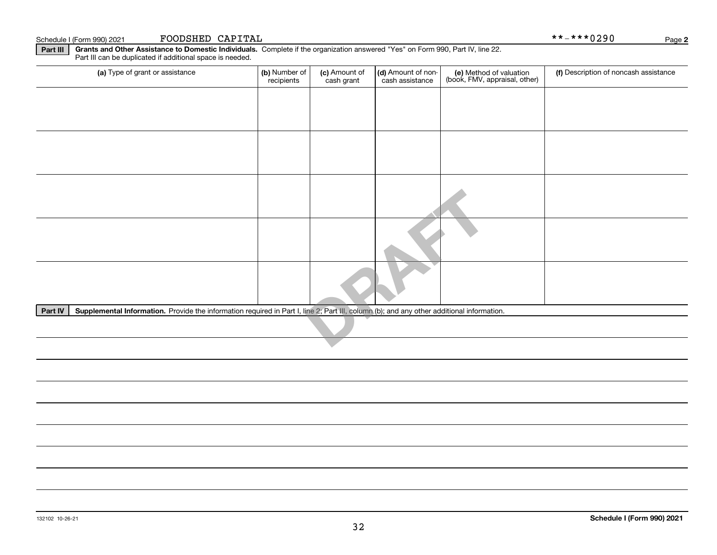| Part IV | Supplemental Information. Provide the information required in Part I, line 2; Part III, column (b); and any other additional information. |  |  |  |  |  |  |
|---------|-------------------------------------------------------------------------------------------------------------------------------------------|--|--|--|--|--|--|
|         |                                                                                                                                           |  |  |  |  |  |  |
|         |                                                                                                                                           |  |  |  |  |  |  |
|         |                                                                                                                                           |  |  |  |  |  |  |
|         |                                                                                                                                           |  |  |  |  |  |  |
|         |                                                                                                                                           |  |  |  |  |  |  |
|         |                                                                                                                                           |  |  |  |  |  |  |
|         |                                                                                                                                           |  |  |  |  |  |  |

32

#### Schedule I (Form 990) 2021 **FOODSHED CAPITAL** \* \* – \* \* \* 0 2 9 0 Page

(a) Type of grant or assistance  $\vert$  (b) Number of

**Part III | Grants and Other Assistance to Domestic Individuals. Complete if the organization answered "Yes" on Form 990, Part IV, line 22.** Part III can be duplicated if additional space is needed.

recipients

a) Type of grant or assistance **(b)** Number of **(c)** Amount of **(d)** Amount of non-**(e)** Method of valuation (f)<br>cash are continuous cash are cash assistance (book, FMV, appraisal, other)

(c) Amount of cash grant

(d) Amount of noncash assistance

(f) Description of noncash assistance

**2**